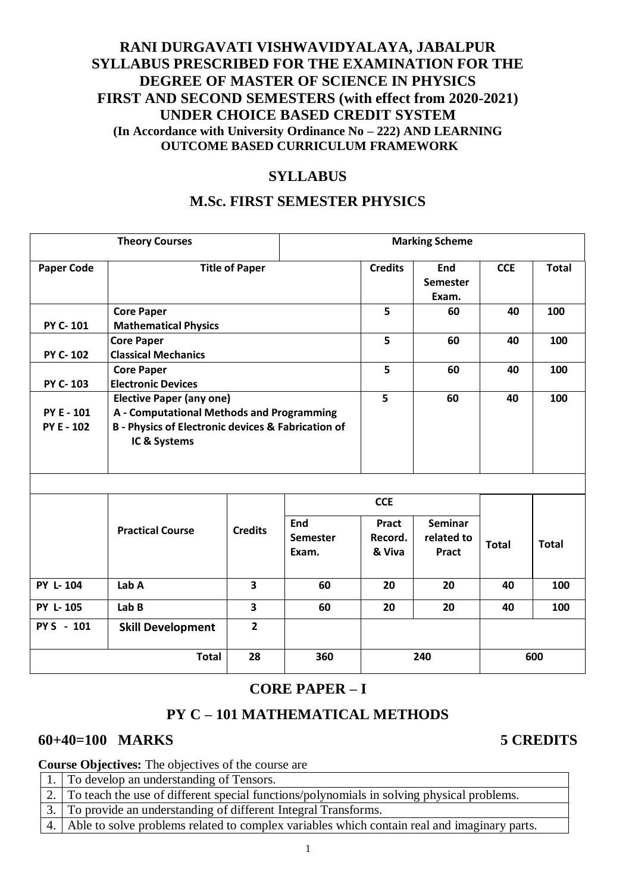# **RANI DURGAVATI VISHWAVIDYALAYA, JABALPUR SYLLABUS PRESCRIBED FOR THE EXAMINATION FOR THE DEGREE OF MASTER OF SCIENCE IN PHYSICS FIRST AND SECOND SEMESTERS (with effect from 2020-2021) UNDER CHOICE BASED CREDIT SYSTEM (In Accordance with University Ordinance No – 222) AND LEARNING OUTCOME BASED CURRICULUM FRAMEWORK**

# **SYLLABUS**

# **M.Sc. FIRST SEMESTER PHYSICS**

|                                        | <b>Theory Courses</b>                                                                                                                                     |                | <b>Marking Scheme</b>           |                            |                                       |              |              |
|----------------------------------------|-----------------------------------------------------------------------------------------------------------------------------------------------------------|----------------|---------------------------------|----------------------------|---------------------------------------|--------------|--------------|
| <b>Paper Code</b>                      | <b>Title of Paper</b>                                                                                                                                     | <b>Credits</b> | End<br>Semester<br>Exam.        | <b>CCE</b>                 | <b>Total</b>                          |              |              |
| PY C-101                               | <b>Core Paper</b><br><b>Mathematical Physics</b>                                                                                                          | 5              | 60                              | 40                         | 100                                   |              |              |
| PY C-102                               | <b>Core Paper</b><br><b>Classical Mechanics</b>                                                                                                           |                |                                 | 5                          | 60                                    | 40           | 100          |
| PY C-103                               | <b>Core Paper</b><br><b>Electronic Devices</b>                                                                                                            | 5              | 60                              | 40                         | 100                                   |              |              |
| <b>PY E - 101</b><br><b>PY E - 102</b> | <b>Elective Paper (any one)</b><br>A - Computational Methods and Programming<br><b>B</b> - Physics of Electronic devices & Fabrication of<br>IC & Systems |                |                                 | 5                          | 60                                    | 40           | 100          |
|                                        |                                                                                                                                                           |                |                                 | <b>CCE</b>                 |                                       |              |              |
|                                        | <b>Practical Course</b>                                                                                                                                   | <b>Credits</b> | End<br><b>Semester</b><br>Exam. | Pract<br>Record.<br>& Viva | <b>Seminar</b><br>related to<br>Pract | <b>Total</b> | <b>Total</b> |
| PY L-104                               | Lab A                                                                                                                                                     | 3              | 60                              | 20                         | 20                                    | 40           | 100          |
| PY L-105                               | Lab B                                                                                                                                                     | 3<br>60        |                                 |                            | 20                                    | 40           | 100          |
| PY S - 101                             | <b>Skill Development</b>                                                                                                                                  | $\overline{2}$ |                                 |                            |                                       |              |              |
|                                        | <b>Total</b>                                                                                                                                              | 28             | 360                             |                            | 240                                   |              | 600          |

# **CORE PAPER – I**

# **PY C – 101 MATHEMATICAL METHODS**

# **60+40=100 MARKS 5 CREDITS**

**Course Objectives:** The objectives of the course are

| 1.   To develop an understanding of Tensors.                                                   |
|------------------------------------------------------------------------------------------------|
| 2. To teach the use of different special functions/polynomials in solving physical problems.   |
| 3. To provide an understanding of different Integral Transforms.                               |
| 4. Able to solve problems related to complex variables which contain real and imaginary parts. |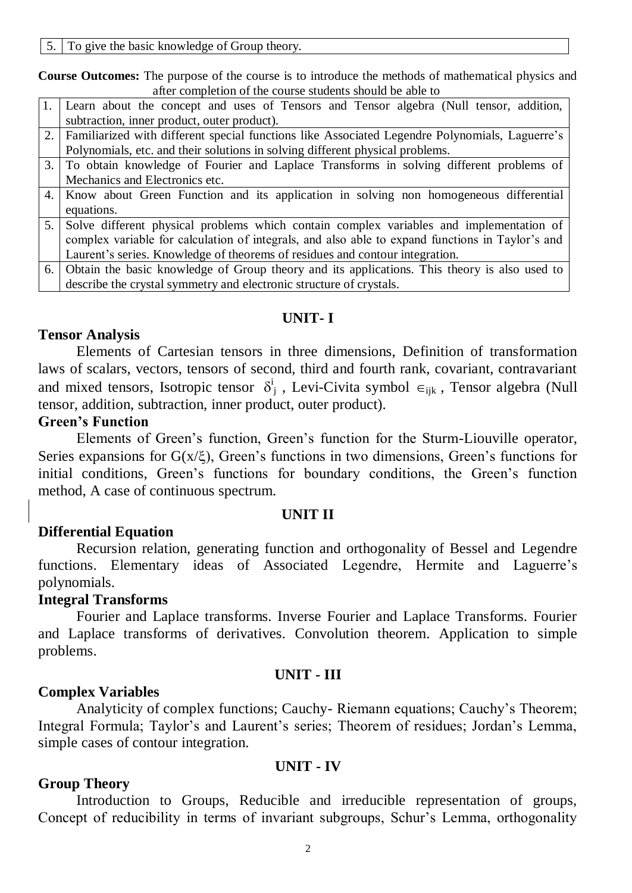5. To give the basic knowledge of Group theory.

**Course Outcomes:** The purpose of the course is to introduce the methods of mathematical physics and after completion of the course students should be able to

|    | Learn about the concept and uses of Tensors and Tensor algebra (Null tensor, addition,           |
|----|--------------------------------------------------------------------------------------------------|
|    | subtraction, inner product, outer product).                                                      |
| 2. | Familiarized with different special functions like Associated Legendre Polynomials, Laguerre's   |
|    | Polynomials, etc. and their solutions in solving different physical problems.                    |
|    | 3. To obtain knowledge of Fourier and Laplace Transforms in solving different problems of        |
|    | Mechanics and Electronics etc.                                                                   |
| 4. | Know about Green Function and its application in solving non homogeneous differential            |
|    | equations.                                                                                       |
| 5. | Solve different physical problems which contain complex variables and implementation of          |
|    | complex variable for calculation of integrals, and also able to expand functions in Taylor's and |
|    | Laurent's series. Knowledge of theorems of residues and contour integration.                     |
| 6. | Obtain the basic knowledge of Group theory and its applications. This theory is also used to     |
|    | describe the crystal symmetry and electronic structure of crystals.                              |
|    |                                                                                                  |

### **UNIT- I**

### **Tensor Analysis**

Elements of Cartesian tensors in three dimensions, Definition of transformation laws of scalars, vectors, tensors of second, third and fourth rank, covariant, contravariant and mixed tensors, Isotropic tensor  $\delta^i$  $_{j}$ , Levi-Civita symbol  $\epsilon_{ijk}$ , Tensor algebra (Null tensor, addition, subtraction, inner product, outer product).

#### **Green's Function**

Elements of Green's function, Green's function for the Sturm-Liouville operator, Series expansions for  $G(x/\xi)$ , Green's functions in two dimensions, Green's functions for initial conditions, Green's functions for boundary conditions, the Green's function method, A case of continuous spectrum.

### **UNIT II**

## **Differential Equation**

Recursion relation, generating function and orthogonality of Bessel and Legendre functions. Elementary ideas of Associated Legendre, Hermite and Laguerre's polynomials.

## **Integral Transforms**

Fourier and Laplace transforms. Inverse Fourier and Laplace Transforms. Fourier and Laplace transforms of derivatives. Convolution theorem. Application to simple problems.

## **UNIT - III**

## **Complex Variables**

Analyticity of complex functions; Cauchy- Riemann equations; Cauchy's Theorem; Integral Formula; Taylor's and Laurent's series; Theorem of residues; Jordan's Lemma, simple cases of contour integration.

### **UNIT - IV**

### **Group Theory**

Introduction to Groups, Reducible and irreducible representation of groups, Concept of reducibility in terms of invariant subgroups, Schur's Lemma, orthogonality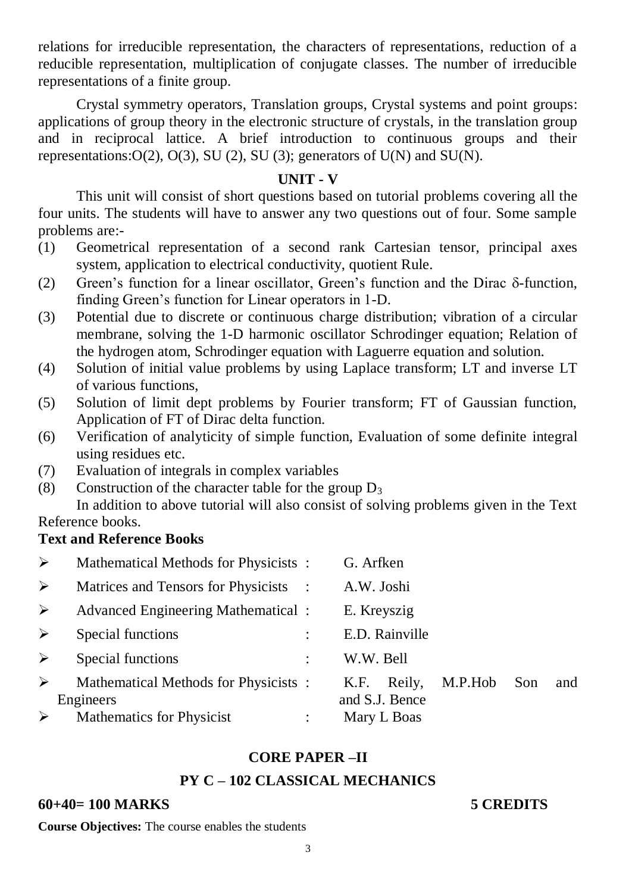relations for irreducible representation, the characters of representations, reduction of a reducible representation, multiplication of conjugate classes. The number of irreducible representations of a finite group.

Crystal symmetry operators, Translation groups, Crystal systems and point groups: applications of group theory in the electronic structure of crystals, in the translation group and in reciprocal lattice. A brief introduction to continuous groups and their representations: $O(2)$ ,  $O(3)$ , SU (2), SU (3); generators of U(N) and SU(N).

## **UNIT - V**

This unit will consist of short questions based on tutorial problems covering all the four units. The students will have to answer any two questions out of four. Some sample problems are:-

- (1) Geometrical representation of a second rank Cartesian tensor, principal axes system, application to electrical conductivity, quotient Rule.
- (2) Green's function for a linear oscillator, Green's function and the Dirac  $\delta$ -function, finding Green's function for Linear operators in 1-D.
- (3) Potential due to discrete or continuous charge distribution; vibration of a circular membrane, solving the 1-D harmonic oscillator Schrodinger equation; Relation of the hydrogen atom, Schrodinger equation with Laguerre equation and solution.
- (4) Solution of initial value problems by using Laplace transform; LT and inverse LT of various functions,
- (5) Solution of limit dept problems by Fourier transform; FT of Gaussian function, Application of FT of Dirac delta function.
- (6) Verification of analyticity of simple function, Evaluation of some definite integral using residues etc.
- (7) Evaluation of integrals in complex variables
- (8) Construction of the character table for the group  $D_3$

In addition to above tutorial will also consist of solving problems given in the Text Reference books.

## **Text and Reference Books**

| $\blacktriangleright$ | Mathematical Methods for Physicists:              |                | G. Arfken                        |         |     |     |
|-----------------------|---------------------------------------------------|----------------|----------------------------------|---------|-----|-----|
| ➤                     | Matrices and Tensors for Physicists :             |                | A.W. Joshi                       |         |     |     |
| $\triangleright$      | <b>Advanced Engineering Mathematical :</b>        |                | E. Kreyszig                      |         |     |     |
| ➤                     | Special functions                                 |                | E.D. Rainville                   |         |     |     |
| ➤                     | Special functions                                 | $\ddot{\cdot}$ | W.W. Bell                        |         |     |     |
| $\blacktriangleright$ | Mathematical Methods for Physicists:<br>Engineers |                | Reily,<br>K.F.<br>and S.J. Bence | M.P.Hob | Son | and |
|                       | Mathematics for Physicist                         |                | Mary L Boas                      |         |     |     |

# **CORE PAPER –II**

# **PY C – 102 CLASSICAL MECHANICS**

## **60+40= 100 MARKS 5 CREDITS**

**Course Objectives:** The course enables the students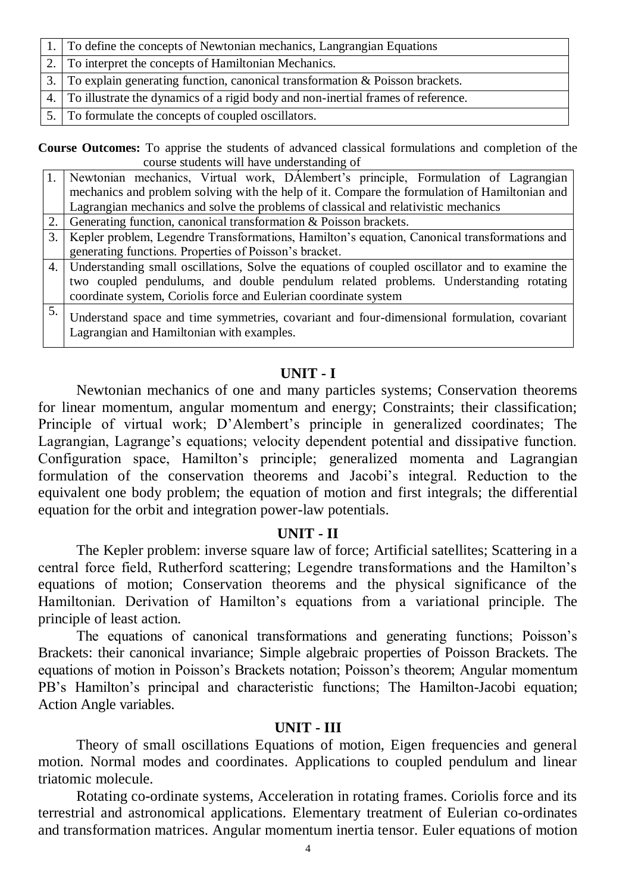| 1. To define the concepts of Newtonian mechanics, Langrangian Equations             |
|-------------------------------------------------------------------------------------|
| 2. To interpret the concepts of Hamiltonian Mechanics.                              |
| 3. To explain generating function, canonical transformation $\&$ Poisson brackets.  |
| 4. To illustrate the dynamics of a rigid body and non-inertial frames of reference. |
| 5. To formulate the concepts of coupled oscillators.                                |

**Course Outcomes:** To apprise the students of advanced classical formulations and completion of the course students will have understanding of

|    | Newtonian mechanics, Virtual work, DAlembert's principle, Formulation of Lagrangian<br>mechanics and problem solving with the help of it. Compare the formulation of Hamiltonian and                                                                         |
|----|--------------------------------------------------------------------------------------------------------------------------------------------------------------------------------------------------------------------------------------------------------------|
|    | Lagrangian mechanics and solve the problems of classical and relativistic mechanics                                                                                                                                                                          |
|    | Generating function, canonical transformation & Poisson brackets.                                                                                                                                                                                            |
| 3. | Kepler problem, Legendre Transformations, Hamilton's equation, Canonical transformations and                                                                                                                                                                 |
|    | generating functions. Properties of Poisson's bracket.                                                                                                                                                                                                       |
|    | 4. Understanding small oscillations, Solve the equations of coupled oscillator and to examine the<br>two coupled pendulums, and double pendulum related problems. Understanding rotating<br>coordinate system, Coriolis force and Eulerian coordinate system |
| 5. | Understand space and time symmetries, covariant and four-dimensional formulation, covariant<br>Lagrangian and Hamiltonian with examples.                                                                                                                     |

# **UNIT - I**

Newtonian mechanics of one and many particles systems; Conservation theorems for linear momentum, angular momentum and energy; Constraints; their classification; Principle of virtual work; D'Alembert's principle in generalized coordinates; The Lagrangian, Lagrange's equations; velocity dependent potential and dissipative function. Configuration space, Hamilton's principle; generalized momenta and Lagrangian formulation of the conservation theorems and Jacobi's integral. Reduction to the equivalent one body problem; the equation of motion and first integrals; the differential equation for the orbit and integration power-law potentials.

## **UNIT - II**

The Kepler problem: inverse square law of force; Artificial satellites; Scattering in a central force field, Rutherford scattering; Legendre transformations and the Hamilton's equations of motion; Conservation theorems and the physical significance of the Hamiltonian. Derivation of Hamilton's equations from a variational principle. The principle of least action.

The equations of canonical transformations and generating functions; Poisson's Brackets: their canonical invariance; Simple algebraic properties of Poisson Brackets. The equations of motion in Poisson's Brackets notation; Poisson's theorem; Angular momentum PB's Hamilton's principal and characteristic functions; The Hamilton-Jacobi equation; Action Angle variables.

# **UNIT - III**

Theory of small oscillations Equations of motion, Eigen frequencies and general motion. Normal modes and coordinates. Applications to coupled pendulum and linear triatomic molecule.

Rotating co-ordinate systems, Acceleration in rotating frames. Coriolis force and its terrestrial and astronomical applications. Elementary treatment of Eulerian co-ordinates and transformation matrices. Angular momentum inertia tensor. Euler equations of motion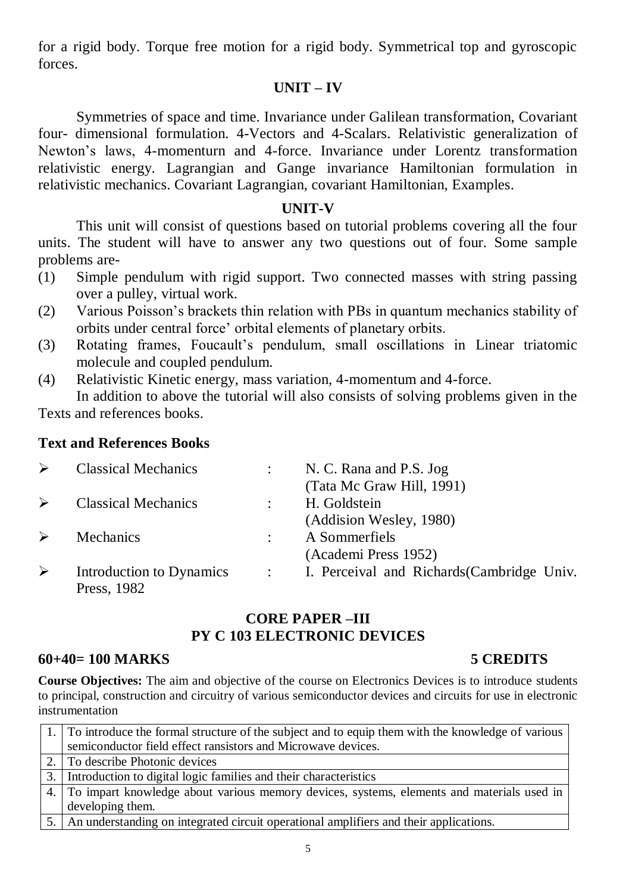for a rigid body. Torque free motion for a rigid body. Symmetrical top and gyroscopic forces.

# **UNIT – IV**

Symmetries of space and time. Invariance under Galilean transformation, Covariant four- dimensional formulation. 4-Vectors and 4-Scalars. Relativistic generalization of Newton's laws, 4-momenturn and 4-force. Invariance under Lorentz transformation relativistic energy. Lagrangian and Gange invariance Hamiltonian formulation in relativistic mechanics. Covariant Lagrangian, covariant Hamiltonian, Examples.

# **UNIT-V**

This unit will consist of questions based on tutorial problems covering all the four units. The student will have to answer any two questions out of four. Some sample problems are-

- (1) Simple pendulum with rigid support. Two connected masses with string passing over a pulley, virtual work.
- (2) Various Poisson's brackets thin relation with PBs in quantum mechanics stability of orbits under central force' orbital elements of planetary orbits.
- (3) Rotating frames, Foucault's pendulum, small oscillations in Linear triatomic molecule and coupled pendulum.
- (4) Relativistic Kinetic energy, mass variation, 4-momentum and 4-force. In addition to above the tutorial will also consists of solving problems given in the

Texts and references books.

# **Text and References Books**

| ➤ | <b>Classical Mechanics</b> | N. C. Rana and P.S. Jog                      |
|---|----------------------------|----------------------------------------------|
|   |                            | (Tata Mc Graw Hill, 1991)                    |
| ➤ | <b>Classical Mechanics</b> | H. Goldstein                                 |
|   |                            | (Addision Wesley, 1980)                      |
| ➤ | <b>Mechanics</b>           | A Sommerfiels                                |
|   |                            | (Academi Press 1952)                         |
| ➤ | Introduction to Dynamics   | : I. Perceival and Richards (Cambridge Univ. |
|   | Press, 1982                |                                              |

# **CORE PAPER –III PY C 103 ELECTRONIC DEVICES**

### **60+40= 100 MARKS 5 CREDITS**

**Course Objectives:** The aim and objective of the course on Electronics Devices is to introduce students to principal, construction and circuitry of various semiconductor devices and circuits for use in electronic instrumentation

| 1. To introduce the formal structure of the subject and to equip them with the knowledge of various |
|-----------------------------------------------------------------------------------------------------|
| semiconductor field effect ransistors and Microwave devices.                                        |
| 2. To describe Photonic devices                                                                     |
| 3. Introduction to digital logic families and their characteristics                                 |
| 4. To impart knowledge about various memory devices, systems, elements and materials used in        |
| developing them.                                                                                    |
| 5.   An understanding on integrated circuit operational amplifiers and their applications.          |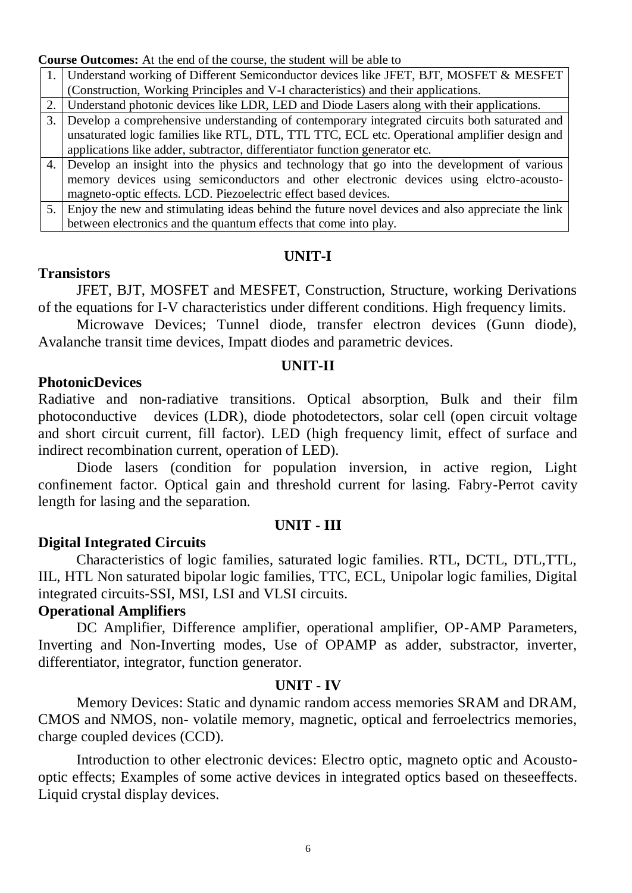**Course Outcomes:** At the end of the course, the student will be able to

| 1. Understand working of Different Semiconductor devices like JFET, BJT, MOSFET & MESFET |
|------------------------------------------------------------------------------------------|
| Construction, Working Principles and V-I characteristics) and their applications.        |
|                                                                                          |

2. Understand photonic devices like LDR, LED and Diode Lasers along with their applications.

- 3. Develop a comprehensive understanding of contemporary integrated circuits both saturated and unsaturated logic families like RTL, DTL, TTL TTC, ECL etc. Operational amplifier design and applications like adder, subtractor, differentiator function generator etc.
- 4. Develop an insight into the physics and technology that go into the development of various memory devices using semiconductors and other electronic devices using elctro-acoustomagneto-optic effects. LCD. Piezoelectric effect based devices.

5. Enjoy the new and stimulating ideas behind the future novel devices and also appreciate the link between electronics and the quantum effects that come into play.

### **UNIT-I**

## **Transistors**

JFET, BJT, MOSFET and MESFET, Construction, Structure, working Derivations of the equations for I-V characteristics under different conditions. High frequency limits.

Microwave Devices; Tunnel diode, transfer electron devices (Gunn diode), Avalanche transit time devices, Impatt diodes and parametric devices.

#### **UNIT-II**

### **PhotonicDevices**

Radiative and non-radiative transitions. Optical absorption, Bulk and their film photoconductive devices (LDR), diode photodetectors, solar cell (open circuit voltage and short circuit current, fill factor). LED (high frequency limit, effect of surface and indirect recombination current, operation of LED).

Diode lasers (condition for population inversion, in active region, Light confinement factor. Optical gain and threshold current for lasing. Fabry-Perrot cavity length for lasing and the separation.

### **Digital Integrated Circuits**

### **UNIT - III**

Characteristics of logic families, saturated logic families. RTL, DCTL, DTL,TTL, IIL, HTL Non saturated bipolar logic families, TTC, ECL, Unipolar logic families, Digital integrated circuits-SSI, MSI, LSI and VLSI circuits.

## **Operational Amplifiers**

DC Amplifier, Difference amplifier, operational amplifier, OP-AMP Parameters, Inverting and Non-Inverting modes, Use of OPAMP as adder, substractor, inverter, differentiator, integrator, function generator.

#### **UNIT - IV**

Memory Devices: Static and dynamic random access memories SRAM and DRAM, CMOS and NMOS, non- volatile memory, magnetic, optical and ferroelectrics memories, charge coupled devices (CCD).

Introduction to other electronic devices: Electro optic, magneto optic and Acoustooptic effects; Examples of some active devices in integrated optics based on theseeffects. Liquid crystal display devices.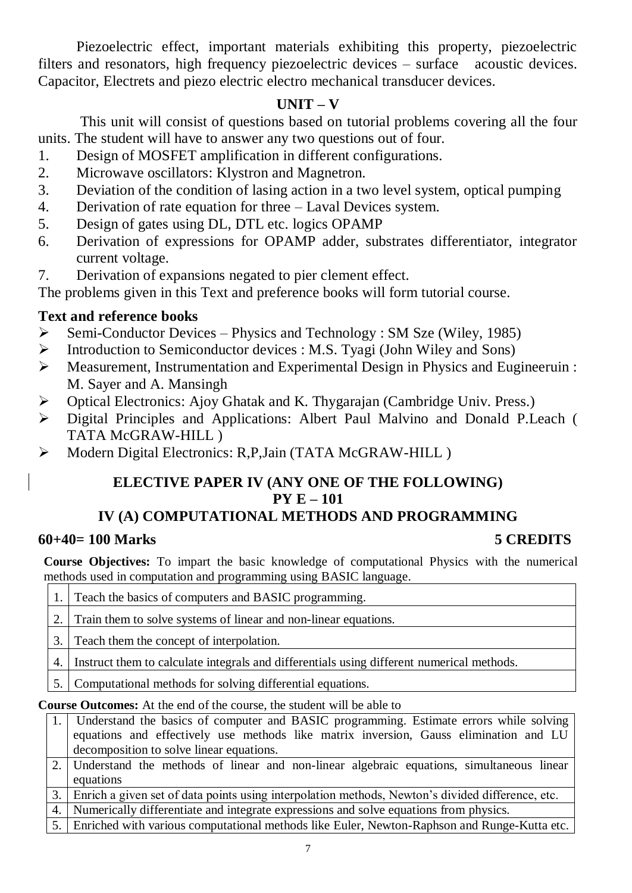Piezoelectric effect, important materials exhibiting this property, piezoelectric filters and resonators, high frequency piezoelectric devices – surface acoustic devices. Capacitor, Electrets and piezo electric electro mechanical transducer devices.

# **UNIT – V**

This unit will consist of questions based on tutorial problems covering all the four units. The student will have to answer any two questions out of four.

- 1. Design of MOSFET amplification in different configurations.
- 2. Microwave oscillators: Klystron and Magnetron.
- 3. Deviation of the condition of lasing action in a two level system, optical pumping
- 4. Derivation of rate equation for three Laval Devices system.
- 5. Design of gates using DL, DTL etc. logics OPAMP
- 6. Derivation of expressions for OPAMP adder, substrates differentiator, integrator current voltage.
- 7. Derivation of expansions negated to pier clement effect.

The problems given in this Text and preference books will form tutorial course.

# **Text and reference books**

- $\triangleright$  Semi-Conductor Devices Physics and Technology : SM Sze (Wiley, 1985)
- $\triangleright$  Introduction to Semiconductor devices : M.S. Tyagi (John Wiley and Sons)
- Measurement, Instrumentation and Experimental Design in Physics and Eugineeruin : M. Sayer and A. Mansingh
- Optical Electronics: Ajoy Ghatak and K. Thygarajan (Cambridge Univ. Press.)
- Digital Principles and Applications: Albert Paul Malvino and Donald P.Leach ( TATA McGRAW-HILL )
- $\triangleright$  Modern Digital Electronics: R,P,Jain (TATA McGRAW-HILL)

# **ELECTIVE PAPER IV (ANY ONE OF THE FOLLOWING) PY E – 101 IV (A) COMPUTATIONAL METHODS AND PROGRAMMING**

# **60+40= 100 Marks 5 CREDITS**

**Course Objectives:** To impart the basic knowledge of computational Physics with the numerical methods used in computation and programming using BASIC language.

|                                                                               | Teach the basics of computers and BASIC programming.                                      |  |  |  |
|-------------------------------------------------------------------------------|-------------------------------------------------------------------------------------------|--|--|--|
|                                                                               | Train them to solve systems of linear and non-linear equations.                           |  |  |  |
| 3.                                                                            | Teach them the concept of interpolation.                                                  |  |  |  |
| 4.                                                                            | Instruct them to calculate integrals and differentials using different numerical methods. |  |  |  |
| 5.                                                                            | Computational methods for solving differential equations.                                 |  |  |  |
| <b>Course Outcomes:</b> At the end of the course, the student will be able to |                                                                                           |  |  |  |

| 1. Understand the basics of computer and BASIC programming. Estimate errors while solving |
|-------------------------------------------------------------------------------------------|
| equations and effectively use methods like matrix inversion, Gauss elimination and LU     |
| decomposition to solve linear equations.                                                  |

2. Understand the methods of linear and non-linear algebraic equations, simultaneous linear equations

3. Enrich a given set of data points using interpolation methods, Newton's divided difference, etc.

4. Numerically differentiate and integrate expressions and solve equations from physics.

5. Enriched with various computational methods like Euler, Newton-Raphson and Runge-Kutta etc.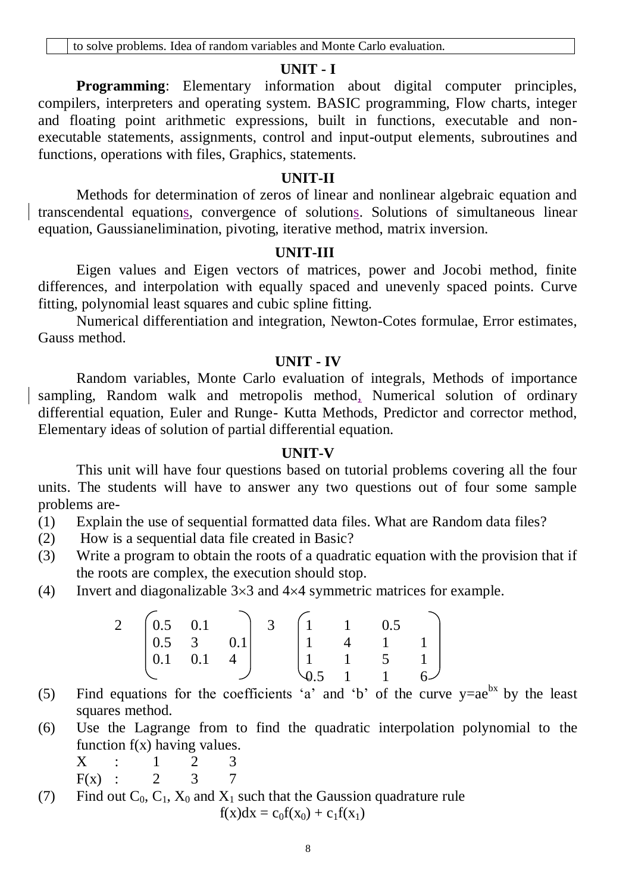### **UNIT - I**

**Programming**: Elementary information about digital computer principles, compilers, interpreters and operating system. BASIC programming, Flow charts, integer and floating point arithmetic expressions, built in functions, executable and nonexecutable statements, assignments, control and input-output elements, subroutines and functions, operations with files, Graphics, statements.

#### **UNIT-II**

Methods for determination of zeros of linear and nonlinear algebraic equation and transcendental equations, convergence of solutions. Solutions of simultaneous linear equation, Gaussianelimination, pivoting, iterative method, matrix inversion.

#### **UNIT-III**

Eigen values and Eigen vectors of matrices, power and Jocobi method, finite differences, and interpolation with equally spaced and unevenly spaced points. Curve fitting, polynomial least squares and cubic spline fitting.

Numerical differentiation and integration, Newton-Cotes formulae, Error estimates, Gauss method.

#### **UNIT - IV**

Random variables, Monte Carlo evaluation of integrals, Methods of importance sampling, Random walk and metropolis method, Numerical solution of ordinary differential equation, Euler and Runge- Kutta Methods, Predictor and corrector method, Elementary ideas of solution of partial differential equation.

### **UNIT-V**

This unit will have four questions based on tutorial problems covering all the four units. The students will have to answer any two questions out of four some sample problems are-

- (1) Explain the use of sequential formatted data files. What are Random data files?
- (2) How is a sequential data file created in Basic?
- (3) Write a program to obtain the roots of a quadratic equation with the provision that if the roots are complex, the execution should stop.
- (4) Invert and diagonalizable  $3\times3$  and  $4\times4$  symmetric matrices for example.

| $\overline{2}$ | $\begin{pmatrix} 0.5 & 0.1 \end{pmatrix}$  |                   | 3 |                | 0.5            |  |
|----------------|--------------------------------------------|-------------------|---|----------------|----------------|--|
|                | $\begin{array}{ c c } 0.5 & 3 \end{array}$ | 0.1 <sup>1</sup>  |   | $\overline{4}$ |                |  |
|                | $ 0.1 \t 0.1$                              | $\frac{1}{2}$ 4 + |   |                | 5 <sup>5</sup> |  |
|                |                                            |                   |   |                |                |  |

- (5) Find equations for the coefficients 'a' and 'b' of the curve  $y=ae^{bx}$  by the least squares method.
- (6) Use the Lagrange from to find the quadratic interpolation polynomial to the function  $f(x)$  having values.

$$
\begin{array}{ccccccccc}\nX & \vdots & 1 & 2 & 3 \\
\hline\n\end{array}
$$

$$
F(x) : 2 \t 3 \t 7
$$

(7) Find out  $C_0$ ,  $C_1$ ,  $X_0$  and  $X_1$  such that the Gaussion quadrature rule  $f(x)dx = c_0f(x_0) + c_1f(x_1)$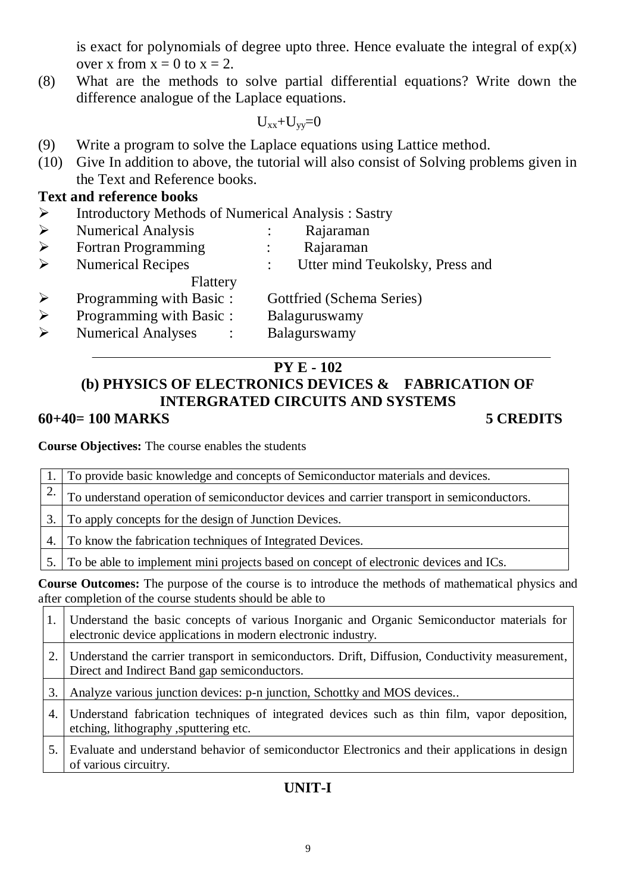is exact for polynomials of degree upto three. Hence evaluate the integral of  $exp(x)$ over x from  $x = 0$  to  $x = 2$ .

(8) What are the methods to solve partial differential equations? Write down the difference analogue of the Laplace equations.

 $U_{xx}+U_{yy}=0$ 

- (9) Write a program to solve the Laplace equations using Lattice method.
- (10) Give In addition to above, the tutorial will also consist of Solving problems given in the Text and Reference books.

## **Text and reference books**

 $\triangleright$  Introductory Methods of Numerical Analysis : Sastry

|                       | <b>Numerical Analysis</b>  | Rajaraman                       |
|-----------------------|----------------------------|---------------------------------|
|                       | <b>Fortran Programming</b> | Rajaraman                       |
| $\blacktriangleright$ | <b>Numerical Recipes</b>   | Utter mind Teukolsky, Press and |
|                       | Flattery                   |                                 |
|                       | Programming with Basic:    | Gottfried (Schema Series)       |
|                       | Programming with Basic:    | Balaguruswamy                   |
|                       | <b>Numerical Analyses</b>  | Balagurswamy                    |
|                       |                            |                                 |

# **PY E - 102**

# **(b) PHYSICS OF ELECTRONICS DEVICES & FABRICATION OF INTERGRATED CIRCUITS AND SYSTEMS 60+40= 100 MARKS 5 CREDITS**

**Course Objectives:** The course enables the students

|    | 1. To provide basic knowledge and concepts of Semiconductor materials and devices.        |
|----|-------------------------------------------------------------------------------------------|
|    | To understand operation of semiconductor devices and carrier transport in semiconductors. |
| 3. | To apply concepts for the design of Junction Devices.                                     |
| 4. | To know the fabrication techniques of Integrated Devices.                                 |
|    | 5. To be able to implement mini projects based on concept of electronic devices and ICs.  |

**Course Outcomes:** The purpose of the course is to introduce the methods of mathematical physics and after completion of the course students should be able to

|    | Understand the basic concepts of various Inorganic and Organic Semiconductor materials for<br>electronic device applications in modern electronic industry. |
|----|-------------------------------------------------------------------------------------------------------------------------------------------------------------|
|    | Understand the carrier transport in semiconductors. Drift, Diffusion, Conductivity measurement,<br>Direct and Indirect Band gap semiconductors.             |
|    | Analyze various junction devices: p-n junction, Schottky and MOS devices                                                                                    |
| 4. | Understand fabrication techniques of integrated devices such as thin film, vapor deposition,<br>etching, lithography, sputtering etc.                       |
|    | Evaluate and understand behavior of semiconductor Electronics and their applications in design<br>of various circuitry.                                     |

# **UNIT-I**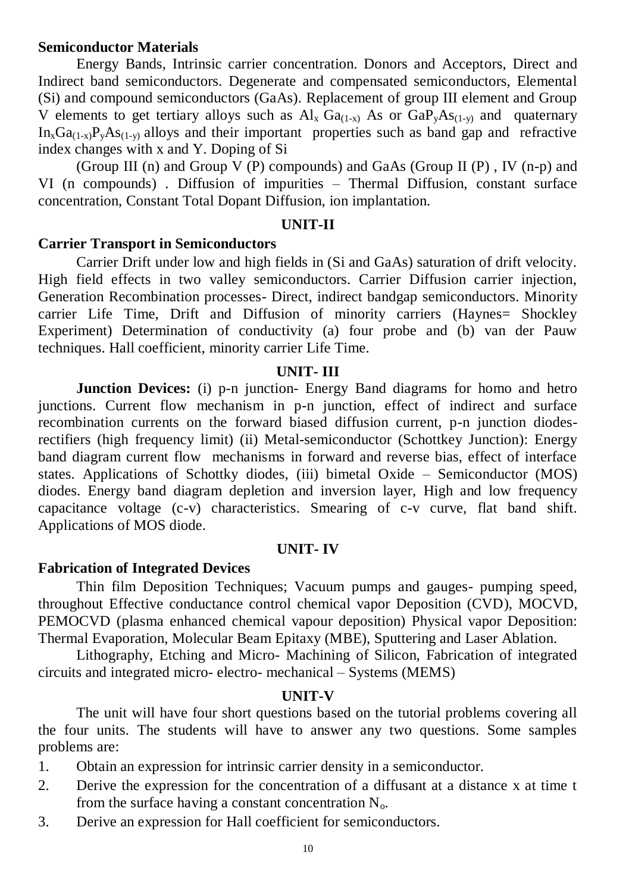## **Semiconductor Materials**

Energy Bands, Intrinsic carrier concentration. Donors and Acceptors, Direct and Indirect band semiconductors. Degenerate and compensated semiconductors, Elemental (Si) and compound semiconductors (GaAs). Replacement of group III element and Group V elements to get tertiary alloys such as  $Al_x Ga_{(1-x)}$  As or  $GaP_xAs_{(1-y)}$  and quaternary  $In_xGa_{(1-x)}P_vAs_{(1-v)}$  alloys and their important properties such as band gap and refractive index changes with x and Y. Doping of Si

(Group III (n) and Group V (P) compounds) and GaAs (Group II (P), IV (n-p) and VI (n compounds) . Diffusion of impurities – Thermal Diffusion, constant surface concentration, Constant Total Dopant Diffusion, ion implantation.

### **UNIT-II**

### **Carrier Transport in Semiconductors**

Carrier Drift under low and high fields in (Si and GaAs) saturation of drift velocity. High field effects in two valley semiconductors. Carrier Diffusion carrier injection, Generation Recombination processes- Direct, indirect bandgap semiconductors. Minority carrier Life Time, Drift and Diffusion of minority carriers (Haynes= Shockley Experiment) Determination of conductivity (a) four probe and (b) van der Pauw techniques. Hall coefficient, minority carrier Life Time.

#### **UNIT- III**

**Junction Devices:** (i) p-n junction- Energy Band diagrams for homo and hetro junctions. Current flow mechanism in p-n junction, effect of indirect and surface recombination currents on the forward biased diffusion current, p-n junction diodesrectifiers (high frequency limit) (ii) Metal-semiconductor (Schottkey Junction): Energy band diagram current flow mechanisms in forward and reverse bias, effect of interface states. Applications of Schottky diodes, (iii) bimetal Oxide – Semiconductor (MOS) diodes. Energy band diagram depletion and inversion layer, High and low frequency capacitance voltage (c-v) characteristics. Smearing of c-v curve, flat band shift. Applications of MOS diode.

#### **UNIT- IV**

## **Fabrication of Integrated Devices**

Thin film Deposition Techniques; Vacuum pumps and gauges- pumping speed, throughout Effective conductance control chemical vapor Deposition (CVD), MOCVD, PEMOCVD (plasma enhanced chemical vapour deposition) Physical vapor Deposition: Thermal Evaporation, Molecular Beam Epitaxy (MBE), Sputtering and Laser Ablation.

Lithography, Etching and Micro- Machining of Silicon, Fabrication of integrated circuits and integrated micro- electro- mechanical – Systems (MEMS)

## **UNIT-V**

The unit will have four short questions based on the tutorial problems covering all the four units. The students will have to answer any two questions. Some samples problems are:

1. Obtain an expression for intrinsic carrier density in a semiconductor.

- 2. Derive the expression for the concentration of a diffusant at a distance x at time t from the surface having a constant concentration  $N_{o}$ .
- 3. Derive an expression for Hall coefficient for semiconductors.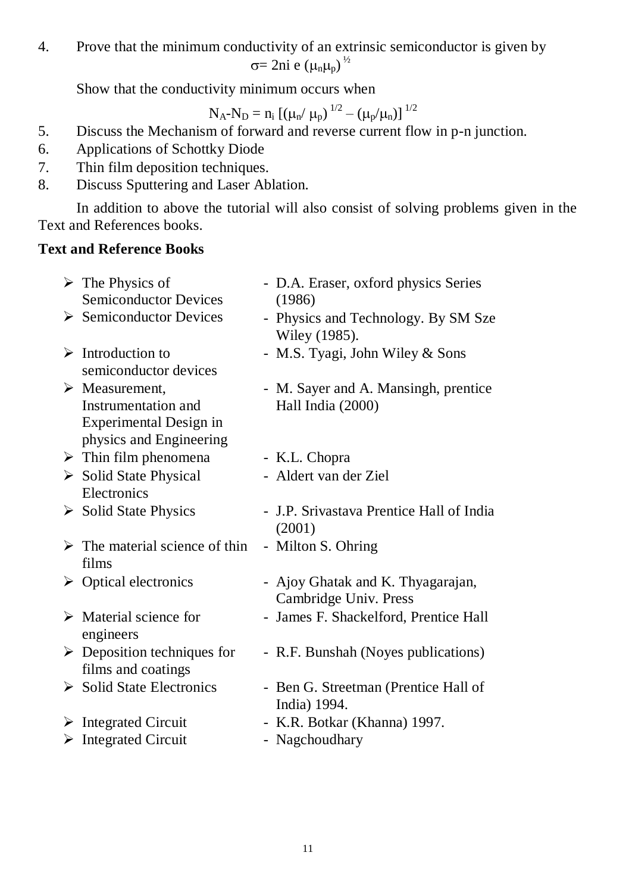4. Prove that the minimum conductivity of an extrinsic semiconductor is given by  $\sigma$ = 2ni e ( $\mu$ <sub>n</sub> $\mu$ <sub>p</sub>)<sup> $\frac{1}{2}$ </sup>

Show that the conductivity minimum occurs when

$$
N_A\text{-}N_D=n_i\left[\left(\mu_n\!/\ \mu_p\right)^{1/2}-\left(\mu_p/\mu_n\right)\right]^{1/2}
$$

- 5. Discuss the Mechanism of forward and reverse current flow in p-n junction.
- 6. Applications of Schottky Diode
- 7. Thin film deposition techniques.
- 8. Discuss Sputtering and Laser Ablation.

In addition to above the tutorial will also consist of solving problems given in the Text and References books.

# **Text and Reference Books**

|   | $\triangleright$ The Physics of<br><b>Semiconductor Devices</b>                                                  | - D.A. Eraser, oxford physics Series<br>(1986)             |
|---|------------------------------------------------------------------------------------------------------------------|------------------------------------------------------------|
|   | $\triangleright$ Semiconductor Devices                                                                           | - Physics and Technology. By SM Sze<br>Wiley (1985).       |
|   | $\triangleright$ Introduction to<br>semiconductor devices                                                        | - M.S. Tyagi, John Wiley & Sons                            |
|   | $\triangleright$ Measurement,<br>Instrumentation and<br><b>Experimental Design in</b><br>physics and Engineering | - M. Sayer and A. Mansingh, prentice<br>Hall India (2000)  |
|   | $\triangleright$ Thin film phenomena                                                                             | - K.L. Chopra                                              |
|   | $\triangleright$ Solid State Physical<br>Electronics                                                             | - Aldert van der Ziel                                      |
|   | $\triangleright$ Solid State Physics                                                                             | - J.P. Srivastava Prentice Hall of India<br>(2001)         |
|   | $\triangleright$ The material science of thin<br>films                                                           | - Milton S. Ohring                                         |
|   | $\triangleright$ Optical electronics                                                                             | - Ajoy Ghatak and K. Thyagarajan,<br>Cambridge Univ. Press |
|   | $\triangleright$ Material science for<br>engineers                                                               | - James F. Shackelford, Prentice Hall                      |
|   | $\triangleright$ Deposition techniques for<br>films and coatings                                                 | - R.F. Bunshah (Noyes publications)                        |
|   | $\triangleright$ Solid State Electronics                                                                         | - Ben G. Streetman (Prentice Hall of<br>India) 1994.       |
|   | $\triangleright$ Integrated Circuit                                                                              | - K.R. Botkar (Khanna) 1997.                               |
| ➤ | <b>Integrated Circuit</b>                                                                                        | - Nagchoudhary                                             |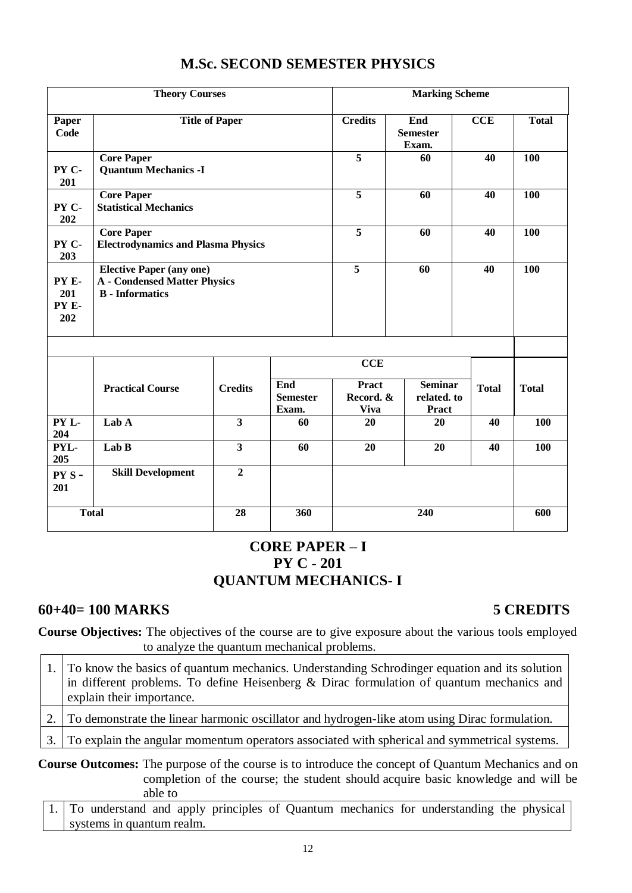|                              | <b>Theory Courses</b>                                                                            |                         |                                 |                                          | <b>Marking Scheme</b>                         |              |              |
|------------------------------|--------------------------------------------------------------------------------------------------|-------------------------|---------------------------------|------------------------------------------|-----------------------------------------------|--------------|--------------|
| Paper<br>Code                |                                                                                                  | <b>Title of Paper</b>   |                                 | <b>Credits</b>                           | End<br><b>Semester</b><br>Exam.               | CCE          | <b>Total</b> |
| PY C-<br>201                 | <b>Core Paper</b><br><b>Quantum Mechanics -I</b>                                                 |                         |                                 | $\overline{5}$                           | 60                                            | 40           | 100          |
| PY C-<br>202                 | <b>Core Paper</b><br><b>Statistical Mechanics</b>                                                |                         |                                 | $\overline{5}$                           | 60                                            | 40           | 100          |
| PY C-<br>203                 | <b>Core Paper</b><br><b>Electrodynamics and Plasma Physics</b>                                   |                         |                                 | 5                                        | 60                                            | 40           | 100          |
| PY E-<br>201<br>PY E-<br>202 | <b>Elective Paper (any one)</b><br><b>A</b> - Condensed Matter Physics<br><b>B</b> - Informatics |                         |                                 |                                          | $\overline{5}$<br>60                          |              | 100          |
|                              |                                                                                                  |                         |                                 | <b>CCE</b>                               |                                               |              |              |
|                              | <b>Practical Course</b>                                                                          | <b>Credits</b>          | End<br><b>Semester</b><br>Exam. | <b>Pract</b><br>Record. &<br><b>Viva</b> | <b>Seminar</b><br>related. to<br><b>Pract</b> | <b>Total</b> | <b>Total</b> |
| PY L-<br>204                 | Lab A                                                                                            | $\overline{\mathbf{3}}$ | 60                              | 20                                       | 20                                            | 40           | 100          |
| PYL-<br>205                  | Lab B                                                                                            | $\overline{3}$          | 60                              | 20                                       | 20                                            | 40           | 100          |
| PYS-<br>201                  | <b>Skill Development</b>                                                                         | $\overline{2}$          |                                 |                                          |                                               |              |              |
| <b>Total</b>                 |                                                                                                  | 28                      | 360                             |                                          | 240                                           |              | 600          |

# **M.Sc. SECOND SEMESTER PHYSICS**

# **CORE PAPER – I PY C - 201 QUANTUM MECHANICS- I**

# **60+40= 100 MARKS 5 CREDITS**

**Course Objectives:** The objectives of the course are to give exposure about the various tools employed to analyze the quantum mechanical problems.  $\overline{ }$ 

| 1. To know the basics of quantum mechanics. Understanding Schrodinger equation and its solution<br>in different problems. To define Heisenberg $\&$ Dirac formulation of quantum mechanics and $\vert$<br>explain their importance. |
|-------------------------------------------------------------------------------------------------------------------------------------------------------------------------------------------------------------------------------------|
| To demonstrate the linear harmonic oscillator and hydrogen-like atom using Dirac formulation.                                                                                                                                       |
| 3. To explain the angular momentum operators associated with spherical and symmetrical systems.                                                                                                                                     |
|                                                                                                                                                                                                                                     |

**Course Outcomes:** The purpose of the course is to introduce the concept of Quantum Mechanics and on completion of the course; the student should acquire basic knowledge and will be able to

1. To understand and apply principles of Quantum mechanics for understanding the physical systems in quantum realm.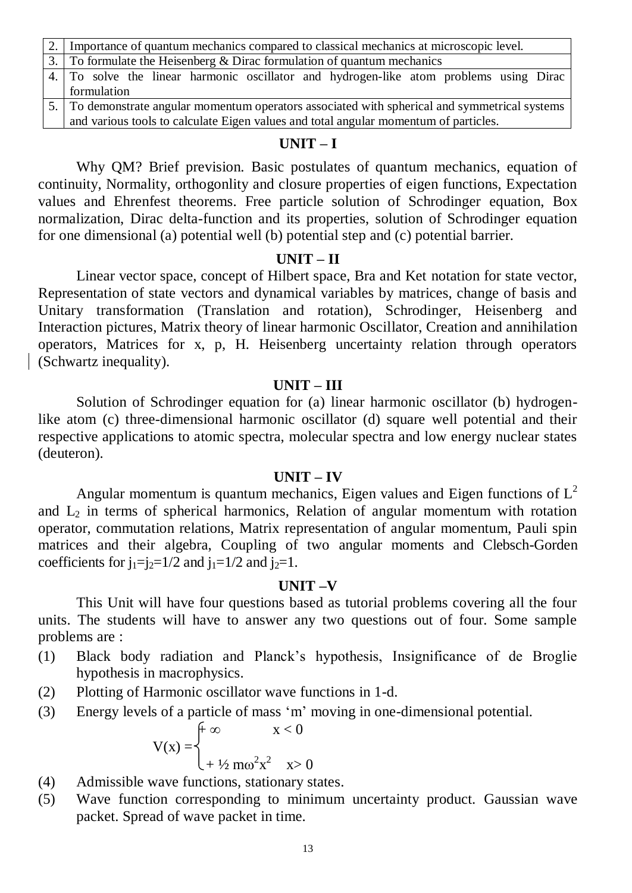| 2. Importance of quantum mechanics compared to classical mechanics at microscopic level.       |
|------------------------------------------------------------------------------------------------|
| 3. To formulate the Heisenberg & Dirac formulation of quantum mechanics                        |
| 4. To solve the linear harmonic oscillator and hydrogen-like atom problems using Dirac         |
| formulation                                                                                    |
| 5. To demonstrate angular momentum operators associated with spherical and symmetrical systems |
| and various tools to calculate Eigen values and total angular momentum of particles.           |

## **UNIT – I**

Why QM? Brief prevision. Basic postulates of quantum mechanics, equation of continuity, Normality, orthogonlity and closure properties of eigen functions, Expectation values and Ehrenfest theorems. Free particle solution of Schrodinger equation, Box normalization, Dirac delta-function and its properties, solution of Schrodinger equation for one dimensional (a) potential well (b) potential step and (c) potential barrier.

### **UNIT – II**

Linear vector space, concept of Hilbert space, Bra and Ket notation for state vector, Representation of state vectors and dynamical variables by matrices, change of basis and Unitary transformation (Translation and rotation), Schrodinger, Heisenberg and Interaction pictures, Matrix theory of linear harmonic Oscillator, Creation and annihilation operators, Matrices for x, p, H. Heisenberg uncertainty relation through operators (Schwartz inequality).

#### **UNIT – III**

Solution of Schrodinger equation for (a) linear harmonic oscillator (b) hydrogenlike atom (c) three-dimensional harmonic oscillator (d) square well potential and their respective applications to atomic spectra, molecular spectra and low energy nuclear states (deuteron).

#### **UNIT – IV**

Angular momentum is quantum mechanics, Eigen values and Eigen functions of  $L^2$ and  $L_2$  in terms of spherical harmonics, Relation of angular momentum with rotation operator, commutation relations, Matrix representation of angular momentum, Pauli spin matrices and their algebra, Coupling of two angular moments and Clebsch-Gorden coefficients for  $j_1=i_2=1/2$  and  $j_1=1/2$  and  $j_2=1$ .

#### **UNIT –V**

This Unit will have four questions based as tutorial problems covering all the four units. The students will have to answer any two questions out of four. Some sample problems are :

- (1) Black body radiation and Planck's hypothesis, Insignificance of de Broglie hypothesis in macrophysics.
- (2) Plotting of Harmonic oscillator wave functions in 1-d.
- (3) Energy levels of a particle of mass 'm' moving in one-dimensional potential.

 $+\infty$  x < 0  $V(x) = \left( +\frac{1}{2} m \omega^2 x^2 \right)$  x> 0

- (4) Admissible wave functions, stationary states.
- (5) Wave function corresponding to minimum uncertainty product. Gaussian wave packet. Spread of wave packet in time.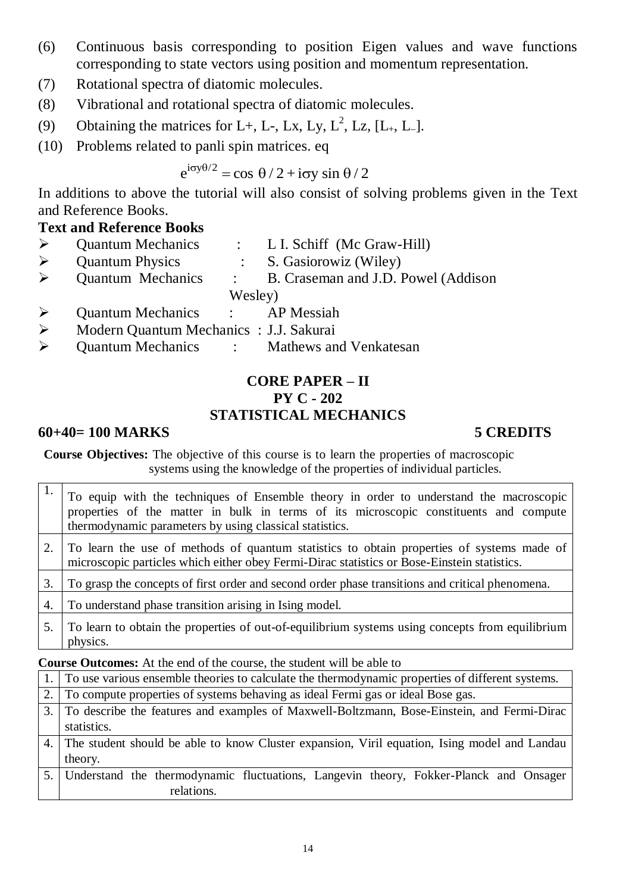- (6) Continuous basis corresponding to position Eigen values and wave functions corresponding to state vectors using position and momentum representation.
- (7) Rotational spectra of diatomic molecules.
- (8) Vibrational and rotational spectra of diatomic molecules.
- (9) Obtaining the matrices for L+, L-, Lx, Ly, L<sup>2</sup>, Lz, [L<sub>+</sub>, L<sub>-</sub>].
- (10) Problems related to panli spin matrices. eq

 $e^{i\sigma y\theta/2} = \cos \theta/2 + i\sigma y \sin \theta/2$ 

In additions to above the tutorial will also consist of solving problems given in the Text and Reference Books.

# **Text and Reference Books**

| $\triangleright$ | <b>Quantum Mechanics</b>                |                | $\therefore$ L. I. Schiff (Mc Graw-Hill) |
|------------------|-----------------------------------------|----------------|------------------------------------------|
| $\triangleright$ | <b>Quantum Physics</b>                  |                | : S. Gasiorowiz (Wiley)                  |
|                  | $\triangleright$ Quantum Mechanics      | $\mathbb{R}^n$ | B. Craseman and J.D. Powel (Addison      |
|                  |                                         | Wesley)        |                                          |
| $\triangleright$ | Quantum Mechanics : AP Messiah          |                |                                          |
| $\triangleright$ | Modern Quantum Mechanics : J.J. Sakurai |                |                                          |
|                  |                                         |                | $\Omega$                                 |

Quantum Mechanics : Mathews and Venkatesan

# **CORE PAPER – II PY C - 202 STATISTICAL MECHANICS**

# **60+40= 100 MARKS 5 CREDITS**

**Course Objectives:** The objective of this course is to learn the properties of macroscopic systems using the knowledge of the properties of individual particles.

|    | To equip with the techniques of Ensemble theory in order to understand the macroscopic<br>properties of the matter in bulk in terms of its microscopic constituents and compute<br>thermodynamic parameters by using classical statistics. |
|----|--------------------------------------------------------------------------------------------------------------------------------------------------------------------------------------------------------------------------------------------|
|    | To learn the use of methods of quantum statistics to obtain properties of systems made of<br>microscopic particles which either obey Fermi-Dirac statistics or Bose-Einstein statistics.                                                   |
| 3. | To grasp the concepts of first order and second order phase transitions and critical phenomena.                                                                                                                                            |
|    | To understand phase transition arising in Ising model.                                                                                                                                                                                     |
|    | To learn to obtain the properties of out-of-equilibrium systems using concepts from equilibrium<br>physics.                                                                                                                                |

**Course Outcomes:** At the end of the course, the student will be able to

| 1. To use various ensemble theories to calculate the thermodynamic properties of different systems. |
|-----------------------------------------------------------------------------------------------------|
| 2. To compute properties of systems behaving as ideal Fermi gas or ideal Bose gas.                  |
| 3. To describe the features and examples of Maxwell-Boltzmann, Bose-Einstein, and Fermi-Dirac       |
| statistics.                                                                                         |
| 4. The student should be able to know Cluster expansion, Viril equation, Ising model and Landau     |
| theory.                                                                                             |
| 5. Understand the thermodynamic fluctuations, Langevin theory, Fokker-Planck and Onsager            |
| relations.                                                                                          |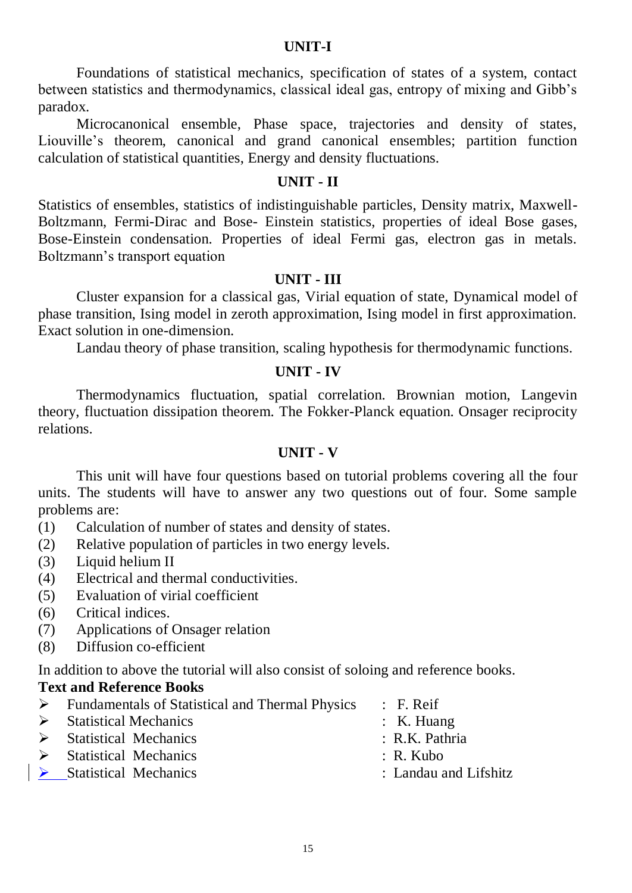## **UNIT-I**

Foundations of statistical mechanics, specification of states of a system, contact between statistics and thermodynamics, classical ideal gas, entropy of mixing and Gibb's paradox.

Microcanonical ensemble, Phase space, trajectories and density of states, Liouville's theorem, canonical and grand canonical ensembles; partition function calculation of statistical quantities, Energy and density fluctuations.

## **UNIT - II**

Statistics of ensembles, statistics of indistinguishable particles, Density matrix, Maxwell-Boltzmann, Fermi-Dirac and Bose- Einstein statistics, properties of ideal Bose gases, Bose-Einstein condensation. Properties of ideal Fermi gas, electron gas in metals. Boltzmann's transport equation

## **UNIT - III**

Cluster expansion for a classical gas, Virial equation of state, Dynamical model of phase transition, Ising model in zeroth approximation, Ising model in first approximation. Exact solution in one-dimension.

Landau theory of phase transition, scaling hypothesis for thermodynamic functions.

## **UNIT - IV**

Thermodynamics fluctuation, spatial correlation. Brownian motion, Langevin theory, fluctuation dissipation theorem. The Fokker-Planck equation. Onsager reciprocity relations.

### **UNIT - V**

This unit will have four questions based on tutorial problems covering all the four units. The students will have to answer any two questions out of four. Some sample problems are:

- (1) Calculation of number of states and density of states.
- (2) Relative population of particles in two energy levels.
- (3) Liquid helium II
- (4) Electrical and thermal conductivities.
- (5) Evaluation of virial coefficient
- (6) Critical indices.
- (7) Applications of Onsager relation
- (8) Diffusion co-efficient

In addition to above the tutorial will also consist of soloing and reference books.

## **Text and Reference Books**

- Fundamentals of Statistical and Thermal Physics : F. Reif
- > Statistical Mechanics : K. Huang
- Statistical Mechanics : R.K. Pathria
- Statistical Mechanics : R. Kubo
- 
- 
- 
- 
- 
- > Statistical Mechanics : Landau and Lifshitz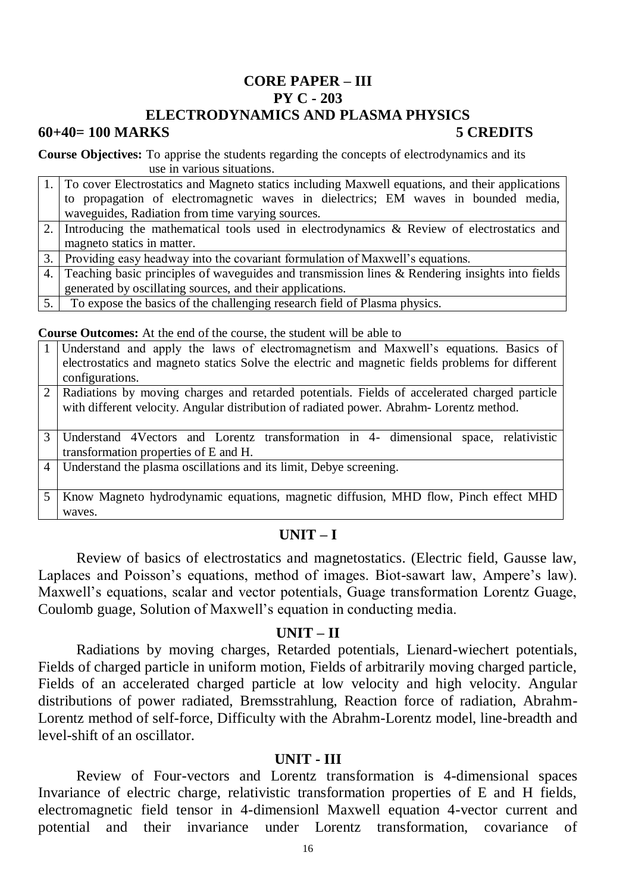# **CORE PAPER – III PY C - 203 ELECTRODYNAMICS AND PLASMA PHYSICS**

#### **60+40= 100 MARKS 5 CREDITS**

**Course Objectives:** To apprise the students regarding the concepts of electrodynamics and its use in various situations.

|     | 1. To cover Electrostatics and Magneto statics including Maxwell equations, and their applications |
|-----|----------------------------------------------------------------------------------------------------|
|     | to propagation of electromagnetic waves in dielectrics; EM waves in bounded media,                 |
|     | waveguides, Radiation from time varying sources.                                                   |
|     | 2. Introducing the mathematical tools used in electrodynamics & Review of electrostatics and       |
|     | magneto statics in matter.                                                                         |
|     | 3. Providing easy headway into the covariant formulation of Maxwell's equations.                   |
|     | 4. Teaching basic principles of waveguides and transmission lines & Rendering insights into fields |
|     | generated by oscillating sources, and their applications.                                          |
| 5.1 | To expose the basics of the challenging research field of Plasma physics.                          |

**Course Outcomes:** At the end of the course, the student will be able to

|   | Course Outcomes, The the chu of the course, the student will be used to                          |
|---|--------------------------------------------------------------------------------------------------|
|   | Understand and apply the laws of electromagnetism and Maxwell's equations. Basics of             |
|   | electrostatics and magneto statics Solve the electric and magnetic fields problems for different |
|   | configurations.                                                                                  |
|   | 2   Radiations by moving charges and retarded potentials. Fields of accelerated charged particle |
|   | with different velocity. Angular distribution of radiated power. Abrahm-Lorentz method.          |
|   |                                                                                                  |
| 3 | Understand 4Vectors and Lorentz transformation in 4- dimensional<br>space, relativistic          |
|   | transformation properties of E and H.                                                            |
|   | 4   Understand the plasma oscillations and its limit, Debye screening.                           |
|   |                                                                                                  |
|   | Know Magneto hydrodynamic equations, magnetic diffusion, MHD flow, Pinch effect MHD              |
|   | waves.                                                                                           |

# **UNIT – I**

Review of basics of electrostatics and magnetostatics. (Electric field, Gausse law, Laplaces and Poisson's equations, method of images. Biot-sawart law, Ampere's law). Maxwell's equations, scalar and vector potentials, Guage transformation Lorentz Guage, Coulomb guage, Solution of Maxwell's equation in conducting media.

## **UNIT – II**

Radiations by moving charges, Retarded potentials, Lienard-wiechert potentials, Fields of charged particle in uniform motion, Fields of arbitrarily moving charged particle, Fields of an accelerated charged particle at low velocity and high velocity. Angular distributions of power radiated, Bremsstrahlung, Reaction force of radiation, Abrahm-Lorentz method of self-force, Difficulty with the Abrahm-Lorentz model, line-breadth and level-shift of an oscillator.

## **UNIT - III**

Review of Four-vectors and Lorentz transformation is 4-dimensional spaces Invariance of electric charge, relativistic transformation properties of E and H fields, electromagnetic field tensor in 4-dimensionl Maxwell equation 4-vector current and potential and their invariance under Lorentz transformation, covariance of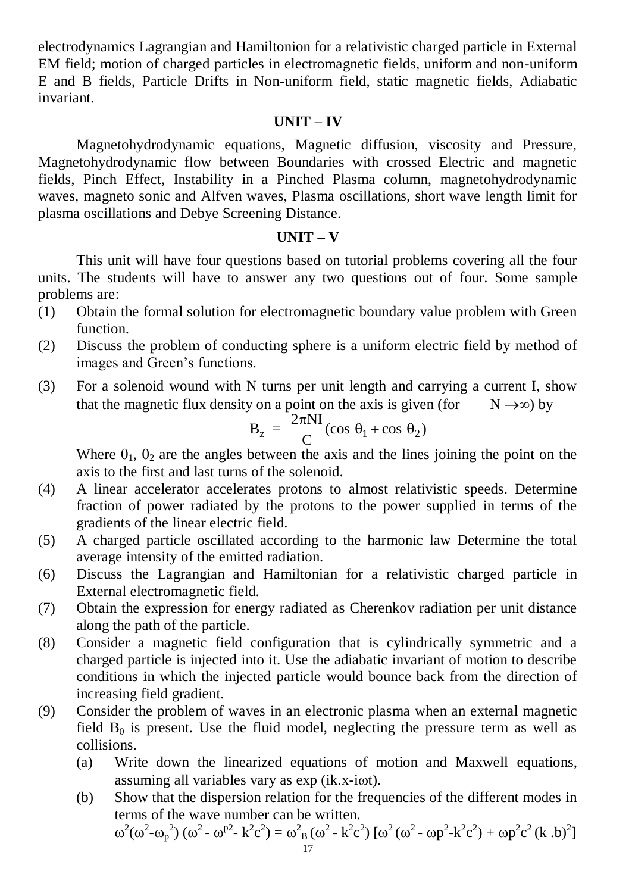electrodynamics Lagrangian and Hamiltonion for a relativistic charged particle in External EM field; motion of charged particles in electromagnetic fields, uniform and non-uniform E and B fields, Particle Drifts in Non-uniform field, static magnetic fields, Adiabatic invariant.

## **UNIT – IV**

Magnetohydrodynamic equations, Magnetic diffusion, viscosity and Pressure, Magnetohydrodynamic flow between Boundaries with crossed Electric and magnetic fields, Pinch Effect, Instability in a Pinched Plasma column, magnetohydrodynamic waves, magneto sonic and Alfven waves, Plasma oscillations, short wave length limit for plasma oscillations and Debye Screening Distance.

## **UNIT – V**

This unit will have four questions based on tutorial problems covering all the four units. The students will have to answer any two questions out of four. Some sample problems are:

- (1) Obtain the formal solution for electromagnetic boundary value problem with Green function.
- (2) Discuss the problem of conducting sphere is a uniform electric field by method of images and Green's functions.
- (3) For a solenoid wound with N turns per unit length and carrying a current I, show that the magnetic flux density on a point on the axis is given (for  $N \rightarrow \infty$ ) by

$$
B_z = \frac{2\pi NI}{C} (\cos \theta_1 + \cos \theta_2)
$$

Where  $\theta_1$ ,  $\theta_2$  are the angles between the axis and the lines joining the point on the axis to the first and last turns of the solenoid.

- (4) A linear accelerator accelerates protons to almost relativistic speeds. Determine fraction of power radiated by the protons to the power supplied in terms of the gradients of the linear electric field.
- (5) A charged particle oscillated according to the harmonic law Determine the total average intensity of the emitted radiation.
- (6) Discuss the Lagrangian and Hamiltonian for a relativistic charged particle in External electromagnetic field.
- (7) Obtain the expression for energy radiated as Cherenkov radiation per unit distance along the path of the particle.
- (8) Consider a magnetic field configuration that is cylindrically symmetric and a charged particle is injected into it. Use the adiabatic invariant of motion to describe conditions in which the injected particle would bounce back from the direction of increasing field gradient.
- (9) Consider the problem of waves in an electronic plasma when an external magnetic field  $B_0$  is present. Use the fluid model, neglecting the pressure term as well as collisions.
	- (a) Write down the linearized equations of motion and Maxwell equations, assuming all variables vary as exp (ik.x-iot).
	- (b) Show that the dispersion relation for the frequencies of the different modes in terms of the wave number can be written.

$$
\omega^{2}(\omega^{2}-\omega_{p}^{2}) \left(\omega^{2}-\omega^{p2}-k^{2}c^{2}\right)=\omega^{2}_{B}(\omega^{2}-k^{2}c^{2}) \left[\omega^{2}(\omega^{2}-\omega p^{2}-k^{2}c^{2})+\omega p^{2}c^{2}(k.b)^{2}\right]
$$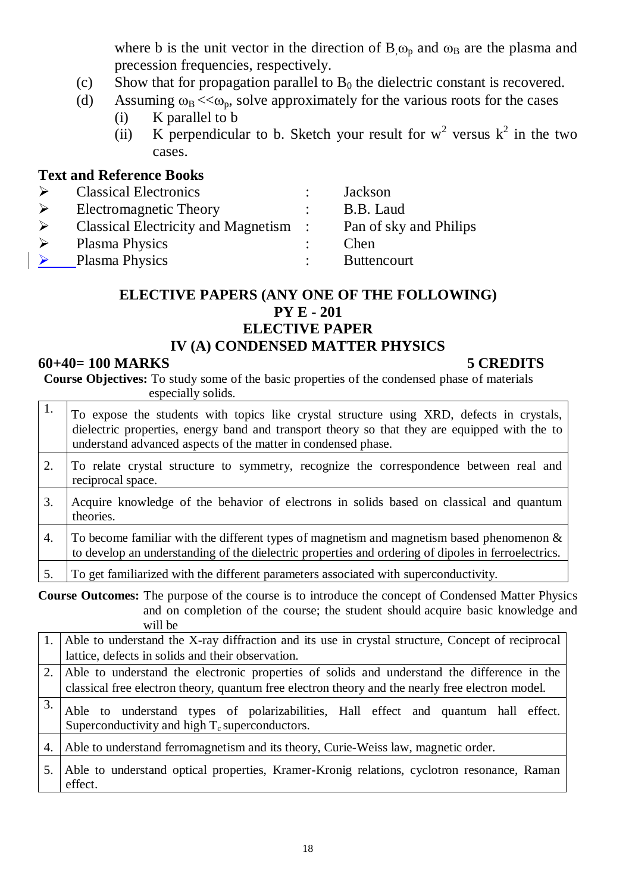where b is the unit vector in the direction of  $B_{\alpha}$  and  $\omega_B$  are the plasma and precession frequencies, respectively.

- (c) Show that for propagation parallel to  $B_0$  the dielectric constant is recovered.
- (d) Assuming  $\omega_B < \omega_p$ , solve approximately for the various roots for the cases
	- (i) K parallel to b
	- (ii) K perpendicular to b. Sketch your result for  $w^2$  versus  $k^2$  in the two cases.

# **Text and Reference Books**

| <b>Classical Electronics</b>                 | Jackson                |
|----------------------------------------------|------------------------|
| Electromagnetic Theory                       | B.B. Laud              |
| <b>Classical Electricity and Magnetism :</b> | Pan of sky and Philips |
| <b>Plasma Physics</b>                        | Chen                   |
| <b>Plasma Physics</b>                        | <b>Buttencourt</b>     |
|                                              |                        |

# **ELECTIVE PAPERS (ANY ONE OF THE FOLLOWING) PY E - 201 ELECTIVE PAPER IV (A) CONDENSED MATTER PHYSICS**

### **60+40= 100 MARKS 5 CREDITS**

**Course Objectives:** To study some of the basic properties of the condensed phase of materials especially solids.

| 1. | To expose the students with topics like crystal structure using XRD, defects in crystals,<br>dielectric properties, energy band and transport theory so that they are equipped with the to<br>understand advanced aspects of the matter in condensed phase. |
|----|-------------------------------------------------------------------------------------------------------------------------------------------------------------------------------------------------------------------------------------------------------------|
| 2. | To relate crystal structure to symmetry, recognize the correspondence between real and<br>reciprocal space.                                                                                                                                                 |
| 3. | Acquire knowledge of the behavior of electrons in solids based on classical and quantum<br>theories.                                                                                                                                                        |
| 4. | To become familiar with the different types of magnetism and magnetism based phenomenon $\&$<br>to develop an understanding of the dielectric properties and ordering of dipoles in ferroelectrics.                                                         |
| 5. | To get familiarized with the different parameters associated with superconductivity.                                                                                                                                                                        |

**Course Outcomes:** The purpose of the course is to introduce the concept of Condensed Matter Physics and on completion of the course; the student should acquire basic knowledge and will be

|    | 1. Able to understand the X-ray diffraction and its use in crystal structure, Concept of reciprocal                                                                                                |
|----|----------------------------------------------------------------------------------------------------------------------------------------------------------------------------------------------------|
|    | lattice, defects in solids and their observation.                                                                                                                                                  |
|    | 2. Able to understand the electronic properties of solids and understand the difference in the<br>classical free electron theory, quantum free electron theory and the nearly free electron model. |
| 3. | Able to understand types of polarizabilities, Hall effect and quantum hall effect.<br>Superconductivity and high $T_c$ superconductors.                                                            |
| 4. | Able to understand ferromagnetism and its theory, Curie-Weiss law, magnetic order.                                                                                                                 |
|    | Able to understand optical properties, Kramer-Kronig relations, cyclotron resonance, Raman<br>effect.                                                                                              |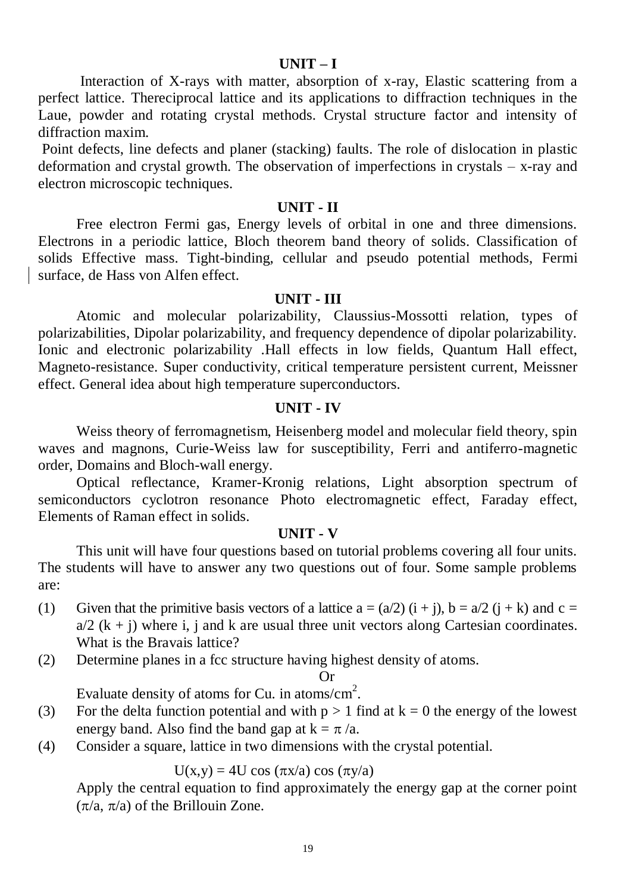#### **UNIT – I**

Interaction of X-rays with matter, absorption of x-ray, Elastic scattering from a perfect lattice. Thereciprocal lattice and its applications to diffraction techniques in the Laue, powder and rotating crystal methods. Crystal structure factor and intensity of diffraction maxim.

Point defects, line defects and planer (stacking) faults. The role of dislocation in plastic deformation and crystal growth. The observation of imperfections in crystals – x-ray and electron microscopic techniques.

## **UNIT - II**

Free electron Fermi gas, Energy levels of orbital in one and three dimensions. Electrons in a periodic lattice, Bloch theorem band theory of solids. Classification of solids Effective mass. Tight-binding, cellular and pseudo potential methods, Fermi surface, de Hass von Alfen effect.

#### **UNIT - III**

Atomic and molecular polarizability, Claussius-Mossotti relation, types of polarizabilities, Dipolar polarizability, and frequency dependence of dipolar polarizability. Ionic and electronic polarizability .Hall effects in low fields, Quantum Hall effect, Magneto-resistance. Super conductivity, critical temperature persistent current, Meissner effect. General idea about high temperature superconductors.

#### **UNIT - IV**

Weiss theory of ferromagnetism, Heisenberg model and molecular field theory, spin waves and magnons, Curie-Weiss law for susceptibility, Ferri and antiferro-magnetic order, Domains and Bloch-wall energy.

Optical reflectance, Kramer-Kronig relations, Light absorption spectrum of semiconductors cyclotron resonance Photo electromagnetic effect, Faraday effect, Elements of Raman effect in solids.

#### **UNIT - V**

This unit will have four questions based on tutorial problems covering all four units. The students will have to answer any two questions out of four. Some sample problems are:

- (1) Given that the primitive basis vectors of a lattice  $a = (a/2)$   $(i + i)$ ,  $b = a/2$   $(i + k)$  and  $c =$  $a/2$  (k + j) where i, j and k are usual three unit vectors along Cartesian coordinates. What is the Bravais lattice?
- (2) Determine planes in a fcc structure having highest density of atoms.

#### Or

Evaluate density of atoms for Cu. in atoms/cm<sup>2</sup>.

- (3) For the delta function potential and with  $p > 1$  find at  $k = 0$  the energy of the lowest energy band. Also find the band gap at  $k = \pi/a$ .
- (4) Consider a square, lattice in two dimensions with the crystal potential.

## $U(x,y) = 4U \cos(\pi x/a) \cos(\pi y/a)$

Apply the central equation to find approximately the energy gap at the corner point  $(\pi/a, \pi/a)$  of the Brillouin Zone.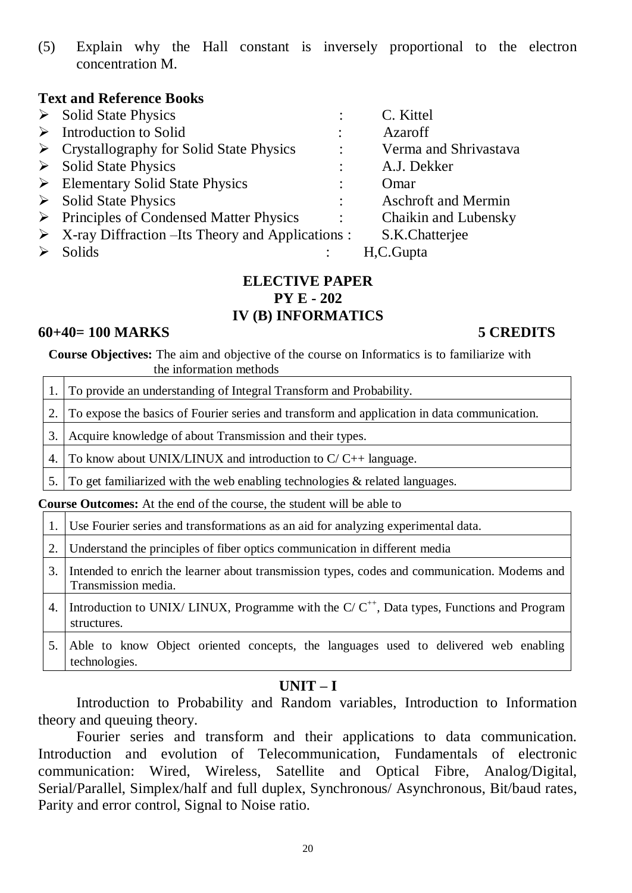(5) Explain why the Hall constant is inversely proportional to the electron concentration M.

## **Text and Reference Books**

| $\triangleright$ Solid State Physics                              |                | C. Kittel                   |
|-------------------------------------------------------------------|----------------|-----------------------------|
| $\triangleright$ Introduction to Solid                            |                | Azaroff                     |
| $\triangleright$ Crystallography for Solid State Physics          |                | Verma and Shrivastava       |
| $\triangleright$ Solid State Physics                              |                | A.J. Dekker                 |
| $\triangleright$ Elementary Solid State Physics                   |                | Omar                        |
| $\triangleright$ Solid State Physics                              |                | <b>Aschroft and Mermin</b>  |
| $\triangleright$ Principles of Condensed Matter Physics           | $\ddot{\cdot}$ | <b>Chaikin and Lubensky</b> |
| $\triangleright$ X-ray Diffraction –Its Theory and Applications : |                | S.K.Chatterjee              |
| <b>Solids</b>                                                     |                | H.C.Gupta                   |

## **ELECTIVE PAPER PY E - 202 IV (B) INFORMATICS**

## **60+40= 100 MARKS 5 CREDITS**

**Course Objectives:** The aim and objective of the course on Informatics is to familiarize with the information methods

1. To provide an understanding of Integral Transform and Probability.

2. To expose the basics of Fourier series and transform and application in data communication.

3. Acquire knowledge of about Transmission and their types.

4. To know about UNIX/LINUX and introduction to  $C/C_{++}$  language.

5. To get familiarized with the web enabling technologies  $\&$  related languages.

**Course Outcomes:** At the end of the course, the student will be able to

1. Use Fourier series and transformations as an aid for analyzing experimental data.

2. Understand the principles of fiber optics communication in different media

- 3. Intended to enrich the learner about transmission types, codes and communication. Modems and Transmission media.
- 4. Introduction to UNIX/ LINUX, Programme with the C/  $C^{++}$ , Data types, Functions and Program structures.
- 5. Able to know Object oriented concepts, the languages used to delivered web enabling technologies.

# **UNIT – I**

Introduction to Probability and Random variables, Introduction to Information theory and queuing theory.

Fourier series and transform and their applications to data communication. Introduction and evolution of Telecommunication, Fundamentals of electronic communication: Wired, Wireless, Satellite and Optical Fibre, Analog/Digital, Serial/Parallel, Simplex/half and full duplex, Synchronous/ Asynchronous, Bit/baud rates, Parity and error control, Signal to Noise ratio.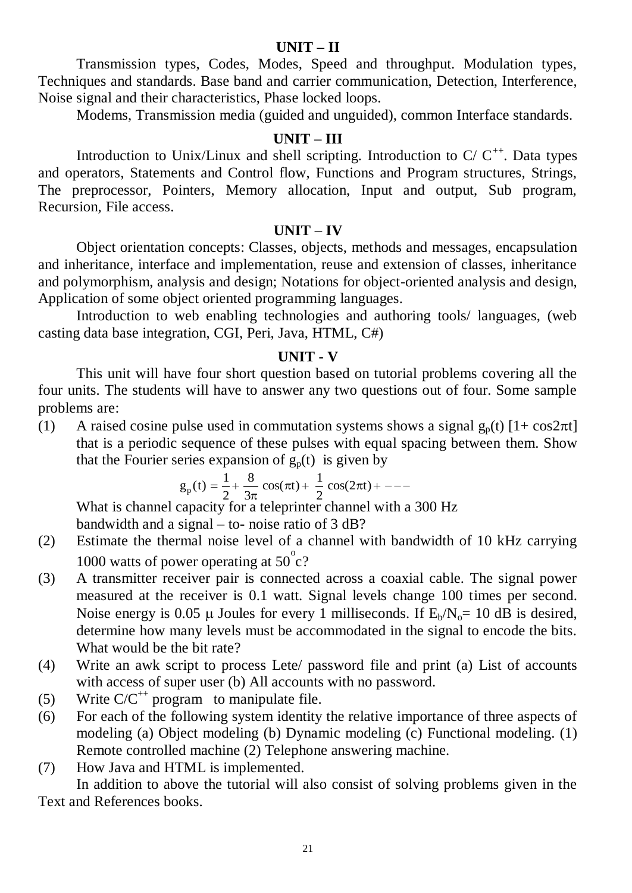# **UNIT – II**

Transmission types, Codes, Modes, Speed and throughput. Modulation types, Techniques and standards. Base band and carrier communication, Detection, Interference, Noise signal and their characteristics, Phase locked loops.

Modems, Transmission media (guided and unguided), common Interface standards.

# **UNIT – III**

Introduction to Unix/Linux and shell scripting. Introduction to  $C/C^{++}$ . Data types and operators, Statements and Control flow, Functions and Program structures, Strings, The preprocessor, Pointers, Memory allocation, Input and output, Sub program, Recursion, File access.

### **UNIT – IV**

Object orientation concepts: Classes, objects, methods and messages, encapsulation and inheritance, interface and implementation, reuse and extension of classes, inheritance and polymorphism, analysis and design; Notations for object-oriented analysis and design, Application of some object oriented programming languages.

Introduction to web enabling technologies and authoring tools/ languages, (web casting data base integration, CGI, Peri, Java, HTML, C#)

## **UNIT - V**

This unit will have four short question based on tutorial problems covering all the four units. The students will have to answer any two questions out of four. Some sample problems are:

(1) A raised cosine pulse used in commutation systems shows a signal  $g_p(t)$  [1+ cos2 $\pi t$ ] that is a periodic sequence of these pulses with equal spacing between them. Show that the Fourier series expansion of  $g_p(t)$  is given by

$$
g_p(t) = \frac{1}{2} + \frac{8}{3\pi} \cos(\pi t) + \frac{1}{2} \cos(2\pi t) + \cdots
$$

What is channel capacity for a teleprinter channel with a 300 Hz bandwidth and a signal – to- noise ratio of 3 dB?

- (2) Estimate the thermal noise level of a channel with bandwidth of 10 kHz carrying 1000 watts of power operating at  $50^{\circ}$ c?
- (3) A transmitter receiver pair is connected across a coaxial cable. The signal power measured at the receiver is 0.1 watt. Signal levels change 100 times per second. Noise energy is 0.05  $\mu$  Joules for every 1 milliseconds. If  $E_b/N_o=10$  dB is desired, determine how many levels must be accommodated in the signal to encode the bits. What would be the bit rate?
- (4) Write an awk script to process Lete/ password file and print (a) List of accounts with access of super user (b) All accounts with no password.
- (5) Write  $C/C^{++}$  program to manipulate file.
- (6) For each of the following system identity the relative importance of three aspects of modeling (a) Object modeling (b) Dynamic modeling (c) Functional modeling. (1) Remote controlled machine (2) Telephone answering machine.
- (7) How Java and HTML is implemented.

In addition to above the tutorial will also consist of solving problems given in the Text and References books.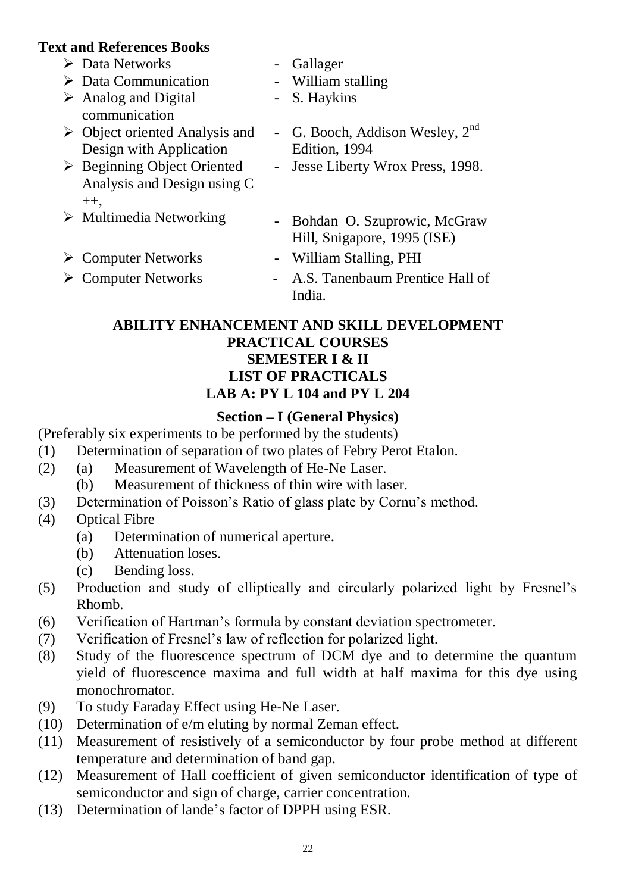# **Text and References Books**

| i anu ixtici thtts Doors                             |                                      |
|------------------------------------------------------|--------------------------------------|
| $\triangleright$ Data Networks                       | Gallager                             |
| $\triangleright$ Data Communication                  | - William stalling                   |
| $\triangleright$ Analog and Digital<br>communication | - S. Haykins                         |
| $\triangleright$ Object oriented Analysis and        | - G. Booch, Addison Wesley, $2^{nd}$ |
| Design with Application                              | Edition, 1994                        |
| $\triangleright$ Beginning Object Oriented           | - Jesse Liberty Wrox Press, 1998.    |
| Analysis and Design using C                          |                                      |
| $++$ .                                               |                                      |
| $\triangleright$ Multimedia Networking               | - Bohdan O. Szuprowic, McGraw        |
|                                                      | Hill, Snigapore, 1995 (ISE)          |
| $\triangleright$ Computer Networks                   | William Stalling, PHI                |
| <b>Computer Networks</b>                             | - A.S. Tanenbaum Prentice Hall of    |
|                                                      | India.                               |

# **ABILITY ENHANCEMENT AND SKILL DEVELOPMENT PRACTICAL COURSES SEMESTER I & II LIST OF PRACTICALS LAB A: PY L 104 and PY L 204**

# **Section – I (General Physics)**

(Preferably six experiments to be performed by the students)

- (1) Determination of separation of two plates of Febry Perot Etalon.
- (2) (a) Measurement of Wavelength of He-Ne Laser.
	- (b) Measurement of thickness of thin wire with laser.
- (3) Determination of Poisson's Ratio of glass plate by Cornu's method.
- (4) Optical Fibre
	- (a) Determination of numerical aperture.
	- (b) Attenuation loses.
	- (c) Bending loss.
- (5) Production and study of elliptically and circularly polarized light by Fresnel's Rhomb.
- (6) Verification of Hartman's formula by constant deviation spectrometer.
- (7) Verification of Fresnel's law of reflection for polarized light.
- (8) Study of the fluorescence spectrum of DCM dye and to determine the quantum yield of fluorescence maxima and full width at half maxima for this dye using monochromator.
- (9) To study Faraday Effect using He-Ne Laser.
- (10) Determination of e/m eluting by normal Zeman effect.
- (11) Measurement of resistively of a semiconductor by four probe method at different temperature and determination of band gap.
- (12) Measurement of Hall coefficient of given semiconductor identification of type of semiconductor and sign of charge, carrier concentration.
- (13) Determination of lande's factor of DPPH using ESR.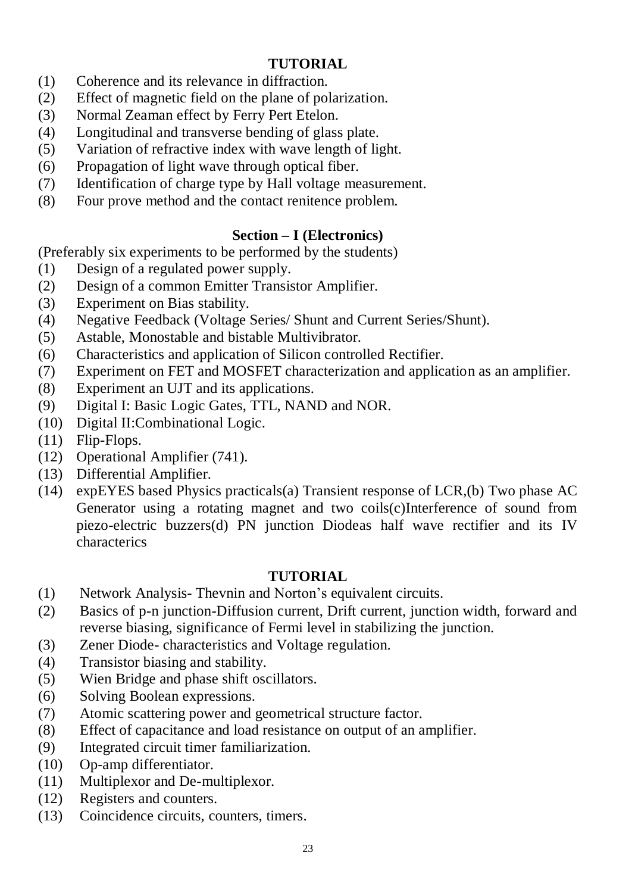# **TUTORIAL**

- (1) Coherence and its relevance in diffraction.
- (2) Effect of magnetic field on the plane of polarization.
- (3) Normal Zeaman effect by Ferry Pert Etelon.
- (4) Longitudinal and transverse bending of glass plate.
- (5) Variation of refractive index with wave length of light.
- (6) Propagation of light wave through optical fiber.
- (7) Identification of charge type by Hall voltage measurement.
- (8) Four prove method and the contact renitence problem.

# **Section – I (Electronics)**

(Preferably six experiments to be performed by the students)

- (1) Design of a regulated power supply.
- (2) Design of a common Emitter Transistor Amplifier.
- (3) Experiment on Bias stability.
- (4) Negative Feedback (Voltage Series/ Shunt and Current Series/Shunt).
- (5) Astable, Monostable and bistable Multivibrator.
- (6) Characteristics and application of Silicon controlled Rectifier.
- (7) Experiment on FET and MOSFET characterization and application as an amplifier.
- (8) Experiment an UJT and its applications.
- (9) Digital I: Basic Logic Gates, TTL, NAND and NOR.
- (10) Digital II:Combinational Logic.
- (11) Flip-Flops.
- (12) Operational Amplifier (741).
- (13) Differential Amplifier.
- (14) expEYES based Physics practicals(a) Transient response of LCR,(b) Two phase AC Generator using a rotating magnet and two coils(c)Interference of sound from piezo-electric buzzers(d) PN junction Diodeas half wave rectifier and its IV characterics

# **TUTORIAL**

- (1) Network Analysis- Thevnin and Norton's equivalent circuits.
- (2) Basics of p-n junction-Diffusion current, Drift current, junction width, forward and reverse biasing, significance of Fermi level in stabilizing the junction.
- (3) Zener Diode- characteristics and Voltage regulation.
- (4) Transistor biasing and stability.
- (5) Wien Bridge and phase shift oscillators.
- (6) Solving Boolean expressions.
- (7) Atomic scattering power and geometrical structure factor.
- (8) Effect of capacitance and load resistance on output of an amplifier.
- (9) Integrated circuit timer familiarization.
- (10) Op-amp differentiator.
- (11) Multiplexor and De-multiplexor.
- (12) Registers and counters.
- (13) Coincidence circuits, counters, timers.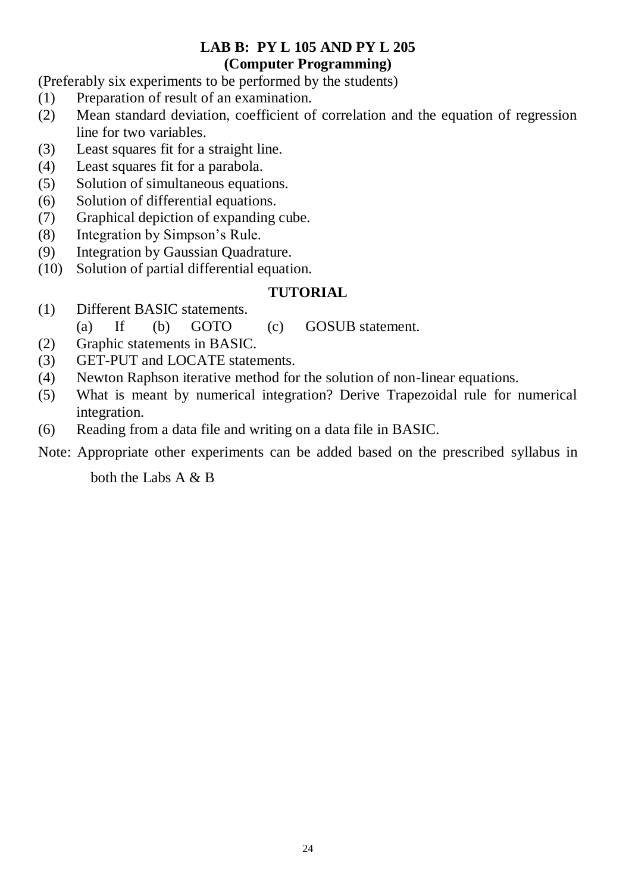# **LAB B: PY L 105 AND PY L 205 (Computer Programming)**

(Preferably six experiments to be performed by the students)

- (1) Preparation of result of an examination.
- (2) Mean standard deviation, coefficient of correlation and the equation of regression line for two variables.
- (3) Least squares fit for a straight line.
- (4) Least squares fit for a parabola.
- (5) Solution of simultaneous equations.
- (6) Solution of differential equations.
- (7) Graphical depiction of expanding cube.
- (8) Integration by Simpson's Rule.
- (9) Integration by Gaussian Quadrature.
- (10) Solution of partial differential equation.

# **TUTORIAL**

- (1) Different BASIC statements.
	- (a) If (b) GOTO (c) GOSUB statement.
- (2) Graphic statements in BASIC.
- (3) GET-PUT and LOCATE statements.
- (4) Newton Raphson iterative method for the solution of non-linear equations.
- (5) What is meant by numerical integration? Derive Trapezoidal rule for numerical integration.
- (6) Reading from a data file and writing on a data file in BASIC.

Note: Appropriate other experiments can be added based on the prescribed syllabus in

both the Labs A & B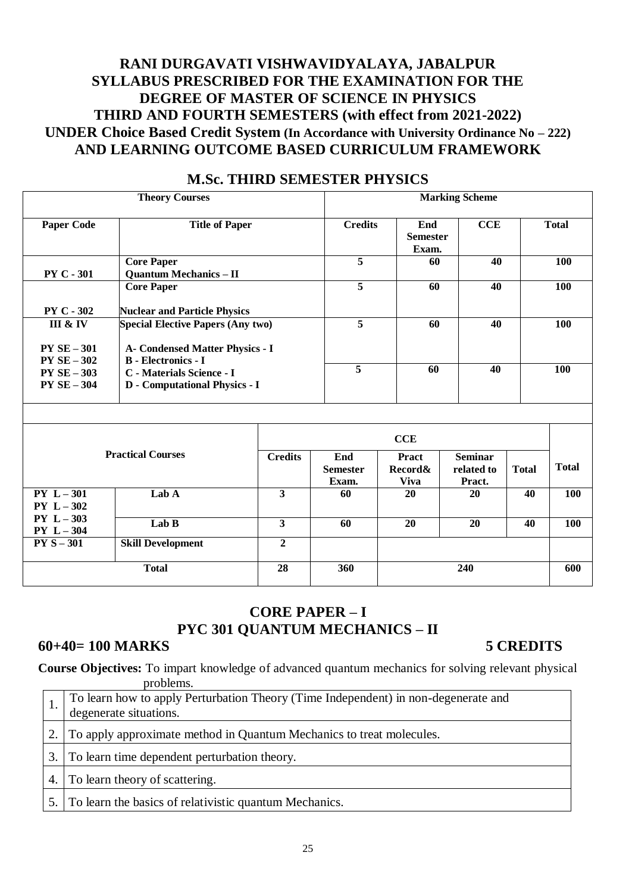# **RANI DURGAVATI VISHWAVIDYALAYA, JABALPUR SYLLABUS PRESCRIBED FOR THE EXAMINATION FOR THE DEGREE OF MASTER OF SCIENCE IN PHYSICS THIRD AND FOURTH SEMESTERS (with effect from 2021-2022) UNDER Choice Based Credit System (In Accordance with University Ordinance No – 222) AND LEARNING OUTCOME BASED CURRICULUM FRAMEWORK**

| <b>Theory Courses</b>                                             |                                                             | <b>Marking Scheme</b>           |     |              |  |
|-------------------------------------------------------------------|-------------------------------------------------------------|---------------------------------|-----|--------------|--|
| <b>Title of Paper</b>                                             | <b>Credits</b>                                              | End<br><b>Semester</b><br>Exam. | CCE | <b>Total</b> |  |
| <b>Core Paper</b>                                                 | 5                                                           | 60                              | 40  | <b>100</b>   |  |
| <b>Core Paper</b>                                                 | 5                                                           | 60                              | 40  | <b>100</b>   |  |
| <b>Nuclear and Particle Physics</b>                               |                                                             |                                 |     |              |  |
| <b>Special Elective Papers (Any two)</b>                          | 5                                                           | 60                              | 40  | <b>100</b>   |  |
| <b>A- Condensed Matter Physics - I</b>                            |                                                             |                                 |     |              |  |
| C - Materials Science - I<br><b>D</b> - Computational Physics - I | 5                                                           | 60                              | 40  | <b>100</b>   |  |
|                                                                   | <b>Quantum Mechanics - II</b><br><b>B</b> - Electronics - I |                                 |     |              |  |

## **M.Sc. THIRD SEMESTER PHYSICS**

|                              |                          | CCE            |                                 |                                        |                                        |              |              |
|------------------------------|--------------------------|----------------|---------------------------------|----------------------------------------|----------------------------------------|--------------|--------------|
|                              | <b>Practical Courses</b> | <b>Credits</b> | End<br><b>Semester</b><br>Exam. | <b>Pract</b><br>Record&<br><b>Viva</b> | <b>Seminar</b><br>related to<br>Pract. | <b>Total</b> | <b>Total</b> |
| $PY L - 301$<br>$PY L - 302$ | Lab A                    | 3              | 60                              | <b>20</b>                              | <b>20</b>                              | 40           | <b>100</b>   |
| $PY L - 303$<br>$PY L - 304$ | Lab B                    | 3              | 60                              | 20                                     | 20                                     | 40           | 100          |
| $PYS-301$                    | <b>Skill Development</b> | $\mathbf{2}$   |                                 |                                        |                                        |              |              |
|                              | <b>Total</b>             | 28             | 360                             |                                        | 240                                    |              | 600          |

# **CORE PAPER – I PYC 301 QUANTUM MECHANICS – II**

## **60+40= 100 MARKS 5 CREDITS**

**Course Objectives:** To impart knowledge of advanced quantum mechanics for solving relevant physical problems.

| To learn how to apply Perturbation Theory (Time Independent) in non-degenerate and<br>degenerate situations. |
|--------------------------------------------------------------------------------------------------------------|
| 2. To apply approximate method in Quantum Mechanics to treat molecules.                                      |
| 3. To learn time dependent perturbation theory.                                                              |
| 4. To learn theory of scattering.                                                                            |
| 5. To learn the basics of relativistic quantum Mechanics.                                                    |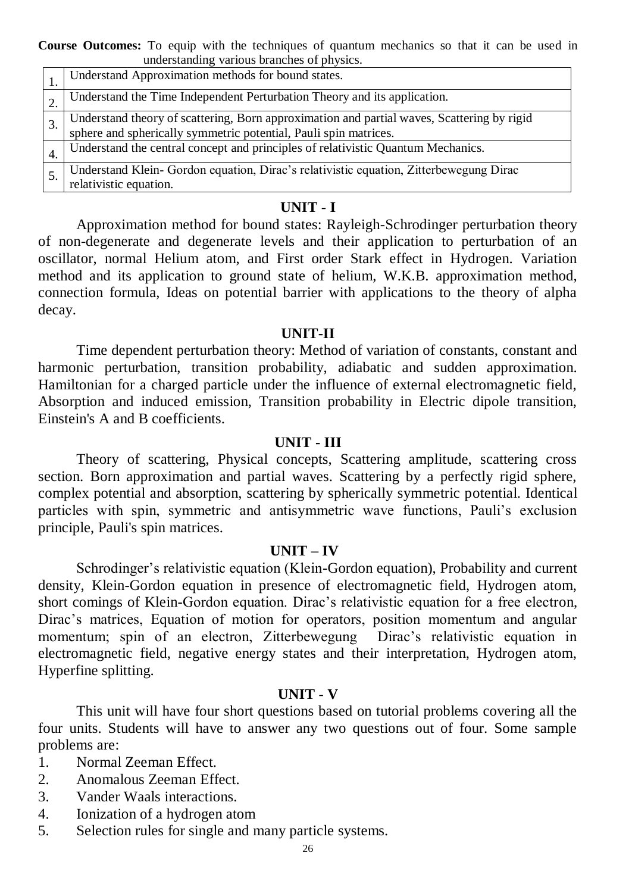**Course Outcomes:** To equip with the techniques of quantum mechanics so that it can be used in understanding various branches of physics.

| Understand Approximation methods for bound states.                                                                                                             |
|----------------------------------------------------------------------------------------------------------------------------------------------------------------|
| Understand the Time Independent Perturbation Theory and its application.                                                                                       |
| Understand theory of scattering, Born approximation and partial waves, Scattering by rigid<br>sphere and spherically symmetric potential, Pauli spin matrices. |
| Understand the central concept and principles of relativistic Quantum Mechanics.                                                                               |
| Understand Klein- Gordon equation, Dirac's relativistic equation, Zitterbewegung Dirac<br>relativistic equation.                                               |

## **UNIT - I**

Approximation method for bound states: Rayleigh-Schrodinger perturbation theory of non-degenerate and degenerate levels and their application to perturbation of an oscillator, normal Helium atom, and First order Stark effect in Hydrogen. Variation method and its application to ground state of helium, W.K.B. approximation method, connection formula, Ideas on potential barrier with applications to the theory of alpha decay.

#### **UNIT-II**

Time dependent perturbation theory: Method of variation of constants, constant and harmonic perturbation, transition probability, adiabatic and sudden approximation. Hamiltonian for a charged particle under the influence of external electromagnetic field, Absorption and induced emission, Transition probability in Electric dipole transition, Einstein's A and B coefficients.

## **UNIT - III**

Theory of scattering, Physical concepts, Scattering amplitude, scattering cross section. Born approximation and partial waves. Scattering by a perfectly rigid sphere, complex potential and absorption, scattering by spherically symmetric potential. Identical particles with spin, symmetric and antisymmetric wave functions, Pauli's exclusion principle, Pauli's spin matrices.

#### **UNIT – IV**

Schrodinger's relativistic equation (Klein-Gordon equation), Probability and current density, Klein-Gordon equation in presence of electromagnetic field, Hydrogen atom, short comings of Klein-Gordon equation. Dirac's relativistic equation for a free electron, Dirac's matrices, Equation of motion for operators, position momentum and angular momentum; spin of an electron, Zitterbewegung Dirac's relativistic equation in electromagnetic field, negative energy states and their interpretation, Hydrogen atom, Hyperfine splitting.

#### **UNIT - V**

This unit will have four short questions based on tutorial problems covering all the four units. Students will have to answer any two questions out of four. Some sample problems are:

- 1. Normal Zeeman Effect.
- 2. Anomalous Zeeman Effect.
- 3. Vander Waals interactions.
- 4. Ionization of a hydrogen atom
- 5. Selection rules for single and many particle systems.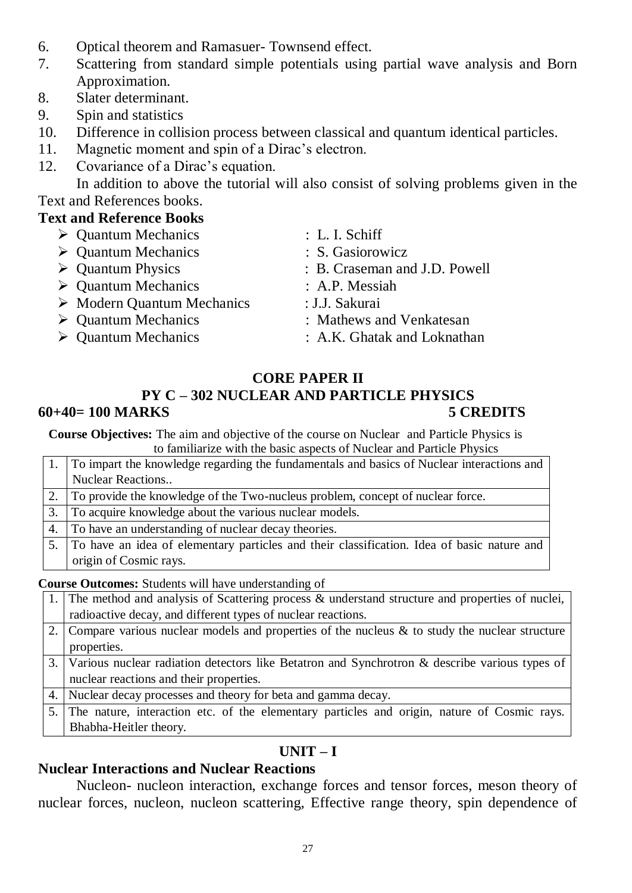- 6. Optical theorem and Ramasuer- Townsend effect.
- 7. Scattering from standard simple potentials using partial wave analysis and Born Approximation.
- 8. Slater determinant.
- 9. Spin and statistics
- 10. Difference in collision process between classical and quantum identical particles.
- 11. Magnetic moment and spin of a Dirac's electron.
- 12. Covariance of a Dirac's equation.

In addition to above the tutorial will also consist of solving problems given in the Text and References books.

# **Text and Reference Books**

| $\triangleright$ Quantum Mechanics        | : L. I. Schiff                |
|-------------------------------------------|-------------------------------|
| $\triangleright$ Quantum Mechanics        | : S. Gasiorowicz              |
| $\triangleright$ Quantum Physics          | : B. Craseman and J.D. Powell |
| $\triangleright$ Quantum Mechanics        | : A.P. Messiah                |
| $\triangleright$ Modern Quantum Mechanics | : J.J. Sakurai                |
| $\triangleright$ Quantum Mechanics        | : Mathews and Venkatesan      |
| $\triangleright$ Quantum Mechanics        | : A.K. Ghatak and Loknathan   |
|                                           |                               |

# **CORE PAPER II**

# **PY C – 302 NUCLEAR AND PARTICLE PHYSICS 60+40= 100 MARKS 5 CREDITS**

**Course Objectives:** The aim and objective of the course on Nuclear and Particle Physics is to familiarize with the basic aspects of Nuclear and Particle Physics

|    | To impart the knowledge regarding the fundamentals and basics of Nuclear interactions and  |
|----|--------------------------------------------------------------------------------------------|
|    | <b>Nuclear Reactions</b>                                                                   |
|    | To provide the knowledge of the Two-nucleus problem, concept of nuclear force.             |
| 3. | To acquire knowledge about the various nuclear models.                                     |
|    | 4. To have an understanding of nuclear decay theories.                                     |
|    | To have an idea of elementary particles and their classification. Idea of basic nature and |
|    | origin of Cosmic rays.                                                                     |

**Course Outcomes:** Students will have understanding of

| 1. The method and analysis of Scattering process & understand structure and properties of nuclei,   |
|-----------------------------------------------------------------------------------------------------|
|                                                                                                     |
| radioactive decay, and different types of nuclear reactions.                                        |
| 2. Compare various nuclear models and properties of the nucleus $\&$ to study the nuclear structure |
| properties.                                                                                         |
| 3. Various nuclear radiation detectors like Betatron and Synchrotron & describe various types of    |
| nuclear reactions and their properties.                                                             |
| 4. Nuclear decay processes and theory for beta and gamma decay.                                     |
| 5. The nature, interaction etc. of the elementary particles and origin, nature of Cosmic rays.      |
| Bhabha-Heitler theory.                                                                              |

# **UNIT – I**

# **Nuclear Interactions and Nuclear Reactions**

Nucleon- nucleon interaction, exchange forces and tensor forces, meson theory of nuclear forces, nucleon, nucleon scattering, Effective range theory, spin dependence of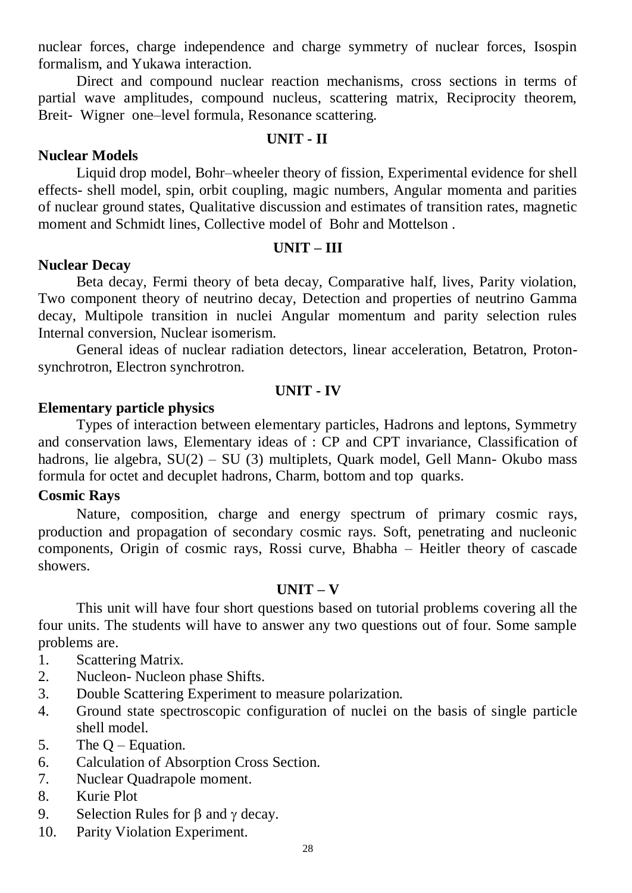nuclear forces, charge independence and charge symmetry of nuclear forces, Isospin formalism, and Yukawa interaction.

Direct and compound nuclear reaction mechanisms, cross sections in terms of partial wave amplitudes, compound nucleus, scattering matrix, Reciprocity theorem, Breit- Wigner one–level formula, Resonance scattering.

## **UNIT - II**

# **Nuclear Models**

Liquid drop model, Bohr–wheeler theory of fission, Experimental evidence for shell effects- shell model, spin, orbit coupling, magic numbers, Angular momenta and parities of nuclear ground states, Qualitative discussion and estimates of transition rates, magnetic moment and Schmidt lines, Collective model of Bohr and Mottelson .

## **UNIT – III**

## **Nuclear Decay**

Beta decay, Fermi theory of beta decay, Comparative half, lives, Parity violation, Two component theory of neutrino decay, Detection and properties of neutrino Gamma decay, Multipole transition in nuclei Angular momentum and parity selection rules Internal conversion, Nuclear isomerism.

General ideas of nuclear radiation detectors, linear acceleration, Betatron, Protonsynchrotron, Electron synchrotron.

## **UNIT - IV**

## **Elementary particle physics**

Types of interaction between elementary particles, Hadrons and leptons, Symmetry and conservation laws, Elementary ideas of : CP and CPT invariance, Classification of hadrons, lie algebra, SU(2) – SU (3) multiplets, Quark model, Gell Mann- Okubo mass formula for octet and decuplet hadrons, Charm, bottom and top quarks.

# **Cosmic Rays**

Nature, composition, charge and energy spectrum of primary cosmic rays, production and propagation of secondary cosmic rays. Soft, penetrating and nucleonic components, Origin of cosmic rays, Rossi curve, Bhabha – Heitler theory of cascade showers.

## **UNIT – V**

This unit will have four short questions based on tutorial problems covering all the four units. The students will have to answer any two questions out of four. Some sample problems are.

- 1. Scattering Matrix.
- 2. Nucleon- Nucleon phase Shifts.
- 3. Double Scattering Experiment to measure polarization.
- 4. Ground state spectroscopic configuration of nuclei on the basis of single particle shell model.
- 5. The Q Equation.
- 6. Calculation of Absorption Cross Section.
- 7. Nuclear Quadrapole moment.
- 8. Kurie Plot
- 9. Selection Rules for  $\beta$  and  $\gamma$  decay.
- 10. Parity Violation Experiment.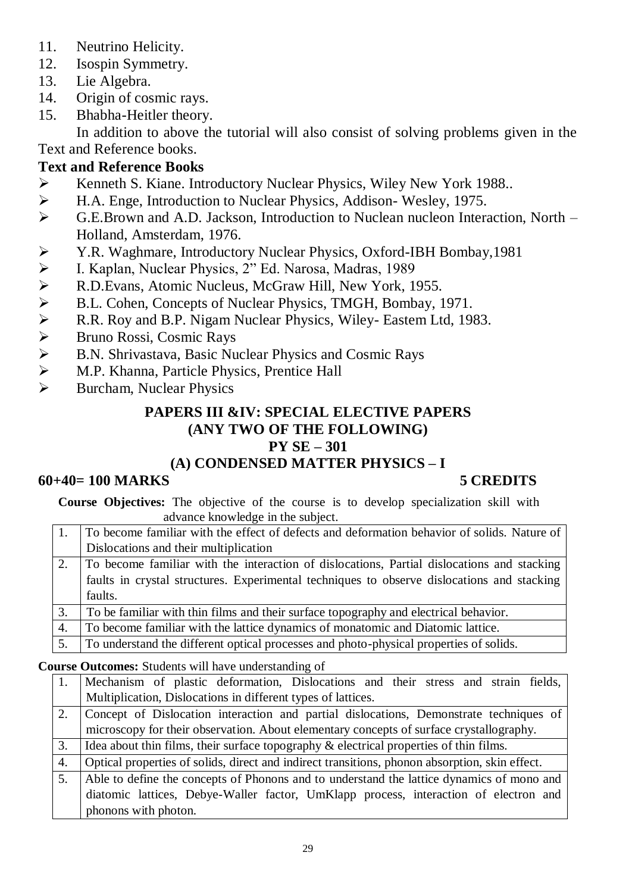- 11. Neutrino Helicity.
- 12. Isospin Symmetry.
- 13. Lie Algebra.
- 14. Origin of cosmic rays.
- 15. Bhabha-Heitler theory.

In addition to above the tutorial will also consist of solving problems given in the Text and Reference books.

# **Text and Reference Books**

- Kenneth S. Kiane. Introductory Nuclear Physics, Wiley New York 1988..
- H.A. Enge, Introduction to Nuclear Physics, Addison- Wesley, 1975.
- G.E.Brown and A.D. Jackson, Introduction to Nuclean nucleon Interaction, North Holland, Amsterdam, 1976.
- X. X. Waghmare, Introductory Nuclear Physics, Oxford-IBH Bombay,1981<br>
→ I. Kaplan, Nuclear Physics, 2" Ed. Narosa, Madras, 1989<br>
→ R.D.Evans, Atomic Nucleus, McGraw Hill, New York, 1955.<br>
→ B.L. Cohen, Concepts of Nuclear
- I. Kaplan, Nuclear Physics, 2" Ed. Narosa, Madras, 1989
- R.D.Evans, Atomic Nucleus, McGraw Hill, New York, 1955.
- B.L. Cohen, Concepts of Nuclear Physics, TMGH, Bombay, 1971.
- R.R. Roy and B.P. Nigam Nuclear Physics, Wiley- Eastem Ltd, 1983.
- Bruno Rossi, Cosmic Rays
- B.N. Shrivastava, Basic Nuclear Physics and Cosmic Rays
- $\triangleright$  M.P. Khanna, Particle Physics, Prentice Hall<br> $\triangleright$  Burcham. Nuclear Physics
- Burcham, Nuclear Physics

# **PAPERS III &IV: SPECIAL ELECTIVE PAPERS (ANY TWO OF THE FOLLOWING) PY SE – 301**

# **(A) CONDENSED MATTER PHYSICS – I**

# **60+40= 100 MARKS 5 CREDITS**

**Course Objectives:** The objective of the course is to develop specialization skill with advance knowledge in the subject.

- 1. To become familiar with the effect of defects and deformation behavior of solids. Nature of Dislocations and their multiplication
- 2. To become familiar with the interaction of dislocations, Partial dislocations and stacking faults in crystal structures. Experimental techniques to observe dislocations and stacking faults.
- 3. To be familiar with thin films and their surface topography and electrical behavior.
- 4. To become familiar with the lattice dynamics of monatomic and Diatomic lattice.
- 5. To understand the different optical processes and photo-physical properties of solids.

## **Course Outcomes:** Students will have understanding of

- 1. Mechanism of plastic deformation, Dislocations and their stress and strain fields, Multiplication, Dislocations in different types of lattices.
- 2. Concept of Dislocation interaction and partial dislocations, Demonstrate techniques of microscopy for their observation. About elementary concepts of surface crystallography.
- 3. I dea about thin films, their surface topography  $\&$  electrical properties of thin films.

4. Optical properties of solids, direct and indirect transitions, phonon absorption, skin effect.

5. Able to define the concepts of Phonons and to understand the lattice dynamics of mono and diatomic lattices, Debye-Waller factor, UmKlapp process, interaction of electron and phonons with photon.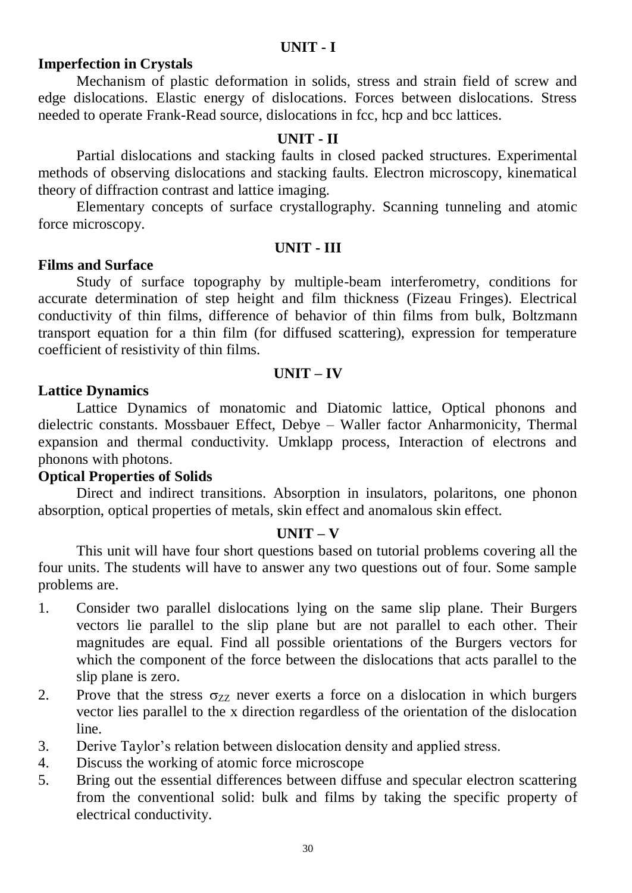# **UNIT - I**

# **Imperfection in Crystals**

Mechanism of plastic deformation in solids, stress and strain field of screw and edge dislocations. Elastic energy of dislocations. Forces between dislocations. Stress needed to operate Frank-Read source, dislocations in fcc, hcp and bcc lattices.

## **UNIT - II**

Partial dislocations and stacking faults in closed packed structures. Experimental methods of observing dislocations and stacking faults. Electron microscopy, kinematical theory of diffraction contrast and lattice imaging.

Elementary concepts of surface crystallography. Scanning tunneling and atomic force microscopy.

#### **UNIT - III**

### **Films and Surface**

Study of surface topography by multiple-beam interferometry, conditions for accurate determination of step height and film thickness (Fizeau Fringes). Electrical conductivity of thin films, difference of behavior of thin films from bulk, Boltzmann transport equation for a thin film (for diffused scattering), expression for temperature coefficient of resistivity of thin films.

### **UNIT – IV**

## **Lattice Dynamics**

Lattice Dynamics of monatomic and Diatomic lattice, Optical phonons and dielectric constants. Mossbauer Effect, Debye – Waller factor Anharmonicity, Thermal expansion and thermal conductivity. Umklapp process, Interaction of electrons and phonons with photons.

## **Optical Properties of Solids**

Direct and indirect transitions. Absorption in insulators, polaritons, one phonon absorption, optical properties of metals, skin effect and anomalous skin effect.

#### **UNIT – V**

This unit will have four short questions based on tutorial problems covering all the four units. The students will have to answer any two questions out of four. Some sample problems are.

- 1. Consider two parallel dislocations lying on the same slip plane. Their Burgers vectors lie parallel to the slip plane but are not parallel to each other. Their magnitudes are equal. Find all possible orientations of the Burgers vectors for which the component of the force between the dislocations that acts parallel to the slip plane is zero.
- 2. Prove that the stress  $\sigma_{ZZ}$  never exerts a force on a dislocation in which burgers vector lies parallel to the x direction regardless of the orientation of the dislocation line.
- 3. Derive Taylor's relation between dislocation density and applied stress.
- 4. Discuss the working of atomic force microscope
- 5. Bring out the essential differences between diffuse and specular electron scattering from the conventional solid: bulk and films by taking the specific property of electrical conductivity.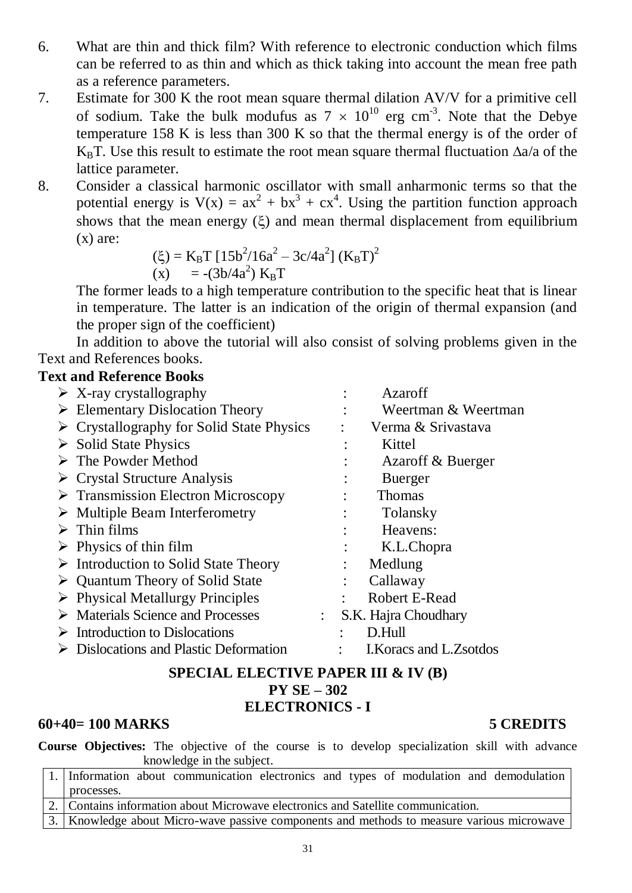- 6. What are thin and thick film? With reference to electronic conduction which films can be referred to as thin and which as thick taking into account the mean free path as a reference parameters.
- 7. Estimate for 300 K the root mean square thermal dilation AV/V for a primitive cell of sodium. Take the bulk modufus as  $7 \times 10^{10}$  erg cm<sup>-3</sup>. Note that the Debye temperature 158 K is less than 300 K so that the thermal energy is of the order of K<sub>B</sub>T. Use this result to estimate the root mean square thermal fluctuation  $\Delta a/a$  of the lattice parameter.
- 8. Consider a classical harmonic oscillator with small anharmonic terms so that the potential energy is  $V(x) = ax^2 + bx^3 + cx^4$ . Using the partition function approach shows that the mean energy  $(\xi)$  and mean thermal displacement from equilibrium  $(x)$  are:

$$
\begin{array}{ll} \text{(E)} = \text{K}_{\text{B}} \text{T} \left[ 15b^2 / 16a^2 - 3c / 4a^2 \right] \left( \text{K}_{\text{B}} \text{T} \right)^2 \\ \text{(x)} &= -(3b / 4a^2) \text{K}_{\text{B}} \text{T} \end{array}
$$

The former leads to a high temperature contribution to the specific heat that is linear in temperature. The latter is an indication of the origin of thermal expansion (and the proper sign of the coefficient)

In addition to above the tutorial will also consist of solving problems given in the Text and References books.

# **Text and Reference Books**

| $\triangleright$ X-ray crystallography                   | Azaroff                                           |
|----------------------------------------------------------|---------------------------------------------------|
| $\triangleright$ Elementary Dislocation Theory           | Weertman & Weertman                               |
| $\triangleright$ Crystallography for Solid State Physics | Verma & Srivastava                                |
| $\triangleright$ Solid State Physics                     | Kittel                                            |
| $\triangleright$ The Powder Method                       | Azaroff & Buerger                                 |
| $\triangleright$ Crystal Structure Analysis              | <b>Buerger</b>                                    |
| $\triangleright$ Transmission Electron Microscopy        | <b>Thomas</b>                                     |
| $\triangleright$ Multiple Beam Interferometry            | Tolansky                                          |
| $\triangleright$ Thin films                              | Heavens:                                          |
| $\triangleright$ Physics of thin film                    | K.L.Chopra                                        |
| $\triangleright$ Introduction to Solid State Theory      | Medlung                                           |
| $\triangleright$ Quantum Theory of Solid State           | Callaway                                          |
| $\triangleright$ Physical Metallurgy Principles          | Robert E-Read                                     |
| $\triangleright$ Materials Science and Processes         | S.K. Hajra Choudhary<br>$\mathbb{R}^{\mathbb{Z}}$ |
| $\triangleright$ Introduction to Dislocations            | D.Hull                                            |
| $\triangleright$ Dislocations and Plastic Deformation    | I. Koracs and L. Zsotdos                          |
|                                                          |                                                   |

# **SPECIAL ELECTIVE PAPER III & IV (B) PY SE – 302 ELECTRONICS - I**

# **60+40= 100 MARKS 5 CREDITS**

**Course Objectives:** The objective of the course is to develop specialization skill with advance knowledge in the subject.

| 1. Information about communication electronics and types of modulation and demodulation                 |
|---------------------------------------------------------------------------------------------------------|
| processes.                                                                                              |
| 2. Contains information about Microwave electronics and Satellite communication.                        |
| $\frac{1}{2}$ Vnowladge shout Miane were negative components and methods to measure vertices migravised |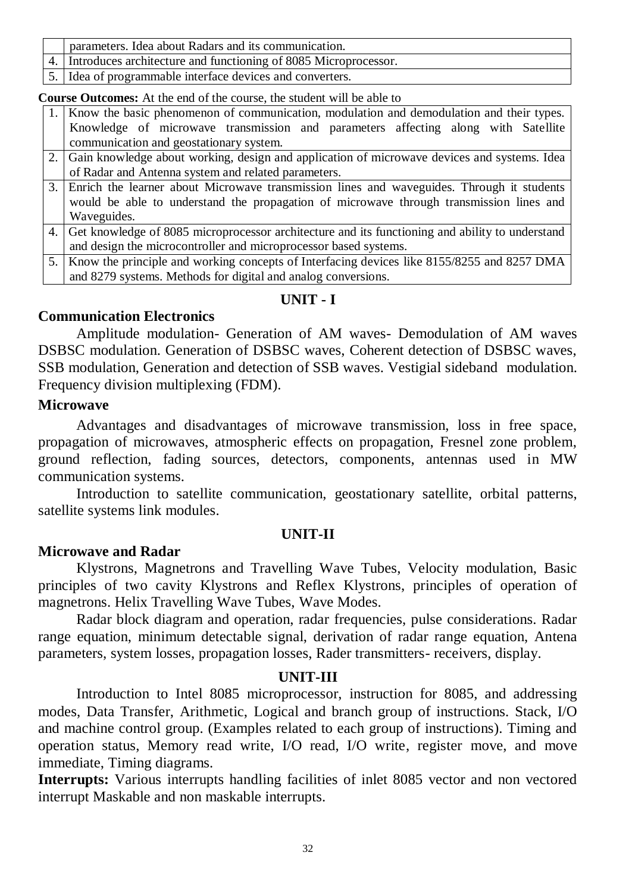- 4. Introduces architecture and functioning of 8085 Microprocessor.
- 5. Idea of programmable interface devices and converters.

**Course Outcomes:** At the end of the course, the student will be able to

- 1. Know the basic phenomenon of communication, modulation and demodulation and their types. Knowledge of microwave transmission and parameters affecting along with Satellite communication and geostationary system.
- 2. Gain knowledge about working, design and application of microwave devices and systems. Idea of Radar and Antenna system and related parameters.
- 3. Enrich the learner about Microwave transmission lines and waveguides. Through it students would be able to understand the propagation of microwave through transmission lines and Waveguides.
- 4. Get knowledge of 8085 microprocessor architecture and its functioning and ability to understand and design the microcontroller and microprocessor based systems.

5. Know the principle and working concepts of Interfacing devices like 8155/8255 and 8257 DMA and 8279 systems. Methods for digital and analog conversions.

# **UNIT - I**

# **Communication Electronics**

Amplitude modulation- Generation of AM waves- Demodulation of AM waves DSBSC modulation. Generation of DSBSC waves, Coherent detection of DSBSC waves, SSB modulation, Generation and detection of SSB waves. Vestigial sideband modulation. Frequency division multiplexing (FDM).

# **Microwave**

Advantages and disadvantages of microwave transmission, loss in free space, propagation of microwaves, atmospheric effects on propagation, Fresnel zone problem, ground reflection, fading sources, detectors, components, antennas used in MW communication systems.

Introduction to satellite communication, geostationary satellite, orbital patterns, satellite systems link modules.

# **UNIT-II**

## **Microwave and Radar**

Klystrons, Magnetrons and Travelling Wave Tubes, Velocity modulation, Basic principles of two cavity Klystrons and Reflex Klystrons, principles of operation of magnetrons. Helix Travelling Wave Tubes, Wave Modes.

Radar block diagram and operation, radar frequencies, pulse considerations. Radar range equation, minimum detectable signal, derivation of radar range equation, Antena parameters, system losses, propagation losses, Rader transmitters- receivers, display.

## **UNIT-III**

Introduction to Intel 8085 microprocessor, instruction for 8085, and addressing modes, Data Transfer, Arithmetic, Logical and branch group of instructions. Stack, I/O and machine control group. (Examples related to each group of instructions). Timing and operation status, Memory read write, I/O read, I/O write, register move, and move immediate, Timing diagrams.

**Interrupts:** Various interrupts handling facilities of inlet 8085 vector and non vectored interrupt Maskable and non maskable interrupts.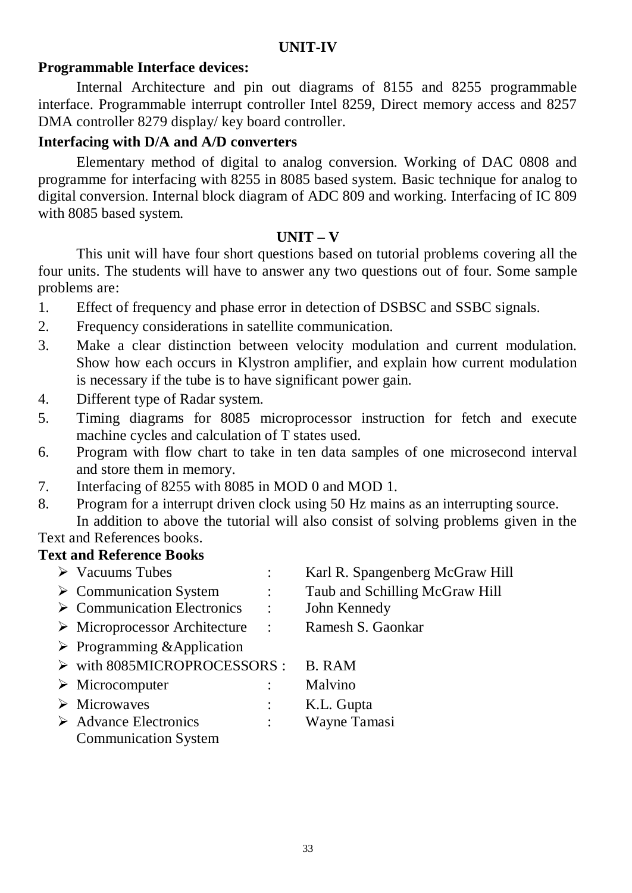# **Programmable Interface devices:**

Internal Architecture and pin out diagrams of 8155 and 8255 programmable interface. Programmable interrupt controller Intel 8259, Direct memory access and 8257 DMA controller 8279 display/ key board controller.

## **Interfacing with D/A and A/D converters**

Elementary method of digital to analog conversion. Working of DAC 0808 and programme for interfacing with 8255 in 8085 based system. Basic technique for analog to digital conversion. Internal block diagram of ADC 809 and working. Interfacing of IC 809 with 8085 based system.

## **UNIT – V**

This unit will have four short questions based on tutorial problems covering all the four units. The students will have to answer any two questions out of four. Some sample problems are:

- 1. Effect of frequency and phase error in detection of DSBSC and SSBC signals.
- 2. Frequency considerations in satellite communication.
- 3. Make a clear distinction between velocity modulation and current modulation. Show how each occurs in Klystron amplifier, and explain how current modulation is necessary if the tube is to have significant power gain.
- 4. Different type of Radar system.
- 5. Timing diagrams for 8085 microprocessor instruction for fetch and execute machine cycles and calculation of T states used.
- 6. Program with flow chart to take in ten data samples of one microsecond interval and store them in memory.
- 7. Interfacing of 8255 with 8085 in MOD 0 and MOD 1.
- 8. Program for a interrupt driven clock using 50 Hz mains as an interrupting source. In addition to above the tutorial will also consist of solving problems given in the

#### Text and References books. **Text and Reference Books**

| exi and Reiefence Books                      |                |                                 |
|----------------------------------------------|----------------|---------------------------------|
| $\triangleright$ Vacuums Tubes               | $\ddot{\cdot}$ | Karl R. Spangenberg McGraw Hill |
| $\triangleright$ Communication System        |                | Taub and Schilling McGraw Hill  |
| $\triangleright$ Communication Electronics   | ÷              | John Kennedy                    |
| $\triangleright$ Microprocessor Architecture | $\ddot{\cdot}$ | Ramesh S. Gaonkar               |
| $\triangleright$ Programming & Application   |                |                                 |
| > with 8085MICROPROCESSORS :                 |                | <b>B.</b> RAM                   |
| $\triangleright$ Microcomputer               |                | Malvino                         |
| $\triangleright$ Microwaves                  |                | K.L. Gupta                      |
| $\triangleright$ Advance Electronics         |                | Wayne Tamasi                    |
| <b>Communication System</b>                  |                |                                 |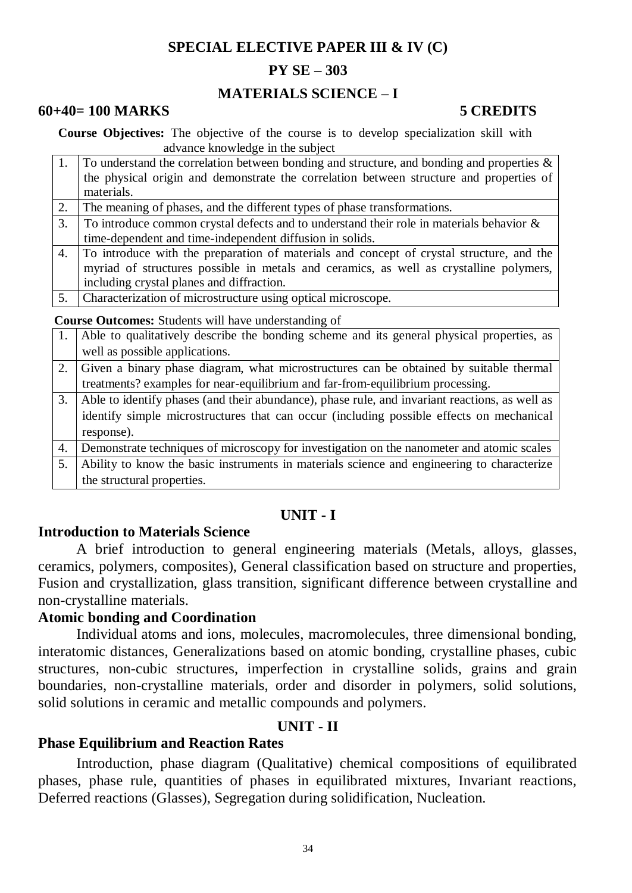# **SPECIAL ELECTIVE PAPER III & IV (C)**

# **PY SE – 303**

# **MATERIALS SCIENCE – I**

## **60+40= 100 MARKS 5 CREDITS**

**Course Objectives:** The objective of the course is to develop specialization skill with advance knowledge in the subject

|    | To understand the correlation between bonding and structure, and bonding and properties & |
|----|-------------------------------------------------------------------------------------------|
|    | the physical origin and demonstrate the correlation between structure and properties of   |
|    | materials.                                                                                |
| 2. | The meaning of phases, and the different types of phase transformations.                  |
| 3. | To introduce common crystal defects and to understand their role in materials behavior &  |
|    | time-dependent and time-independent diffusion in solids.                                  |
| 4. | To introduce with the preparation of materials and concept of crystal structure, and the  |
|    | myriad of structures possible in metals and ceramics, as well as crystalline polymers,    |
|    | including crystal planes and diffraction.                                                 |
| 5. | Characterization of microstructure using optical microscope.                              |
|    |                                                                                           |

 **Course Outcomes:** Students will have understanding of

|    | Able to qualitatively describe the bonding scheme and its general physical properties, as      |
|----|------------------------------------------------------------------------------------------------|
|    | well as possible applications.                                                                 |
|    | Given a binary phase diagram, what microstructures can be obtained by suitable thermal         |
|    | treatments? examples for near-equilibrium and far-from-equilibrium processing.                 |
| 3. | Able to identify phases (and their abundance), phase rule, and invariant reactions, as well as |
|    | identify simple microstructures that can occur (including possible effects on mechanical       |
|    | response).                                                                                     |
| 4. | Demonstrate techniques of microscopy for investigation on the nanometer and atomic scales      |
| 5. | Ability to know the basic instruments in materials science and engineering to characterize     |
|    | the structural properties.                                                                     |

## **UNIT - I**

## **Introduction to Materials Science**

A brief introduction to general engineering materials (Metals, alloys, glasses, ceramics, polymers, composites), General classification based on structure and properties, Fusion and crystallization, glass transition, significant difference between crystalline and non-crystalline materials.

### **Atomic bonding and Coordination**

Individual atoms and ions, molecules, macromolecules, three dimensional bonding, interatomic distances, Generalizations based on atomic bonding, crystalline phases, cubic structures, non-cubic structures, imperfection in crystalline solids, grains and grain boundaries, non-crystalline materials, order and disorder in polymers, solid solutions, solid solutions in ceramic and metallic compounds and polymers.

## **UNIT - II**

## **Phase Equilibrium and Reaction Rates**

Introduction, phase diagram (Qualitative) chemical compositions of equilibrated phases, phase rule, quantities of phases in equilibrated mixtures, Invariant reactions, Deferred reactions (Glasses), Segregation during solidification, Nucleation.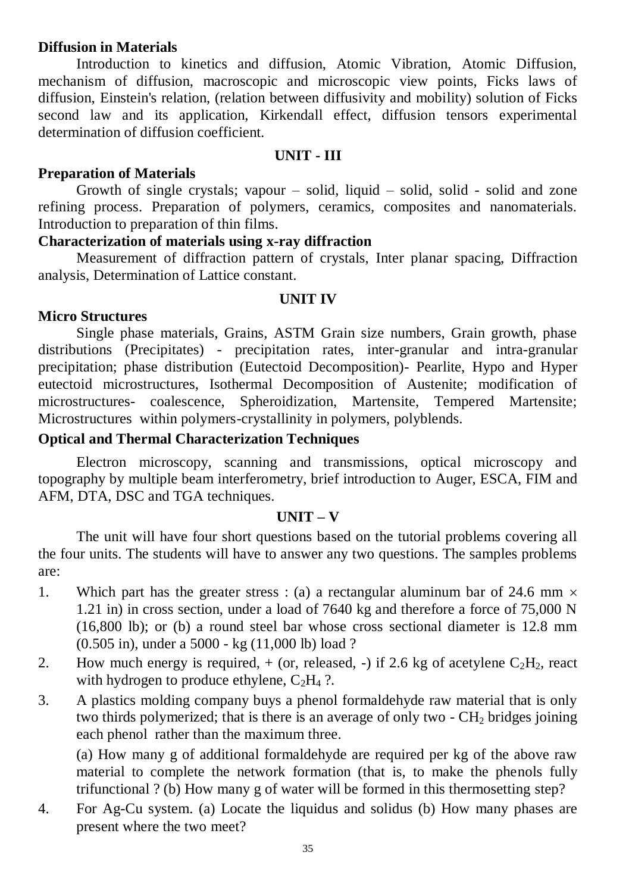## **Diffusion in Materials**

Introduction to kinetics and diffusion, Atomic Vibration, Atomic Diffusion, mechanism of diffusion, macroscopic and microscopic view points, Ficks laws of diffusion, Einstein's relation, (relation between diffusivity and mobility) solution of Ficks second law and its application, Kirkendall effect, diffusion tensors experimental determination of diffusion coefficient.

## **UNIT - III**

# **Preparation of Materials**

Growth of single crystals; vapour  $-$  solid, liquid  $-$  solid, solid  $-$  solid and zone refining process. Preparation of polymers, ceramics, composites and nanomaterials. Introduction to preparation of thin films.

# **Characterization of materials using x-ray diffraction**

Measurement of diffraction pattern of crystals, Inter planar spacing, Diffraction analysis, Determination of Lattice constant.

# **UNIT IV**

# **Micro Structures**

Single phase materials, Grains, ASTM Grain size numbers, Grain growth, phase distributions (Precipitates) - precipitation rates, inter-granular and intra-granular precipitation; phase distribution (Eutectoid Decomposition)- Pearlite, Hypo and Hyper eutectoid microstructures, Isothermal Decomposition of Austenite; modification of microstructures- coalescence, Spheroidization, Martensite, Tempered Martensite; Microstructures within polymers-crystallinity in polymers, polyblends.

# **Optical and Thermal Characterization Techniques**

Electron microscopy, scanning and transmissions, optical microscopy and topography by multiple beam interferometry, brief introduction to Auger, ESCA, FIM and AFM, DTA, DSC and TGA techniques.

## **UNIT – V**

The unit will have four short questions based on the tutorial problems covering all the four units. The students will have to answer any two questions. The samples problems are:

- 1. Which part has the greater stress : (a) a rectangular aluminum bar of 24.6 mm  $\times$ 1.21 in) in cross section, under a load of 7640 kg and therefore a force of 75,000 N (16,800 lb); or (b) a round steel bar whose cross sectional diameter is 12.8 mm (0.505 in), under a 5000 - kg (11,000 lb) load ?
- 2. How much energy is required,  $+$  (or, released,  $-$ ) if 2.6 kg of acetylene  $C_2H_2$ , react with hydrogen to produce ethylene,  $C_2H_4$  ?.
- 3. A plastics molding company buys a phenol formaldehyde raw material that is only two thirds polymerized; that is there is an average of only two -  $CH<sub>2</sub>$  bridges joining each phenol rather than the maximum three.

(a) How many g of additional formaldehyde are required per kg of the above raw material to complete the network formation (that is, to make the phenols fully trifunctional ? (b) How many g of water will be formed in this thermosetting step?

4. For Ag-Cu system. (a) Locate the liquidus and solidus (b) How many phases are present where the two meet?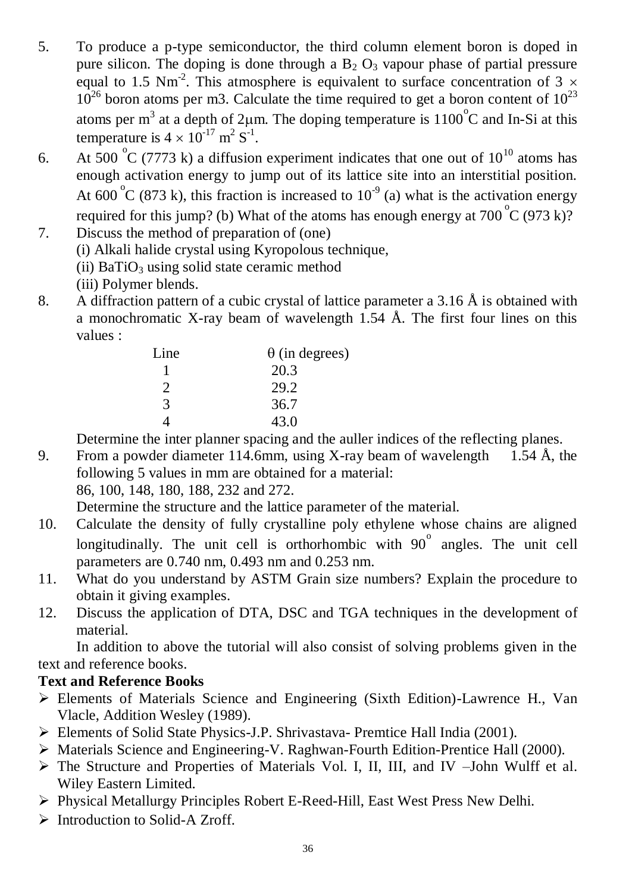- 5. To produce a p-type semiconductor, the third column element boron is doped in pure silicon. The doping is done through a  $B_2$  O<sub>3</sub> vapour phase of partial pressure equal to 1.5 Nm<sup>-2</sup>. This atmosphere is equivalent to surface concentration of 3  $\times$  $10^{26}$  boron atoms per m3. Calculate the time required to get a boron content of  $10^{23}$ atoms per m<sup>3</sup> at a depth of 2 $\mu$ m. The doping temperature is 1100°C and In-Si at this temperature is  $4 \times 10^{-17}$  m<sup>2</sup> S<sup>-1</sup>.
- 6. At 500 °C (7773 k) a diffusion experiment indicates that one out of  $10^{10}$  atoms has enough activation energy to jump out of its lattice site into an interstitial position. At  $600^{\circ}$ C (873 k), this fraction is increased to  $10^{-9}$  (a) what is the activation energy required for this jump? (b) What of the atoms has enough energy at  $700^{\circ}$ C (973 k)?
- 7. Discuss the method of preparation of (one) (i) Alkali halide crystal using Kyropolous technique,
	- (ii)  $BaTiO<sub>3</sub>$  using solid state ceramic method
	- (iii) Polymer blends.
- 8. A diffraction pattern of a cubic crystal of lattice parameter a 3.16  $\AA$  is obtained with a monochromatic X-ray beam of wavelength 1.54  $\AA$ . The first four lines on this values :

| Line                        | $\theta$ (in degrees) |
|-----------------------------|-----------------------|
|                             | 20.3                  |
| $\mathcal{D}_{\mathcal{L}}$ | 29.2                  |
| $\mathcal{R}$               | 36.7                  |
|                             | 43.0                  |

Determine the inter planner spacing and the auller indices of the reflecting planes.

9. From a powder diameter 114.6mm, using X-ray beam of wavelength 1.54 Å, the following 5 values in mm are obtained for a material: 86, 100, 148, 180, 188, 232 and 272.

Determine the structure and the lattice parameter of the material.

- 10. Calculate the density of fully crystalline poly ethylene whose chains are aligned longitudinally. The unit cell is orthorhombic with  $90^\circ$  angles. The unit cell parameters are 0.740 nm, 0.493 nm and 0.253 nm.
- 11. What do you understand by ASTM Grain size numbers? Explain the procedure to obtain it giving examples.
- 12. Discuss the application of DTA, DSC and TGA techniques in the development of material.

In addition to above the tutorial will also consist of solving problems given in the text and reference books.

# **Text and Reference Books**

- Elements of Materials Science and Engineering (Sixth Edition)-Lawrence H., Van Vlacle, Addition Wesley (1989).
- Elements of Solid State Physics-J.P. Shrivastava- Premtice Hall India (2001).
- Materials Science and Engineering-V. Raghwan-Fourth Edition-Prentice Hall (2000).
- The Structure and Properties of Materials Vol. I, II, III, and IV –John Wulff et al. Wiley Eastern Limited.
- Physical Metallurgy Principles Robert E-Reed-Hill, East West Press New Delhi.
- $\triangleright$  Introduction to Solid-A Zroff.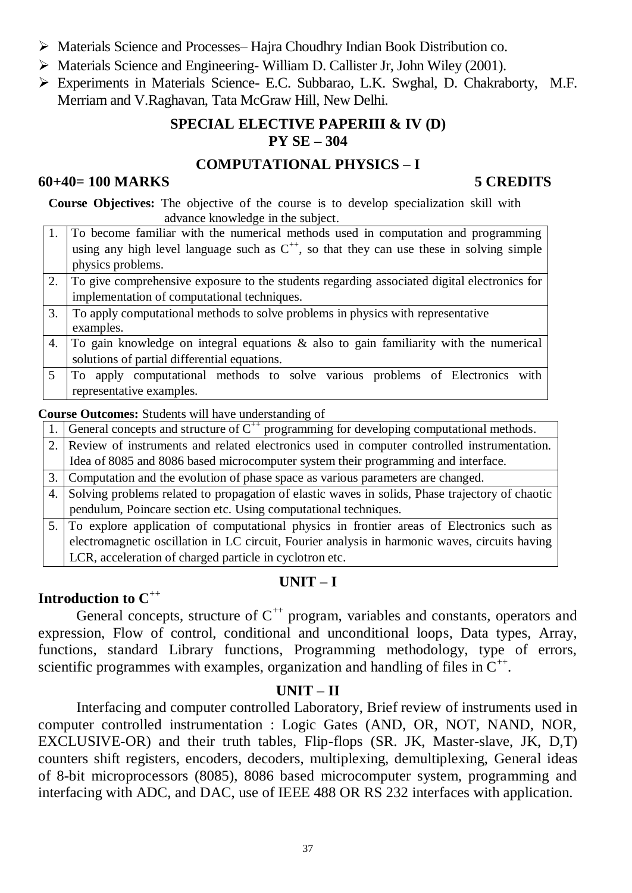- Materials Science and Processes– Hajra Choudhry Indian Book Distribution co.
- $\triangleright$  Materials Science and Engineering-William D. Callister Jr, John Wiley (2001).
- Experiments in Materials Science- E.C. Subbarao, L.K. Swghal, D. Chakraborty, M.F. Merriam and V.Raghavan, Tata McGraw Hill, New Delhi.

# **SPECIAL ELECTIVE PAPERIII & IV (D) PY SE – 304**

# **COMPUTATIONAL PHYSICS – I**

# **60+40= 100 MARKS 5 CREDITS**

**Course Objectives:** The objective of the course is to develop specialization skill with advance knowledge in the subject.

- 1. To become familiar with the numerical methods used in computation and programming using any high level language such as  $C^{++}$ , so that they can use these in solving simple physics problems.
- 2. To give comprehensive exposure to the students regarding associated digital electronics for implementation of computational techniques.
- 3. To apply computational methods to solve problems in physics with representative examples.
- 4. To gain knowledge on integral equations & also to gain familiarity with the numerical solutions of partial differential equations.
- 5 To apply computational methods to solve various problems of Electronics with representative examples.

## **Course Outcomes:** Students will have understanding of

- 1. General concepts and structure of  $C^{++}$  programming for developing computational methods.
- 2. Review of instruments and related electronics used in computer controlled instrumentation. Idea of 8085 and 8086 based microcomputer system their programming and interface.
- 3. Computation and the evolution of phase space as various parameters are changed.
- 4. Solving problems related to propagation of elastic waves in solids, Phase trajectory of chaotic pendulum, Poincare section etc. Using computational techniques.
- 5. To explore application of computational physics in frontier areas of Electronics such as electromagnetic oscillation in LC circuit, Fourier analysis in harmonic waves, circuits having LCR, acceleration of charged particle in cyclotron etc.

# **UNIT – I**

# **Introduction to C++**

General concepts, structure of  $C^{++}$  program, variables and constants, operators and expression, Flow of control, conditional and unconditional loops, Data types, Array, functions, standard Library functions, Programming methodology, type of errors, scientific programmes with examples, organization and handling of files in  $C^{++}$ .

# **UNIT – II**

Interfacing and computer controlled Laboratory, Brief review of instruments used in computer controlled instrumentation : Logic Gates (AND, OR, NOT, NAND, NOR, EXCLUSIVE-OR) and their truth tables, Flip-flops (SR. JK, Master-slave, JK, D,T) counters shift registers, encoders, decoders, multiplexing, demultiplexing, General ideas of 8-bit microprocessors (8085), 8086 based microcomputer system, programming and interfacing with ADC, and DAC, use of IEEE 488 OR RS 232 interfaces with application.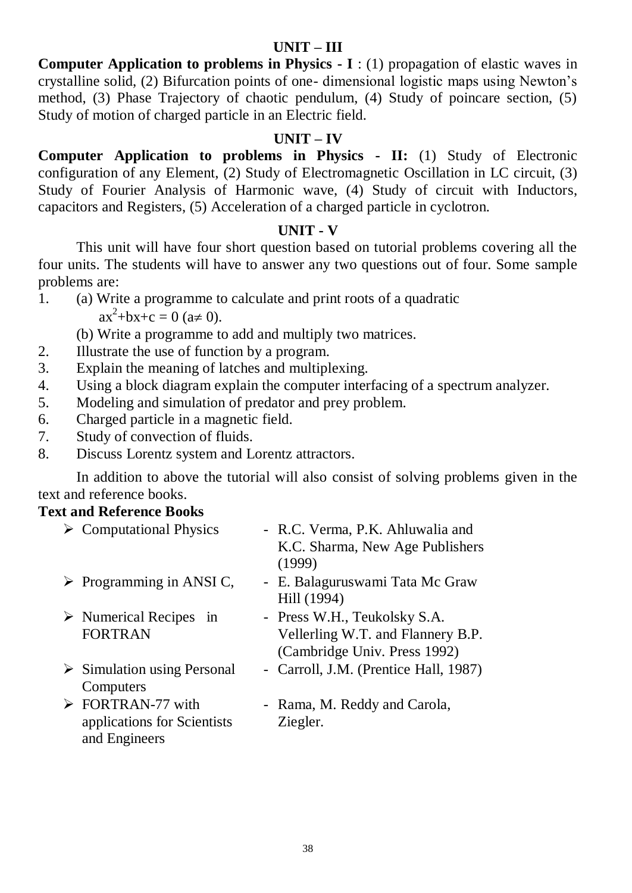# **UNIT – III**

**Computer Application to problems in Physics - I** : (1) propagation of elastic waves in crystalline solid, (2) Bifurcation points of one- dimensional logistic maps using Newton's method, (3) Phase Trajectory of chaotic pendulum, (4) Study of poincare section, (5) Study of motion of charged particle in an Electric field.

# **UNIT – IV**

**Computer Application to problems in Physics - II:** (1) Study of Electronic configuration of any Element, (2) Study of Electromagnetic Oscillation in LC circuit, (3) Study of Fourier Analysis of Harmonic wave, (4) Study of circuit with Inductors, capacitors and Registers, (5) Acceleration of a charged particle in cyclotron.

# **UNIT - V**

This unit will have four short question based on tutorial problems covering all the four units. The students will have to answer any two questions out of four. Some sample problems are:

1. (a) Write a programme to calculate and print roots of a quadratic

 $ax^2+bx+c = 0$  ( $a \ne 0$ ).

- (b) Write a programme to add and multiply two matrices.
- 2. Illustrate the use of function by a program.
- 3. Explain the meaning of latches and multiplexing.
- 4. Using a block diagram explain the computer interfacing of a spectrum analyzer.
- 5. Modeling and simulation of predator and prey problem.
- 6. Charged particle in a magnetic field.
- 7. Study of convection of fluids.
- 8. Discuss Lorentz system and Lorentz attractors.

In addition to above the tutorial will also consist of solving problems given in the text and reference books.

# **Text and Reference Books**

| $\triangleright$ Computational Physics                                           | - R.C. Verma, P.K. Ahluwalia and<br>K.C. Sharma, New Age Publishers<br>(1999)                     |
|----------------------------------------------------------------------------------|---------------------------------------------------------------------------------------------------|
| $\triangleright$ Programming in ANSI C,                                          | - E. Balaguruswami Tata Mc Graw<br>Hill (1994)                                                    |
| $\triangleright$ Numerical Recipes in<br><b>FORTRAN</b>                          | - Press W.H., Teukolsky S.A.<br>Vellerling W.T. and Flannery B.P.<br>(Cambridge Univ. Press 1992) |
| $\triangleright$ Simulation using Personal<br>Computers                          | - Carroll, J.M. (Prentice Hall, 1987)                                                             |
| $\triangleright$ FORTRAN-77 with<br>applications for Scientists<br>and Engineers | - Rama, M. Reddy and Carola,<br>Ziegler.                                                          |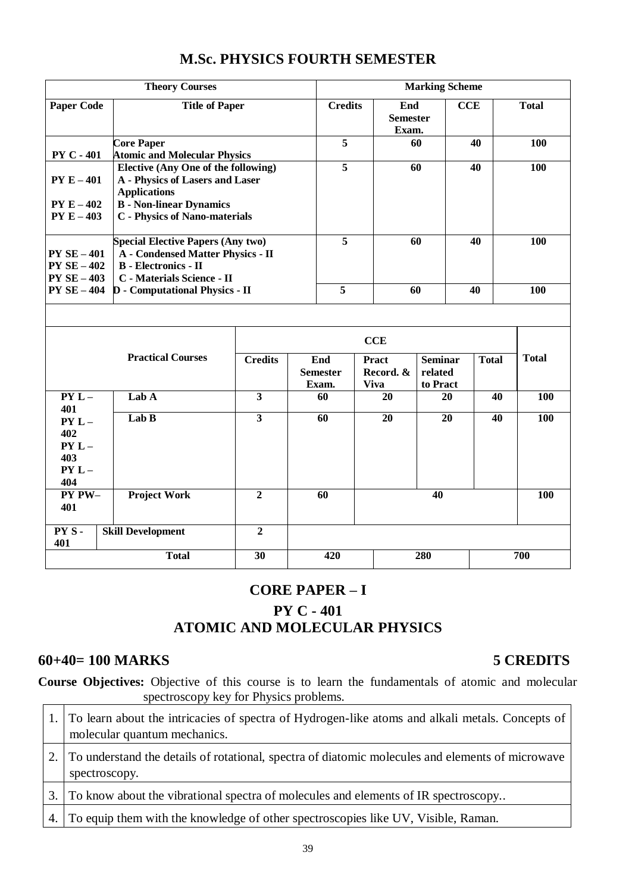|                    | <b>Theory Courses</b>                                  |                         |     |                         |              |                                 | <b>Marking Scheme</b> |     |              |              |
|--------------------|--------------------------------------------------------|-------------------------|-----|-------------------------|--------------|---------------------------------|-----------------------|-----|--------------|--------------|
| <b>Paper Code</b>  | <b>Title of Paper</b>                                  |                         |     | <b>Credits</b>          |              | End<br><b>Semester</b><br>Exam. |                       | CCE |              | <b>Total</b> |
|                    | <b>Core Paper</b>                                      |                         |     | $\overline{5}$          |              |                                 | 60                    |     | 40           | 100          |
| <b>PY C - 401</b>  | <b>Atomic and Molecular Physics</b>                    |                         |     |                         |              |                                 |                       |     |              |              |
|                    | <b>Elective (Any One of the following)</b>             |                         |     | $\overline{5}$          |              |                                 | 60                    |     | 40           | 100          |
| $PY E - 401$       | A - Physics of Lasers and Laser<br><b>Applications</b> |                         |     |                         |              |                                 |                       |     |              |              |
| $PY E - 402$       | <b>B</b> - Non-linear Dynamics                         |                         |     |                         |              |                                 |                       |     |              |              |
| $PY E - 403$       | <b>C</b> - Physics of Nano-materials                   |                         |     |                         |              |                                 |                       |     |              |              |
|                    |                                                        |                         |     |                         |              |                                 |                       |     |              |              |
|                    | <b>Special Elective Papers (Any two)</b>               |                         |     | $\overline{5}$          |              | 60                              |                       |     | 40           | 100          |
| <b>PY SE - 401</b> | <b>A</b> - Condensed Matter Physics - II               |                         |     |                         |              |                                 |                       |     |              |              |
| $PYSE-402$         | <b>B</b> - Electronics - II                            |                         |     |                         |              |                                 |                       |     |              |              |
| $PYSE-403$         | C - Materials Science - II                             |                         |     |                         |              |                                 |                       |     |              |              |
| $PY SE-404$        | <b>D</b> - Computational Physics - II                  |                         |     | $\overline{\mathbf{5}}$ |              | 60                              |                       |     | 40           | 100          |
|                    |                                                        |                         |     |                         |              |                                 |                       |     |              |              |
|                    |                                                        |                         |     | <b>CCE</b>              |              |                                 |                       |     |              |              |
|                    | <b>Practical Courses</b>                               | <b>Credits</b>          | End |                         | <b>Pract</b> |                                 | <b>Seminar</b>        |     | <b>Total</b> | <b>Total</b> |
|                    |                                                        |                         |     | <b>Semester</b>         |              | Record. &                       | related               |     |              |              |
|                    |                                                        |                         |     | Exam.                   | <b>Viva</b>  |                                 | to Pract              |     |              |              |
| $PYL -$            | Lab A                                                  | $\overline{\mathbf{3}}$ |     | 60                      |              | 20                              | 20                    |     | 40           | 100          |
| 401<br>$PYL -$     | Lab B                                                  | $\overline{\mathbf{3}}$ |     | 60                      |              | 20                              | 20                    |     | 40           | 100          |
| 402                |                                                        |                         |     |                         |              |                                 |                       |     |              |              |
| $PYL -$            |                                                        |                         |     |                         |              |                                 |                       |     |              |              |
| 403                |                                                        |                         |     |                         |              |                                 |                       |     |              |              |
| $PYL -$            |                                                        |                         |     |                         |              |                                 |                       |     |              |              |
| 404                |                                                        |                         |     |                         |              |                                 |                       |     |              |              |
| PY PW-             | <b>Project Work</b>                                    | $\overline{2}$          |     | 60                      |              |                                 | 40                    |     |              | 100          |
| 401                |                                                        |                         |     |                         |              |                                 |                       |     |              |              |
| PYS-               | <b>Skill Development</b>                               | $\overline{2}$          |     |                         |              |                                 |                       |     |              |              |
| 401                |                                                        |                         |     |                         |              |                                 |                       |     |              |              |
|                    | <b>Total</b>                                           | $\overline{30}$         |     | 420                     |              |                                 | 280                   |     |              | 700          |

# **M.Sc. PHYSICS FOURTH SEMESTER**

# **CORE PAPER – I PY C - 401 ATOMIC AND MOLECULAR PHYSICS**

# **60+40= 100 MARKS 5 CREDITS**

**Course Objectives:** Objective of this course is to learn the fundamentals of atomic and molecular spectroscopy key for Physics problems. spectroscopy key for Physics problems.  $\overline{\phantom{a}}$ 

| 1. To learn about the intricacies of spectra of Hydrogen-like atoms and alkali metals. Concepts of<br>molecular quantum mechanics. |
|------------------------------------------------------------------------------------------------------------------------------------|
| 2. To understand the details of rotational, spectra of diatomic molecules and elements of microwave<br>spectroscopy.               |
| 3. To know about the vibrational spectra of molecules and elements of IR spectroscopy                                              |
| 4. To equip them with the knowledge of other spectroscopies like UV, Visible, Raman.                                               |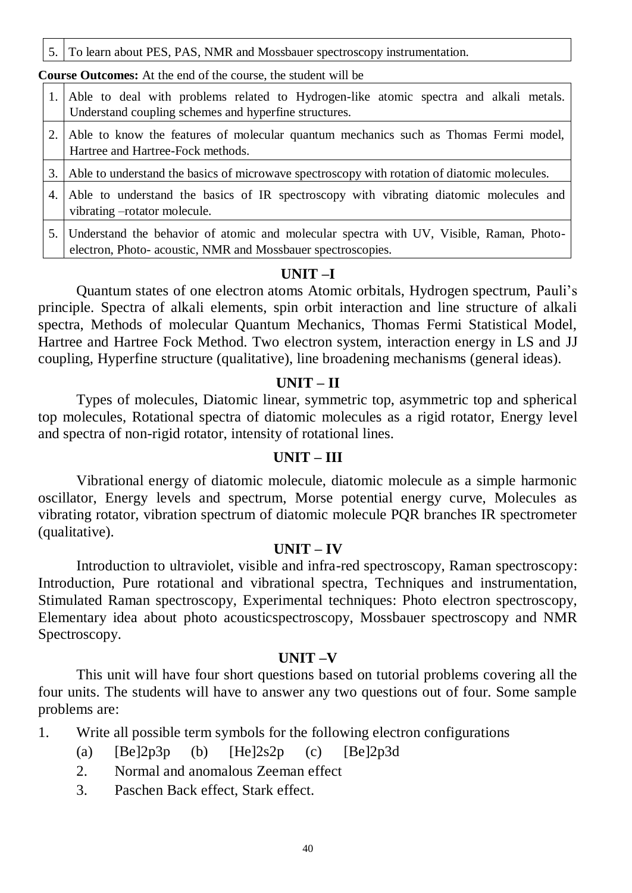5. To learn about PES, PAS, NMR and Mossbauer spectroscopy instrumentation.

**Course Outcomes:** At the end of the course, the student will be

- 1. Able to deal with problems related to Hydrogen-like atomic spectra and alkali metals. Understand coupling schemes and hyperfine structures.
- 2. Able to know the features of molecular quantum mechanics such as Thomas Fermi model, Hartree and Hartree-Fock methods.

3. Able to understand the basics of microwave spectroscopy with rotation of diatomic molecules.

- 4. Able to understand the basics of IR spectroscopy with vibrating diatomic molecules and vibrating –rotator molecule.
- 5. Understand the behavior of atomic and molecular spectra with UV, Visible, Raman, Photoelectron, Photo- acoustic, NMR and Mossbauer spectroscopies.

## **UNIT –I**

Quantum states of one electron atoms Atomic orbitals, Hydrogen spectrum, Pauli's principle. Spectra of alkali elements, spin orbit interaction and line structure of alkali spectra, Methods of molecular Quantum Mechanics, Thomas Fermi Statistical Model, Hartree and Hartree Fock Method. Two electron system, interaction energy in LS and JJ coupling, Hyperfine structure (qualitative), line broadening mechanisms (general ideas).

## **UNIT – II**

Types of molecules, Diatomic linear, symmetric top, asymmetric top and spherical top molecules, Rotational spectra of diatomic molecules as a rigid rotator, Energy level and spectra of non-rigid rotator, intensity of rotational lines.

## **UNIT – III**

Vibrational energy of diatomic molecule, diatomic molecule as a simple harmonic oscillator, Energy levels and spectrum, Morse potential energy curve, Molecules as vibrating rotator, vibration spectrum of diatomic molecule PQR branches IR spectrometer (qualitative).

### **UNIT – IV**

Introduction to ultraviolet, visible and infra-red spectroscopy, Raman spectroscopy: Introduction, Pure rotational and vibrational spectra, Techniques and instrumentation, Stimulated Raman spectroscopy, Experimental techniques: Photo electron spectroscopy, Elementary idea about photo acousticspectroscopy, Mossbauer spectroscopy and NMR Spectroscopy.

### **UNIT –V**

This unit will have four short questions based on tutorial problems covering all the four units. The students will have to answer any two questions out of four. Some sample problems are:

- 1. Write all possible term symbols for the following electron configurations
	- (a)  $[Be]2p3p$  (b)  $[He]2s2p$  (c)  $[Be]2p3d$
	- 2. Normal and anomalous Zeeman effect
	- 3. Paschen Back effect, Stark effect.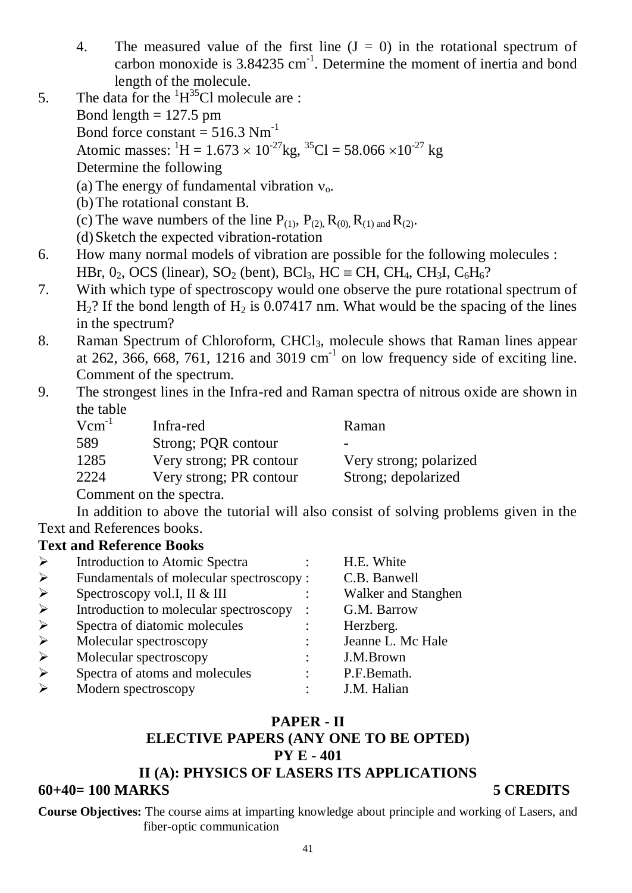- 4. The measured value of the first line  $(J = 0)$  in the rotational spectrum of carbon monoxide is  $3.84235$  cm<sup>-1</sup>. Determine the moment of inertia and bond length of the molecule.
- 5. The data for the  ${}^{1}H^{35}Cl$  molecule are : Bond length  $= 127.5$  pm Bond force constant  $= 516.3$  Nm<sup>-1</sup> Atomic masses:  ${}^{1}$ H = 1.673 × 10<sup>-27</sup>kg, <sup>35</sup>Cl = 58.066 × 10<sup>-27</sup> kg
	- Determine the following
	- (a) The energy of fundamental vibration  $v_0$ .
	- (b)The rotational constant B.
	- (c) The wave numbers of the line  $P_{(1)}$ ,  $P_{(2)}$ ,  $R_{(0)}$ ,  $R_{(1) \text{ and }} R_{(2)}$ .
	- (d)Sketch the expected vibration-rotation
- 6. How many normal models of vibration are possible for the following molecules :
	- HBr,  $0_2$ , OCS (linear), SO<sub>2</sub> (bent), BCl<sub>3</sub>, HC = CH, CH<sub>4</sub>, CH<sub>3</sub>I, C<sub>6</sub>H<sub>6</sub>?
- 7. With which type of spectroscopy would one observe the pure rotational spectrum of  $H<sub>2</sub>$ ? If the bond length of  $H<sub>2</sub>$  is 0.07417 nm. What would be the spacing of the lines in the spectrum?
- 8. Raman Spectrum of Chloroform, CHCl3, molecule shows that Raman lines appear at 262, 366, 668, 761, 1216 and 3019  $cm^{-1}$  on low frequency side of exciting line. Comment of the spectrum.
- 9. The strongest lines in the Infra-red and Raman spectra of nitrous oxide are shown in the table

| $Vcm^{-1}$ | Infra-red               | Raman                  |
|------------|-------------------------|------------------------|
| 589        | Strong; PQR contour     | -                      |
| 1285       | Very strong; PR contour | Very strong; polarized |
| 2224       | Very strong; PR contour | Strong; depolarized    |
|            | Comment on the spectra. |                        |

In addition to above the tutorial will also consist of solving problems given in the Text and References books.

# **Text and Reference Books**

| Introduction to Atomic Spectra           |   | H.E. White          |
|------------------------------------------|---|---------------------|
| Fundamentals of molecular spectroscopy : |   | C.B. Banwell        |
| Spectroscopy vol.I, II & III             |   | Walker and Stanghen |
| Introduction to molecular spectroscopy   |   | G.M. Barrow         |
| Spectra of diatomic molecules            |   | Herzberg.           |
| Molecular spectroscopy                   | ٠ | Jeanne L. Mc Hale   |
| Molecular spectroscopy                   |   | J.M.Brown           |
| Spectra of atoms and molecules           |   | P.F.Bemath.         |
| Modern spectroscopy                      |   | J.M. Halian         |

# **PAPER - II ELECTIVE PAPERS (ANY ONE TO BE OPTED) PY E - 401 II (A): PHYSICS OF LASERS ITS APPLICATIONS 60+40= 100 MARKS 5 CREDITS**

**Course Objectives:** The course aims at imparting knowledge about principle and working of Lasers, and fiber-optic communication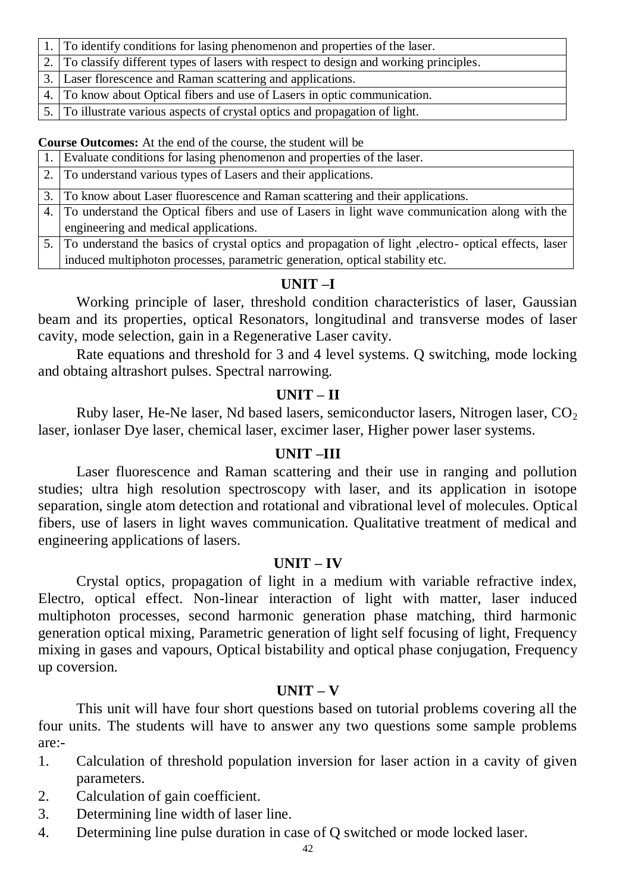| 1. To identify conditions for lasing phenomenon and properties of the laser.            |
|-----------------------------------------------------------------------------------------|
| 2. To classify different types of lasers with respect to design and working principles. |
| 3. Laser florescence and Raman scattering and applications.                             |
| 4. To know about Optical fibers and use of Lasers in optic communication.               |
| 5. To illustrate various aspects of crystal optics and propagation of light.            |

**Course Outcomes:** At the end of the course, the student will be

| . Evaluate conditions for lasing phenomenon and properties of the laser.                                 |  |
|----------------------------------------------------------------------------------------------------------|--|
| 2. To understand various types of Lasers and their applications.                                         |  |
| 3. To know about Laser fluorescence and Raman scattering and their applications.                         |  |
| 4. To understand the Optical fibers and use of Lasers in light wave communication along with the         |  |
| engineering and medical applications.                                                                    |  |
| 5. To understand the basics of crystal optics and propagation of light , electro- optical effects, laser |  |
| induced multiphoton processes, parametric generation, optical stability etc.                             |  |

# **UNIT –I**

Working principle of laser, threshold condition characteristics of laser, Gaussian beam and its properties, optical Resonators, longitudinal and transverse modes of laser cavity, mode selection, gain in a Regenerative Laser cavity.

Rate equations and threshold for 3 and 4 level systems. Q switching, mode locking and obtaing altrashort pulses. Spectral narrowing.

# **UNIT – II**

Ruby laser, He-Ne laser, Nd based lasers, semiconductor lasers, Nitrogen laser,  $CO<sub>2</sub>$ laser, ionlaser Dye laser, chemical laser, excimer laser, Higher power laser systems.

# **UNIT –III**

Laser fluorescence and Raman scattering and their use in ranging and pollution studies; ultra high resolution spectroscopy with laser, and its application in isotope separation, single atom detection and rotational and vibrational level of molecules. Optical fibers, use of lasers in light waves communication. Qualitative treatment of medical and engineering applications of lasers.

# **UNIT – IV**

Crystal optics, propagation of light in a medium with variable refractive index, Electro, optical effect. Non-linear interaction of light with matter, laser induced multiphoton processes, second harmonic generation phase matching, third harmonic generation optical mixing, Parametric generation of light self focusing of light, Frequency mixing in gases and vapours, Optical bistability and optical phase conjugation, Frequency up coversion.

# **UNIT – V**

This unit will have four short questions based on tutorial problems covering all the four units. The students will have to answer any two questions some sample problems are:-

- 1. Calculation of threshold population inversion for laser action in a cavity of given parameters.
- 2. Calculation of gain coefficient.
- 3. Determining line width of laser line.
- 4. Determining line pulse duration in case of Q switched or mode locked laser.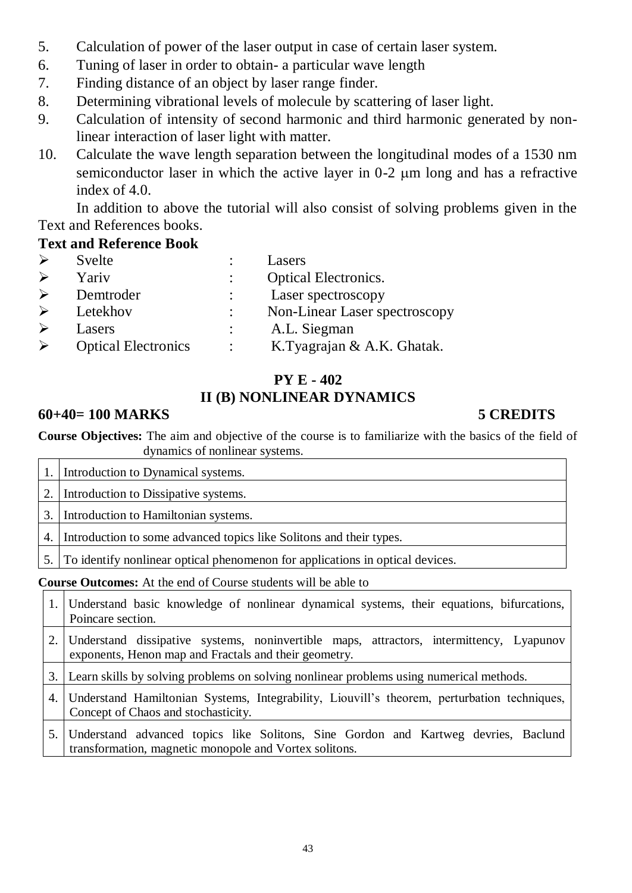- 5. Calculation of power of the laser output in case of certain laser system.
- 6. Tuning of laser in order to obtain- a particular wave length
- 7. Finding distance of an object by laser range finder.
- 8. Determining vibrational levels of molecule by scattering of laser light.
- 9. Calculation of intensity of second harmonic and third harmonic generated by nonlinear interaction of laser light with matter.
- 10. Calculate the wave length separation between the longitudinal modes of a 1530 nm semiconductor laser in which the active layer in  $0-2 \mu m$  long and has a refractive index of 4.0.

In addition to above the tutorial will also consist of solving problems given in the Text and References books.

# **Text and Reference Book**

| $\blacktriangleright$ | Svelte                     | Lasers                        |
|-----------------------|----------------------------|-------------------------------|
| $\blacktriangleright$ | Yariv                      | <b>Optical Electronics.</b>   |
| $\blacktriangleright$ | Demtroder                  | Laser spectroscopy            |
| ➤                     | Letekhov                   | Non-Linear Laser spectroscopy |
|                       | Lasers                     | A.L. Siegman                  |
| $\blacktriangleright$ | <b>Optical Electronics</b> | K.Tyagrajan & A.K. Ghatak.    |

# **PY E - 402 II (B) NONLINEAR DYNAMICS**

# **60+40= 100 MARKS 5 CREDITS**

**Course Objectives:** The aim and objective of the course is to familiarize with the basics of the field of dynamics of nonlinear systems.

|    | Introduction to Dynamical systems.                                               |
|----|----------------------------------------------------------------------------------|
| 2. | Introduction to Dissipative systems.                                             |
| 3. | Introduction to Hamiltonian systems.                                             |
| 4. | Introduction to some advanced topics like Solitons and their types.              |
|    | 5. To identify nonlinear optical phenomenon for applications in optical devices. |

**Course Outcomes:** At the end of Course students will be able to

| 1. Understand basic knowledge of nonlinear dynamical systems, their equations, bifurcations,<br>Poincare section.                                   |
|-----------------------------------------------------------------------------------------------------------------------------------------------------|
| 2. Understand dissipative systems, noninvertible maps, attractors, intermittency, Lyapunov<br>exponents, Henon map and Fractals and their geometry. |
| 3. Learn skills by solving problems on solving nonlinear problems using numerical methods.                                                          |
| 4. Understand Hamiltonian Systems, Integrability, Liouvill's theorem, perturbation techniques,<br>Concept of Chaos and stochasticity.               |

5. Understand advanced topics like Solitons, Sine Gordon and Kartweg devries, Baclund transformation, magnetic monopole and Vortex solitons.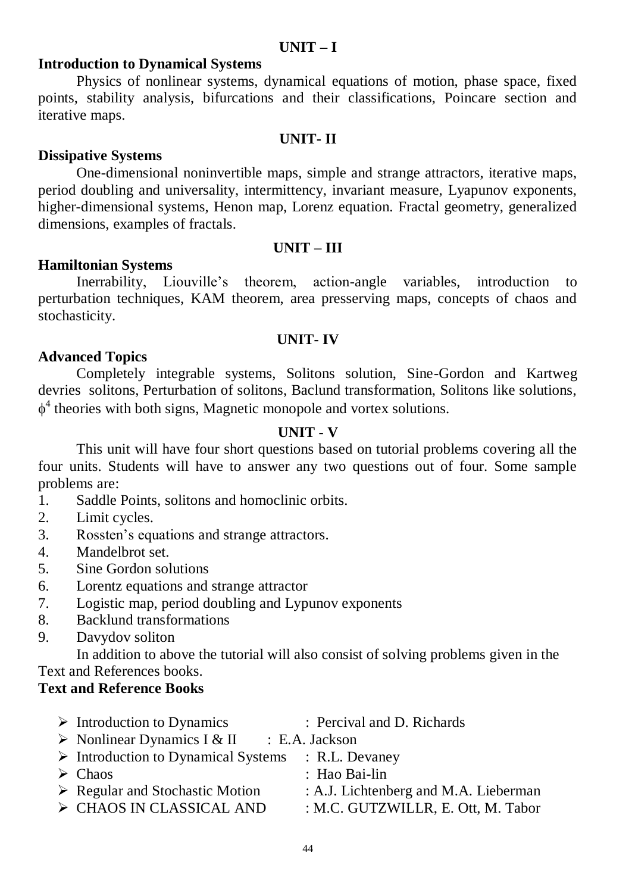# **UNIT – I**

# **Introduction to Dynamical Systems**

Physics of nonlinear systems, dynamical equations of motion, phase space, fixed points, stability analysis, bifurcations and their classifications, Poincare section and iterative maps.

## **UNIT- II**

## **Dissipative Systems**

One-dimensional noninvertible maps, simple and strange attractors, iterative maps, period doubling and universality, intermittency, invariant measure, Lyapunov exponents, higher-dimensional systems, Henon map, Lorenz equation. Fractal geometry, generalized dimensions, examples of fractals.

## **UNIT – III**

## **Hamiltonian Systems**

Inerrability, Liouville's theorem, action-angle variables, introduction to perturbation techniques, KAM theorem, area presserving maps, concepts of chaos and stochasticity.

## **UNIT- IV**

# **Advanced Topics**

Completely integrable systems, Solitons solution, Sine-Gordon and Kartweg devries solitons, Perturbation of solitons, Baclund transformation, Solitons like solutions,  $\phi^4$  theories with both signs, Magnetic monopole and vortex solutions.

# **UNIT - V**

This unit will have four short questions based on tutorial problems covering all the four units. Students will have to answer any two questions out of four. Some sample problems are:

- 1. Saddle Points, solitons and homoclinic orbits.
- 2. Limit cycles.
- 3. Rossten's equations and strange attractors.
- 4. Mandelbrot set.
- 5. Sine Gordon solutions
- 6. Lorentz equations and strange attractor
- 7. Logistic map, period doubling and Lypunov exponents
- 8. Backlund transformations
- 9. Davydov soliton

In addition to above the tutorial will also consist of solving problems given in the Text and References books.

# **Text and Reference Books**

| $\triangleright$ Introduction to Dynamics                         | : Percival and D. Richards            |
|-------------------------------------------------------------------|---------------------------------------|
| $\triangleright$ Nonlinear Dynamics I & II : E.A. Jackson         |                                       |
| $\triangleright$ Introduction to Dynamical Systems : R.L. Devaney |                                       |
| $\triangleright$ Chaos                                            | : Hao Bai-lin                         |
| $\triangleright$ Regular and Stochastic Motion                    | : A.J. Lichtenberg and M.A. Lieberman |
| > CHAOS IN CLASSICAL AND                                          | : M.C. GUTZWILLR, E. Ott, M. Tabor    |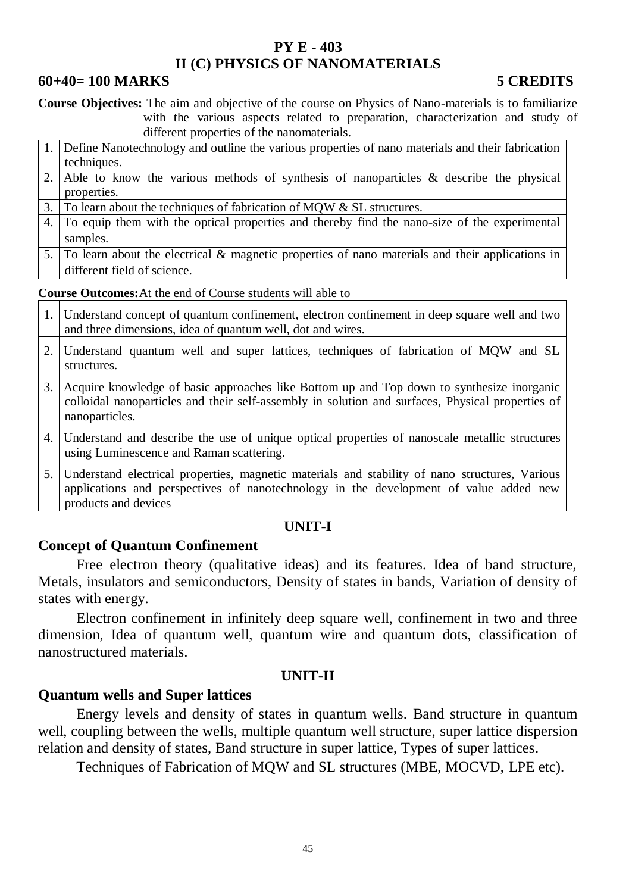# **PY E - 403 II (C) PHYSICS OF NANOMATERIALS**

## **60+40= 100 MARKS 5 CREDITS**

**Course Objectives:** The aim and objective of the course on Physics of Nano-materials is to familiarize with the various aspects related to preparation, characterization and study of different properties of the nanomaterials.

- 1. Define Nanotechnology and outline the various properties of nano materials and their fabrication techniques.
- 2. Able to know the various methods of synthesis of nanoparticles & describe the physical properties.

3. To learn about the techniques of fabrication of MQW & SL structures.

- 4. To equip them with the optical properties and thereby find the nano-size of the experimental samples.
- 5. To learn about the electrical & magnetic properties of nano materials and their applications in different field of science.

**Course Outcomes:**At the end of Course students will able to

1. Understand concept of quantum confinement, electron confinement in deep square well and two and three dimensions, idea of quantum well, dot and wires. 2. Understand quantum well and super lattices, techniques of fabrication of MQW and SL structures. 3. Acquire knowledge of basic approaches like Bottom up and Top down to synthesize inorganic colloidal nanoparticles and their self-assembly in solution and surfaces, Physical properties of nanoparticles. 4. Understand and describe the use of unique optical properties of nanoscale metallic structures using Luminescence and Raman scattering. 5. Understand electrical properties, magnetic materials and stability of nano structures, Various applications and perspectives of nanotechnology in the development of value added new products and devices

## **UNIT-I**

## **Concept of Quantum Confinement**

Free electron theory (qualitative ideas) and its features. Idea of band structure, Metals, insulators and semiconductors, Density of states in bands, Variation of density of states with energy.

Electron confinement in infinitely deep square well, confinement in two and three dimension, Idea of quantum well, quantum wire and quantum dots, classification of nanostructured materials.

## **UNIT-II**

## **Quantum wells and Super lattices**

Energy levels and density of states in quantum wells. Band structure in quantum well, coupling between the wells, multiple quantum well structure, super lattice dispersion relation and density of states, Band structure in super lattice, Types of super lattices.

Techniques of Fabrication of MQW and SL structures (MBE, MOCVD, LPE etc).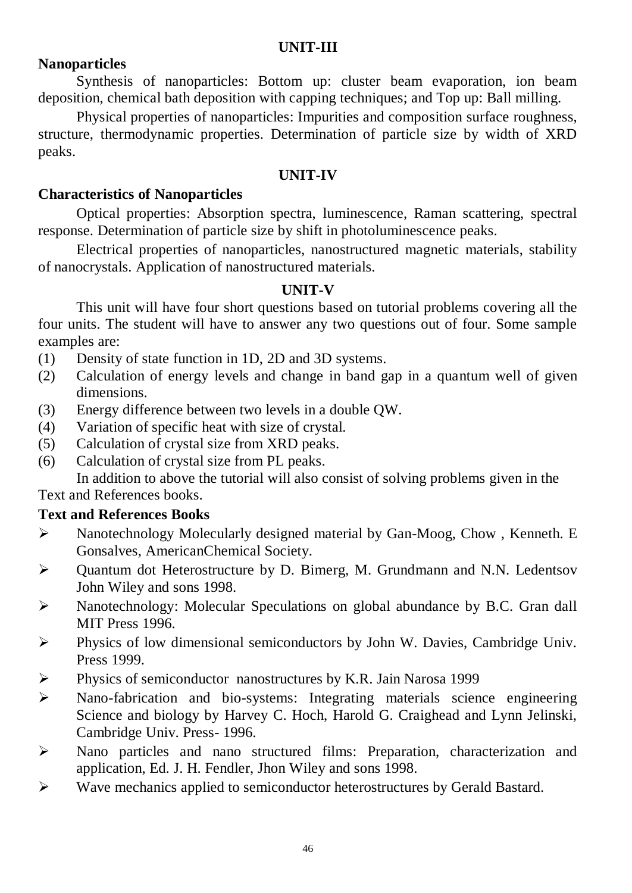# **UNIT-III**

# **Nanoparticles**

Synthesis of nanoparticles: Bottom up: cluster beam evaporation, ion beam deposition, chemical bath deposition with capping techniques; and Top up: Ball milling.

Physical properties of nanoparticles: Impurities and composition surface roughness, structure, thermodynamic properties. Determination of particle size by width of XRD peaks.

# **UNIT-IV**

# **Characteristics of Nanoparticles**

Optical properties: Absorption spectra, luminescence, Raman scattering, spectral response. Determination of particle size by shift in photoluminescence peaks.

Electrical properties of nanoparticles, nanostructured magnetic materials, stability of nanocrystals. Application of nanostructured materials.

# **UNIT-V**

This unit will have four short questions based on tutorial problems covering all the four units. The student will have to answer any two questions out of four. Some sample examples are:

- (1) Density of state function in 1D, 2D and 3D systems.
- (2) Calculation of energy levels and change in band gap in a quantum well of given dimensions.
- (3) Energy difference between two levels in a double QW.
- (4) Variation of specific heat with size of crystal.
- (5) Calculation of crystal size from XRD peaks.
- (6) Calculation of crystal size from PL peaks.

In addition to above the tutorial will also consist of solving problems given in the Text and References books.

# **Text and References Books**

- $\triangleright$  Nanotechnology Molecularly designed material by Gan-Moog, Chow, Kenneth. E Gonsalves, AmericanChemical Society.
- Quantum dot Heterostructure by D. Bimerg, M. Grundmann and N.N. Ledentsov John Wiley and sons 1998.
- Nanotechnology: Molecular Speculations on global abundance by B.C. Gran dall MIT Press 1996.
- Physics of low dimensional semiconductors by John W. Davies, Cambridge Univ. Press 1999.
- Physics of semiconductor nanostructures by K.R. Jain Narosa 1999
- Nano-fabrication and bio-systems: Integrating materials science engineering Science and biology by Harvey C. Hoch, Harold G. Craighead and Lynn Jelinski, Cambridge Univ. Press- 1996.
- Nano particles and nano structured films: Preparation, characterization and application, Ed. J. H. Fendler, Jhon Wiley and sons 1998.
- Wave mechanics applied to semiconductor heterostructures by Gerald Bastard.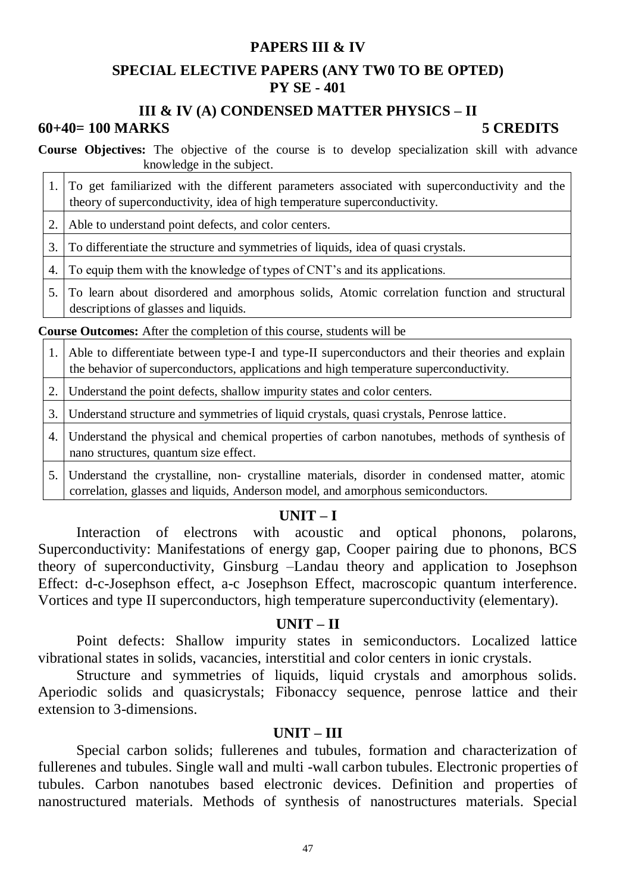# **PAPERS III & IV**

# **SPECIAL ELECTIVE PAPERS (ANY TW0 TO BE OPTED) PY SE - 401**

### **III & IV (A) CONDENSED MATTER PHYSICS – II 60+40= 100 MARKS 5 CREDITS**

**Course Objectives:** The objective of the course is to develop specialization skill with advance knowledge in the subject.

| 1. To get familiarized with the different parameters associated with superconductivity and the |  |
|------------------------------------------------------------------------------------------------|--|
| theory of superconductivity, idea of high temperature superconductivity.                       |  |

2. Able to understand point defects, and color centers.

3. To differentiate the structure and symmetries of liquids, idea of quasi crystals.

4. To equip them with the knowledge of types of CNT's and its applications.

5. To learn about disordered and amorphous solids, Atomic correlation function and structural descriptions of glasses and liquids.

**Course Outcomes:** After the completion of this course, students will be

1. Able to differentiate between type-I and type-II superconductors and their theories and explain the behavior of superconductors, applications and high temperature superconductivity.

2. Understand the point defects, shallow impurity states and color centers.

3. Understand structure and symmetries of liquid crystals, quasi crystals, Penrose lattice.

- 4. Understand the physical and chemical properties of carbon nanotubes, methods of synthesis of nano structures, quantum size effect.
- 5. Understand the crystalline, non- crystalline materials, disorder in condensed matter, atomic correlation, glasses and liquids, Anderson model, and amorphous semiconductors.

# **UNIT – I**

Interaction of electrons with acoustic and optical phonons, polarons, Superconductivity: Manifestations of energy gap, Cooper pairing due to phonons, BCS theory of superconductivity, Ginsburg –Landau theory and application to Josephson Effect: d-c-Josephson effect, a-c Josephson Effect, macroscopic quantum interference. Vortices and type II superconductors, high temperature superconductivity (elementary).

## **UNIT – II**

Point defects: Shallow impurity states in semiconductors. Localized lattice vibrational states in solids, vacancies, interstitial and color centers in ionic crystals.

Structure and symmetries of liquids, liquid crystals and amorphous solids. Aperiodic solids and quasicrystals; Fibonaccy sequence, penrose lattice and their extension to 3-dimensions.

## **UNIT – III**

Special carbon solids; fullerenes and tubules, formation and characterization of fullerenes and tubules. Single wall and multi -wall carbon tubules. Electronic properties of tubules. Carbon nanotubes based electronic devices. Definition and properties of nanostructured materials. Methods of synthesis of nanostructures materials. Special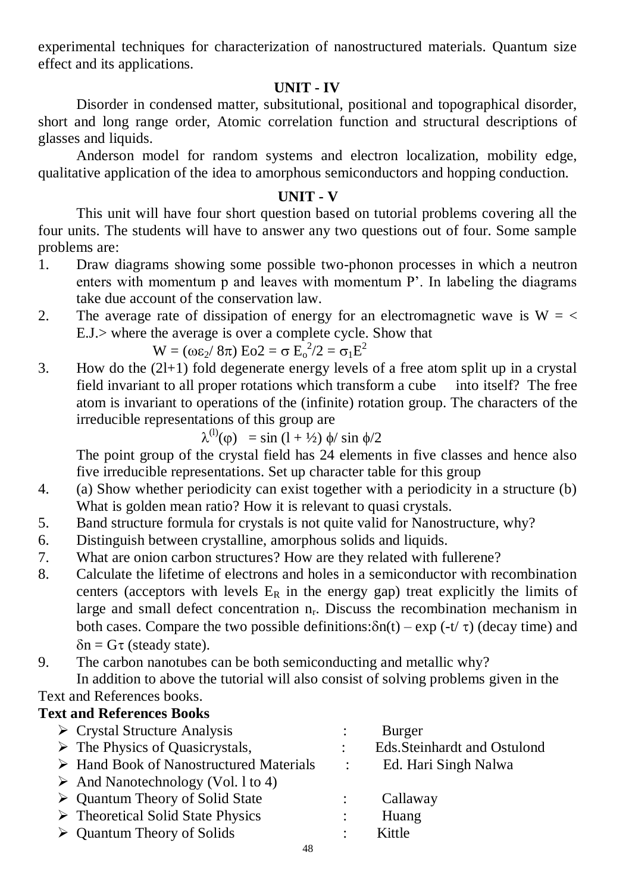experimental techniques for characterization of nanostructured materials. Quantum size effect and its applications.

# **UNIT - IV**

Disorder in condensed matter, subsitutional, positional and topographical disorder, short and long range order, Atomic correlation function and structural descriptions of glasses and liquids.

Anderson model for random systems and electron localization, mobility edge, qualitative application of the idea to amorphous semiconductors and hopping conduction.

# **UNIT - V**

This unit will have four short question based on tutorial problems covering all the four units. The students will have to answer any two questions out of four. Some sample problems are:

- 1. Draw diagrams showing some possible two-phonon processes in which a neutron enters with momentum p and leaves with momentum P'. In labeling the diagrams take due account of the conservation law.
- 2. The average rate of dissipation of energy for an electromagnetic wave is  $W = \langle$ E.J.> where the average is over a complete cycle. Show that

$$
W = (\omega \epsilon_2 / 8\pi) E_0 2 = \sigma E_0^2 / 2 = \sigma_1 E^2
$$

3. How do the (2l+1) fold degenerate energy levels of a free atom split up in a crystal field invariant to all proper rotations which transform a cube into itself? The free atom is invariant to operations of the (infinite) rotation group. The characters of the irreducible representations of this group are

$$
\lambda^{(1)}(\varphi) = \sin(1 + \frac{1}{2}) \, \phi / \sin \phi / 2
$$

The point group of the crystal field has 24 elements in five classes and hence also five irreducible representations. Set up character table for this group

- 4. (a) Show whether periodicity can exist together with a periodicity in a structure (b) What is golden mean ratio? How it is relevant to quasi crystals.
- 5. Band structure formula for crystals is not quite valid for Nanostructure, why?
- 6. Distinguish between crystalline, amorphous solids and liquids.
- 7. What are onion carbon structures? How are they related with fullerene?
- 8. Calculate the lifetime of electrons and holes in a semiconductor with recombination centers (acceptors with levels  $E_R$  in the energy gap) treat explicitly the limits of large and small defect concentration  $n_r$ . Discuss the recombination mechanism in both cases. Compare the two possible definitions: $\delta n(t) - \exp(-t/\tau)$  (decay time) and  $\delta n = G \tau$  (steady state).
- 9. The carbon nanotubes can be both semiconducting and metallic why?

In addition to above the tutorial will also consist of solving problems given in the Text and References books.

# **Text and References Books**

| $\triangleright$ Crystal Structure Analysis            |                      | Burger                      |
|--------------------------------------------------------|----------------------|-----------------------------|
| $\triangleright$ The Physics of Quasicrystals,         |                      | Eds.Steinhardt and Ostulond |
| $\triangleright$ Hand Book of Nanostructured Materials | $\sim 1000$          | Ed. Hari Singh Nalwa        |
| $\triangleright$ And Nanotechnology (Vol. 1 to 4)      |                      |                             |
| $\triangleright$ Quantum Theory of Solid State         |                      | Callaway                    |
| $\triangleright$ Theoretical Solid State Physics       | $\ddot{\phantom{a}}$ | Huang                       |
| $\triangleright$ Quantum Theory of Solids              |                      | Kittle                      |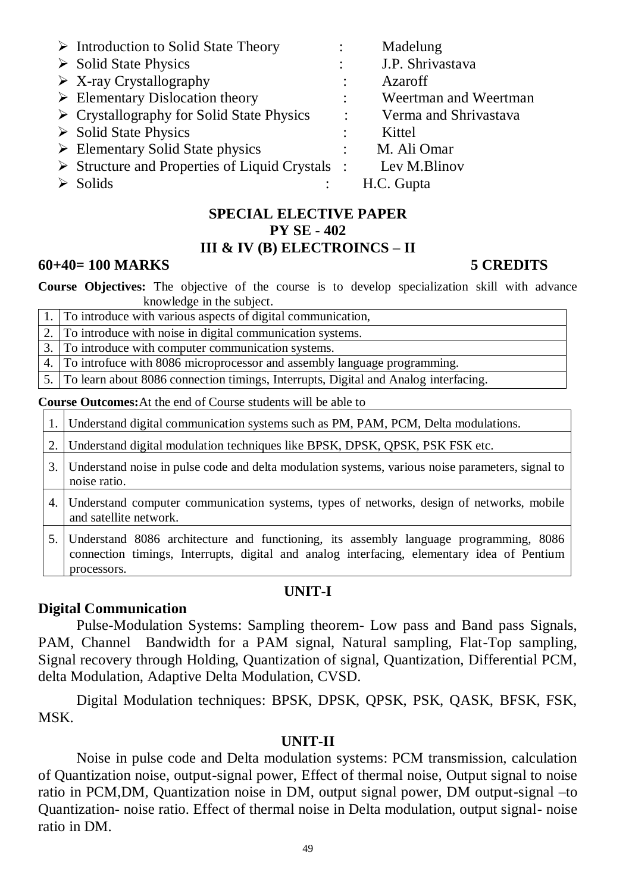| $\triangleright$ Introduction to Solid State Theory            |                      | Madelung              |
|----------------------------------------------------------------|----------------------|-----------------------|
| $\triangleright$ Solid State Physics                           |                      | J.P. Shrivastava      |
| $\triangleright$ X-ray Crystallography                         |                      | Azaroff               |
| $\triangleright$ Elementary Dislocation theory                 | $\ddot{\phantom{a}}$ | Weertman and Weertman |
| $\triangleright$ Crystallography for Solid State Physics       | $\ddot{\cdot}$       | Verma and Shrivastava |
| $\triangleright$ Solid State Physics                           |                      | Kittel                |
| $\triangleright$ Elementary Solid State physics                |                      | M. Ali Omar           |
| $\triangleright$ Structure and Properties of Liquid Crystals : |                      | Lev M.Blinov          |
| $\triangleright$ Solids                                        |                      | H.C. Gupta            |

## **SPECIAL ELECTIVE PAPER PY SE - 402 III & IV (B) ELECTROINCS – II**

# **60+40= 100 MARKS 5 CREDITS**

**Course Objectives:** The objective of the course is to develop specialization skill with advance knowledge in the subject.

| 1. To introduce with various aspects of digital communication,                         |
|----------------------------------------------------------------------------------------|
| 2. To introduce with noise in digital communication systems.                           |
| 3. To introduce with computer communication systems.                                   |
| 4. To introfuce with 8086 microprocessor and assembly language programming.            |
| 5. To learn about 8086 connection timings, Interrupts, Digital and Analog interfacing. |

**Course Outcomes:**At the end of Course students will be able to

1. Understand digital communication systems such as PM, PAM, PCM, Delta modulations.

2. Understand digital modulation techniques like BPSK, DPSK, QPSK, PSK FSK etc.

- 3. Understand noise in pulse code and delta modulation systems, various noise parameters, signal to noise ratio.
- 4. Understand computer communication systems, types of networks, design of networks, mobile and satellite network.
- 5. Understand 8086 architecture and functioning, its assembly language programming, 8086 connection timings, Interrupts, digital and analog interfacing, elementary idea of Pentium processors.

# **UNIT-I**

# **Digital Communication**

Pulse-Modulation Systems: Sampling theorem- Low pass and Band pass Signals, PAM, Channel Bandwidth for a PAM signal, Natural sampling, Flat-Top sampling, Signal recovery through Holding, Quantization of signal, Quantization, Differential PCM, delta Modulation, Adaptive Delta Modulation, CVSD.

Digital Modulation techniques: BPSK, DPSK, QPSK, PSK, QASK, BFSK, FSK, MSK.

# **UNIT-II**

Noise in pulse code and Delta modulation systems: PCM transmission, calculation of Quantization noise, output-signal power, Effect of thermal noise, Output signal to noise ratio in PCM,DM, Quantization noise in DM, output signal power, DM output-signal –to Quantization- noise ratio. Effect of thermal noise in Delta modulation, output signal- noise ratio in DM.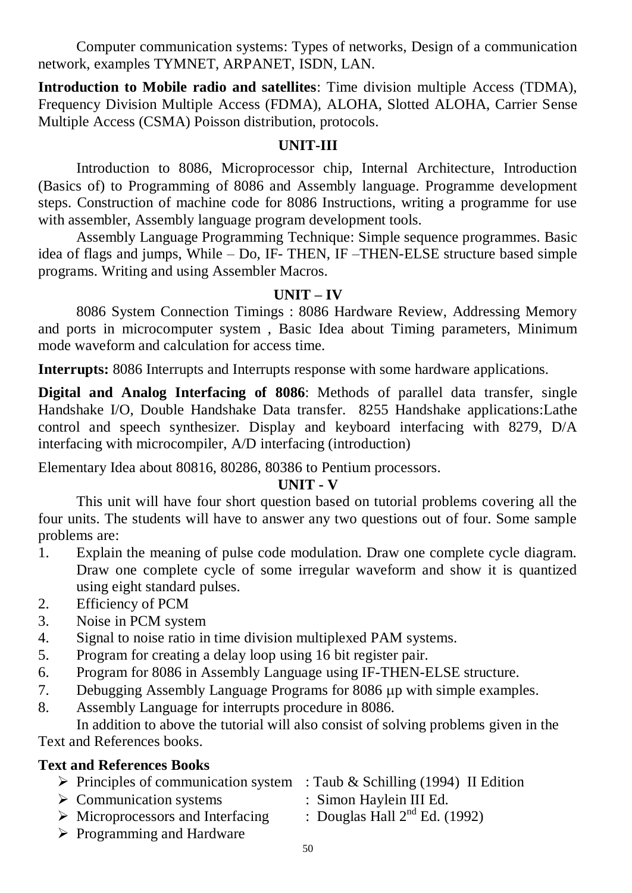Computer communication systems: Types of networks, Design of a communication network, examples TYMNET, ARPANET, ISDN, LAN.

**Introduction to Mobile radio and satellites**: Time division multiple Access (TDMA), Frequency Division Multiple Access (FDMA), ALOHA, Slotted ALOHA, Carrier Sense Multiple Access (CSMA) Poisson distribution, protocols.

# **UNIT-III**

Introduction to 8086, Microprocessor chip, Internal Architecture, Introduction (Basics of) to Programming of 8086 and Assembly language. Programme development steps. Construction of machine code for 8086 Instructions, writing a programme for use with assembler, Assembly language program development tools.

Assembly Language Programming Technique: Simple sequence programmes. Basic idea of flags and jumps, While – Do, IF- THEN, IF –THEN-ELSE structure based simple programs. Writing and using Assembler Macros.

# **UNIT – IV**

8086 System Connection Timings : 8086 Hardware Review, Addressing Memory and ports in microcomputer system , Basic Idea about Timing parameters, Minimum mode waveform and calculation for access time.

**Interrupts:** 8086 Interrupts and Interrupts response with some hardware applications.

**Digital and Analog Interfacing of 8086**: Methods of parallel data transfer, single Handshake I/O, Double Handshake Data transfer. 8255 Handshake applications:Lathe control and speech synthesizer. Display and keyboard interfacing with 8279, D/A interfacing with microcompiler, A/D interfacing (introduction)

Elementary Idea about 80816, 80286, 80386 to Pentium processors.

# **UNIT - V**

This unit will have four short question based on tutorial problems covering all the four units. The students will have to answer any two questions out of four. Some sample problems are:

- 1. Explain the meaning of pulse code modulation. Draw one complete cycle diagram. Draw one complete cycle of some irregular waveform and show it is quantized using eight standard pulses.
- 2. Efficiency of PCM
- 3. Noise in PCM system
- 4. Signal to noise ratio in time division multiplexed PAM systems.
- 5. Program for creating a delay loop using 16 bit register pair.
- 6. Program for 8086 in Assembly Language using IF-THEN-ELSE structure.
- 7. Debugging Assembly Language Programs for 8086 up with simple examples.
- 8. Assembly Language for interrupts procedure in 8086.

In addition to above the tutorial will also consist of solving problems given in the Text and References books.

# **Text and References Books**

- $\triangleright$  Principles of communication system : Taub & Schilling (1994) II Edition
- > Communication systems : Simon Haylein III Ed.
- -
- $\triangleright$  Microprocessors and Interfacing : Douglas Hall  $2^{nd}$  Ed. (1992)
- $\triangleright$  Programming and Hardware
-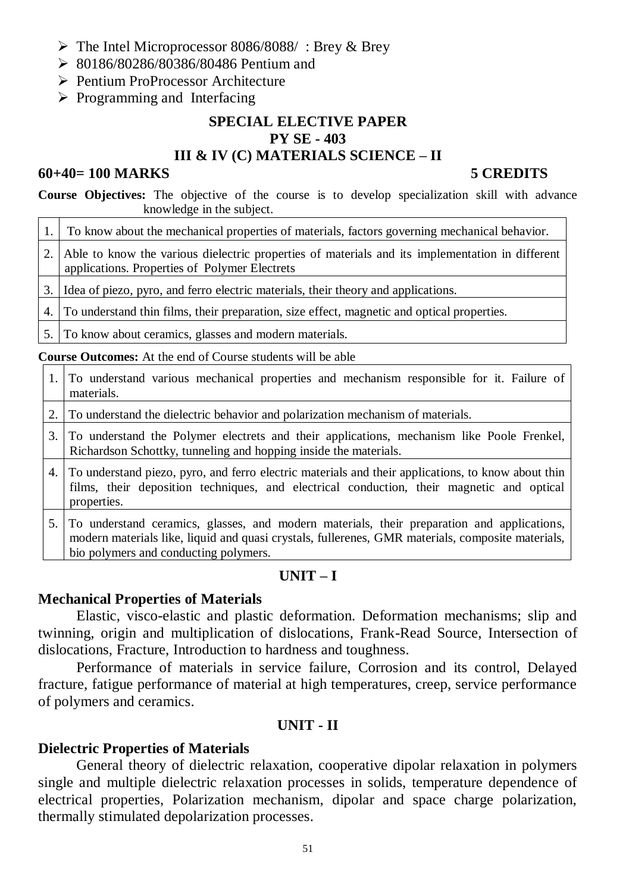- The Intel Microprocessor 8086/8088/ : Brey & Brey
- 80186/80286/80386/80486 Pentium and
- Pentium ProProcessor Architecture
- $\triangleright$  Programming and Interfacing

## **SPECIAL ELECTIVE PAPER PY SE - 403 III & IV (C) MATERIALS SCIENCE – II**

## **60+40= 100 MARKS 5 CREDITS**

**Course Objectives:** The objective of the course is to develop specialization skill with advance knowledge in the subject.

| 1. To know about the mechanical properties of materials, factors governing mechanical behavior.                                                     |
|-----------------------------------------------------------------------------------------------------------------------------------------------------|
| 2. Able to know the various dielectric properties of materials and its implementation in different<br>applications. Properties of Polymer Electrets |
| 3. Idea of piezo, pyro, and ferro electric materials, their theory and applications.                                                                |
| 4. To understand thin films, their preparation, size effect, magnetic and optical properties.                                                       |
|                                                                                                                                                     |

5. To know about ceramics, glasses and modern materials.

**Course Outcomes:** At the end of Course students will be able

- 1. To understand various mechanical properties and mechanism responsible for it. Failure of materials.
- 2. To understand the dielectric behavior and polarization mechanism of materials.
- 3. To understand the Polymer electrets and their applications, mechanism like Poole Frenkel, Richardson Schottky, tunneling and hopping inside the materials.
- 4. To understand piezo, pyro, and ferro electric materials and their applications, to know about thin films, their deposition techniques, and electrical conduction, their magnetic and optical properties.
- 5. To understand ceramics, glasses, and modern materials, their preparation and applications, modern materials like, liquid and quasi crystals, fullerenes, GMR materials, composite materials, bio polymers and conducting polymers.

# **UNIT – I**

## **Mechanical Properties of Materials**

Elastic, visco-elastic and plastic deformation. Deformation mechanisms; slip and twinning, origin and multiplication of dislocations, Frank-Read Source, Intersection of dislocations, Fracture, Introduction to hardness and toughness.

Performance of materials in service failure, Corrosion and its control, Delayed fracture, fatigue performance of material at high temperatures, creep, service performance of polymers and ceramics.

# **UNIT - II**

# **Dielectric Properties of Materials**

General theory of dielectric relaxation, cooperative dipolar relaxation in polymers single and multiple dielectric relaxation processes in solids, temperature dependence of electrical properties, Polarization mechanism, dipolar and space charge polarization, thermally stimulated depolarization processes.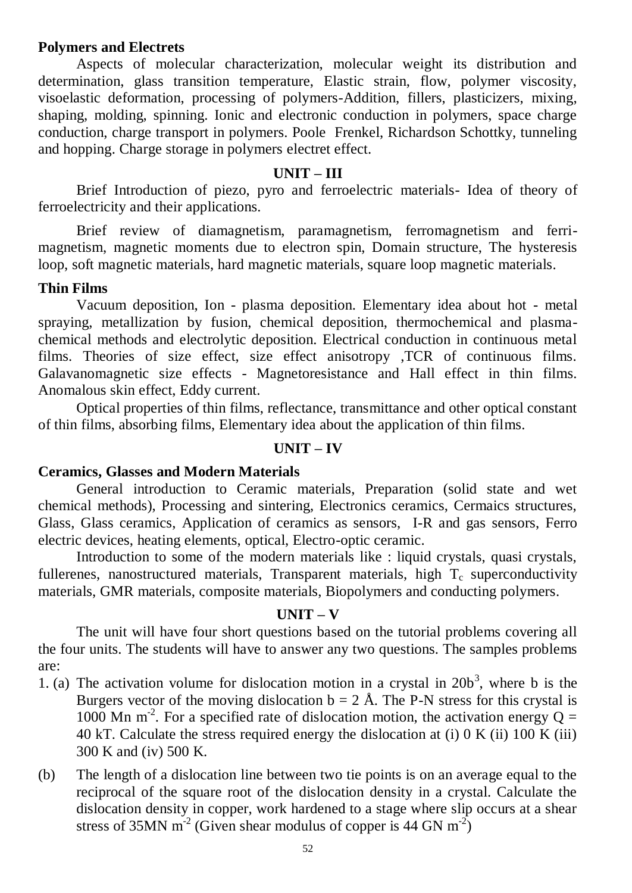## **Polymers and Electrets**

Aspects of molecular characterization, molecular weight its distribution and determination, glass transition temperature, Elastic strain, flow, polymer viscosity, visoelastic deformation, processing of polymers-Addition, fillers, plasticizers, mixing, shaping, molding, spinning. Ionic and electronic conduction in polymers, space charge conduction, charge transport in polymers. Poole Frenkel, Richardson Schottky, tunneling and hopping. Charge storage in polymers electret effect.

## **UNIT – III**

Brief Introduction of piezo, pyro and ferroelectric materials- Idea of theory of ferroelectricity and their applications.

Brief review of diamagnetism, paramagnetism, ferromagnetism and ferrimagnetism, magnetic moments due to electron spin, Domain structure, The hysteresis loop, soft magnetic materials, hard magnetic materials, square loop magnetic materials.

## **Thin Films**

Vacuum deposition, Ion - plasma deposition. Elementary idea about hot - metal spraying, metallization by fusion, chemical deposition, thermochemical and plasmachemical methods and electrolytic deposition. Electrical conduction in continuous metal films. Theories of size effect, size effect anisotropy ,TCR of continuous films. Galavanomagnetic size effects - Magnetoresistance and Hall effect in thin films. Anomalous skin effect, Eddy current.

Optical properties of thin films, reflectance, transmittance and other optical constant of thin films, absorbing films, Elementary idea about the application of thin films.

## **UNIT – IV**

## **Ceramics, Glasses and Modern Materials**

General introduction to Ceramic materials, Preparation (solid state and wet chemical methods), Processing and sintering, Electronics ceramics, Cermaics structures, Glass, Glass ceramics, Application of ceramics as sensors, I-R and gas sensors, Ferro electric devices, heating elements, optical, Electro-optic ceramic.

Introduction to some of the modern materials like : liquid crystals, quasi crystals, fullerenes, nanostructured materials, Transparent materials, high  $T_c$  superconductivity materials, GMR materials, composite materials, Biopolymers and conducting polymers.

## **UNIT – V**

The unit will have four short questions based on the tutorial problems covering all the four units. The students will have to answer any two questions. The samples problems are:

- 1. (a) The activation volume for dislocation motion in a crystal in  $20b^3$ , where b is the Burgers vector of the moving dislocation  $b = 2$  Å. The P-N stress for this crystal is 1000 Mn m<sup>-2</sup>. For a specified rate of dislocation motion, the activation energy  $Q =$ 40 kT. Calculate the stress required energy the dislocation at (i) 0 K (ii) 100 K (iii) 300 K and (iv) 500 K.
- (b) The length of a dislocation line between two tie points is on an average equal to the reciprocal of the square root of the dislocation density in a crystal. Calculate the dislocation density in copper, work hardened to a stage where slip occurs at a shear stress of 35MN  $m^{-2}$  (Given shear modulus of copper is 44 GN  $m^{-2}$ )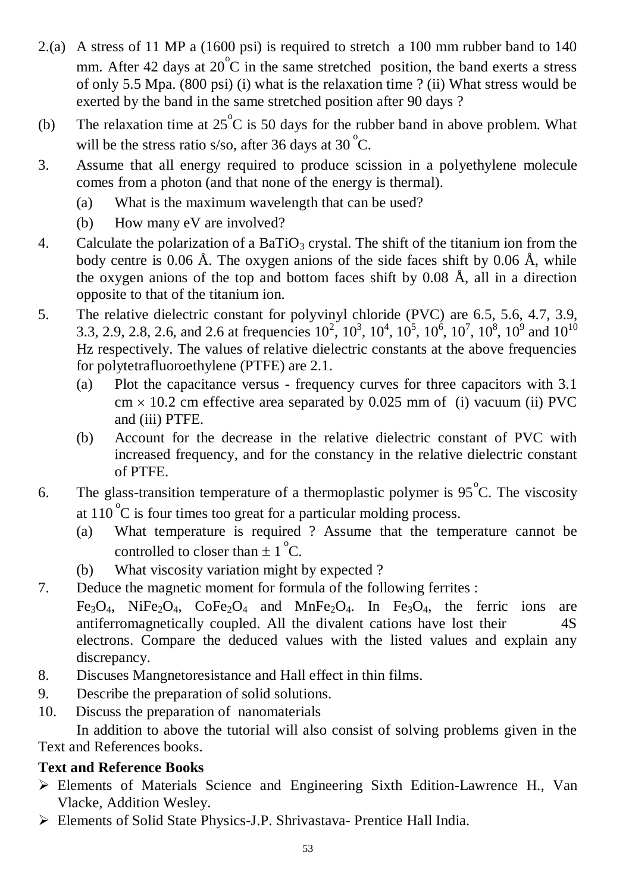- 2.(a) A stress of 11 MP a (1600 psi) is required to stretch a 100 mm rubber band to 140 mm. After 42 days at  $20^{\circ}$ C in the same stretched position, the band exerts a stress of only 5.5 Mpa. (800 psi) (i) what is the relaxation time ? (ii) What stress would be exerted by the band in the same stretched position after 90 days ?
- (b) The relaxation time at  $25^{\circ}$ C is 50 days for the rubber band in above problem. What will be the stress ratio s/so, after 36 days at 30 $^{\circ}$ C.
- 3. Assume that all energy required to produce scission in a polyethylene molecule comes from a photon (and that none of the energy is thermal).
	- (a) What is the maximum wavelength that can be used?
	- (b) How many eV are involved?
- 4. Calculate the polarization of a BaTiO<sub>3</sub> crystal. The shift of the titanium ion from the body centre is 0.06 Å. The oxygen anions of the side faces shift by 0.06 Å, while the oxygen anions of the top and bottom faces shift by 0.08 Å, all in a direction opposite to that of the titanium ion.
- 5. The relative dielectric constant for polyvinyl chloride (PVC) are 6.5, 5.6, 4.7, 3.9, 3.3, 2.9, 2.8, 2.6, and 2.6 at frequencies  $10^2$ ,  $10^3$ ,  $10^4$ ,  $10^5$ ,  $10^6$ ,  $10^7$ ,  $10^8$ ,  $10^9$  and  $10^{10}$ Hz respectively. The values of relative dielectric constants at the above frequencies for polytetrafluoroethylene (PTFE) are 2.1.
	- (a) Plot the capacitance versus frequency curves for three capacitors with 3.1  $cm \times 10.2$  cm effective area separated by 0.025 mm of (i) vacuum (ii) PVC and (iii) PTFE.
	- (b) Account for the decrease in the relative dielectric constant of PVC with increased frequency, and for the constancy in the relative dielectric constant of PTFE.
- 6. The glass-transition temperature of a thermoplastic polymer is  $95^{\circ}$ C. The viscosity at  $110^{\circ}$ C is four times too great for a particular molding process.
	- (a) What temperature is required ? Assume that the temperature cannot be controlled to closer than  $\pm 1^{\circ}$ C.
	- (b) What viscosity variation might by expected ?
- 7. Deduce the magnetic moment for formula of the following ferrites :
	- $Fe<sub>3</sub>O<sub>4</sub>$ , Ni $Fe<sub>2</sub>O<sub>4</sub>$ , Co $Fe<sub>2</sub>O<sub>4</sub>$  and MnFe<sub>2</sub>O<sub>4</sub>. In Fe<sub>3</sub>O<sub>4</sub>, the ferric ions are antiferromagnetically coupled. All the divalent cations have lost their 4S electrons. Compare the deduced values with the listed values and explain any discrepancy.
- 8. Discuses Mangnetoresistance and Hall effect in thin films.
- 9. Describe the preparation of solid solutions.
- 10. Discuss the preparation of nanomaterials

In addition to above the tutorial will also consist of solving problems given in the Text and References books.

# **Text and Reference Books**

- Elements of Materials Science and Engineering Sixth Edition-Lawrence H., Van Vlacke, Addition Wesley.
- Elements of Solid State Physics-J.P. Shrivastava- Prentice Hall India.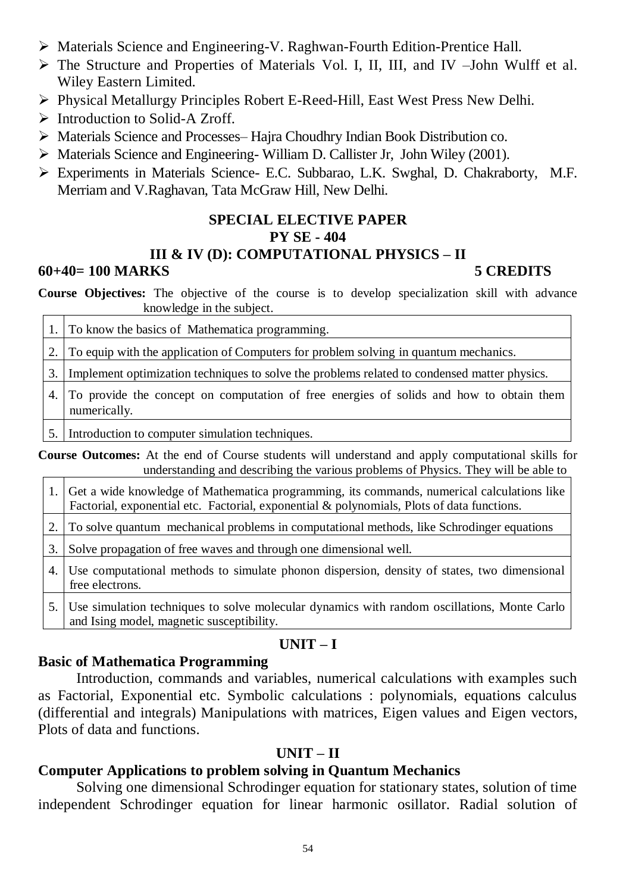- Materials Science and Engineering-V. Raghwan-Fourth Edition-Prentice Hall.
- The Structure and Properties of Materials Vol. I, II, III, and IV –John Wulff et al. Wiley Eastern Limited.
- Physical Metallurgy Principles Robert E-Reed-Hill, East West Press New Delhi.
- $\triangleright$  Introduction to Solid-A Zroff.
- Materials Science and Processes– Hajra Choudhry Indian Book Distribution co.
- Materials Science and Engineering- William D. Callister Jr, John Wiley (2001).
- Experiments in Materials Science- E.C. Subbarao, L.K. Swghal, D. Chakraborty, M.F. Merriam and V.Raghavan, Tata McGraw Hill, New Delhi.

# **SPECIAL ELECTIVE PAPER PY SE - 404 III & IV (D): COMPUTATIONAL PHYSICS – II**

# **60+40= 100 MARKS 5 CREDITS**

**Course Objectives:** The objective of the course is to develop specialization skill with advance knowledge in the subject.

1. To know the basics of Mathematica programming.

2. To equip with the application of Computers for problem solving in quantum mechanics.

3. Implement optimization techniques to solve the problems related to condensed matter physics.

4. To provide the concept on computation of free energies of solids and how to obtain them numerically.

5. Introduction to computer simulation techniques.

**Course Outcomes:** At the end of Course students will understand and apply computational skills for understanding and describing the various problems of Physics. They will be able to

1. Get a wide knowledge of Mathematica programming, its commands, numerical calculations like Factorial, exponential etc. Factorial, exponential & polynomials, Plots of data functions.

2. To solve quantum mechanical problems in computational methods, like Schrodinger equations

- 3. Solve propagation of free waves and through one dimensional well.
- 4. Use computational methods to simulate phonon dispersion, density of states, two dimensional free electrons.
- 5. Use simulation techniques to solve molecular dynamics with random oscillations, Monte Carlo and Ising model, magnetic susceptibility.

# **UNIT – I**

# **Basic of Mathematica Programming**

Introduction, commands and variables, numerical calculations with examples such as Factorial, Exponential etc. Symbolic calculations : polynomials, equations calculus (differential and integrals) Manipulations with matrices, Eigen values and Eigen vectors, Plots of data and functions.

# **UNIT – II**

# **Computer Applications to problem solving in Quantum Mechanics**

Solving one dimensional Schrodinger equation for stationary states, solution of time independent Schrodinger equation for linear harmonic osillator. Radial solution of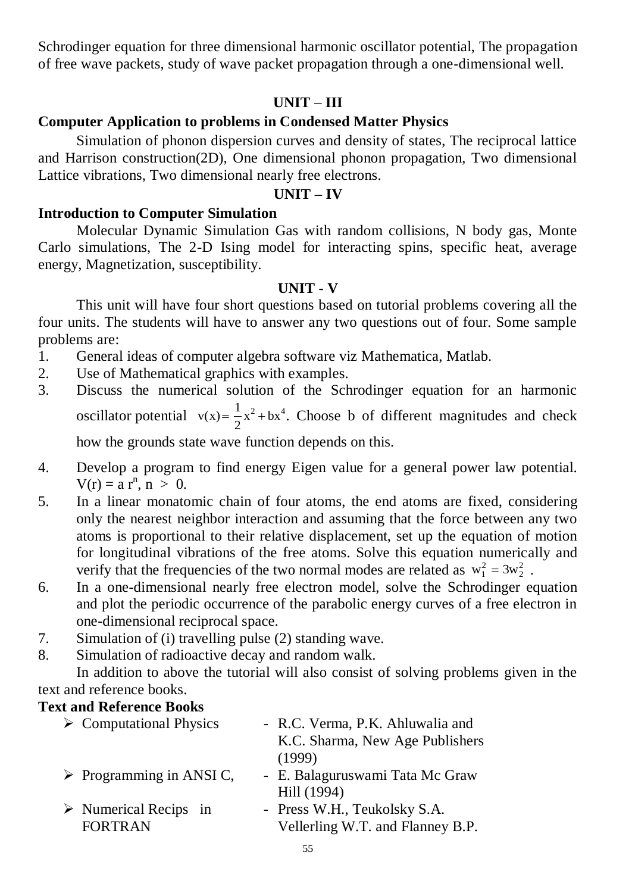Schrodinger equation for three dimensional harmonic oscillator potential, The propagation of free wave packets, study of wave packet propagation through a one-dimensional well.

# **UNIT – III**

# **Computer Application to problems in Condensed Matter Physics**

Simulation of phonon dispersion curves and density of states, The reciprocal lattice and Harrison construction(2D), One dimensional phonon propagation, Two dimensional Lattice vibrations, Two dimensional nearly free electrons.

## **UNIT – IV**

## **Introduction to Computer Simulation**

Molecular Dynamic Simulation Gas with random collisions, N body gas, Monte Carlo simulations, The 2-D Ising model for interacting spins, specific heat, average energy, Magnetization, susceptibility.

# **UNIT - V**

This unit will have four short questions based on tutorial problems covering all the four units. The students will have to answer any two questions out of four. Some sample problems are:

- 1. General ideas of computer algebra software viz Mathematica, Matlab.
- 2. Use of Mathematical graphics with examples.
- 3. Discuss the numerical solution of the Schrodinger equation for an harmonic oscillator potential  $v(x) = \frac{1}{2}x^2 + bx^4$ . Choose b of different magnitudes and check how the grounds state wave function depends on this. 2  $2 + \mathbf{hv}^4$
- 4. Develop a program to find energy Eigen value for a general power law potential.  $V(r) = a r^n, n > 0.$
- 5. In a linear monatomic chain of four atoms, the end atoms are fixed, considering only the nearest neighbor interaction and assuming that the force between any two atoms is proportional to their relative displacement, set up the equation of motion for longitudinal vibrations of the free atoms. Solve this equation numerically and verify that the frequencies of the two normal modes are related as  $w_1^2 = 3w_2^2$ . 2  $= 3w_2^2$
- 6. In a one-dimensional nearly free electron model, solve the Schrodinger equation and plot the periodic occurrence of the parabolic energy curves of a free electron in one-dimensional reciprocal space.
- 7. Simulation of (i) travelling pulse (2) standing wave.
- 8. Simulation of radioactive decay and random walk.

In addition to above the tutorial will also consist of solving problems given in the text and reference books.

# **Text and Reference Books**

| $\triangleright$ Computational Physics  | - R.C. Verma, P.K. Ahluwalia and |
|-----------------------------------------|----------------------------------|
|                                         | K.C. Sharma, New Age Publishers  |
|                                         | (1999)                           |
| $\triangleright$ Programming in ANSI C, | - E. Balaguruswami Tata Mc Graw  |
|                                         | Hill (1994)                      |
| $\triangleright$ Numerical Recips in    | - Press W.H., Teukolsky S.A.     |
| <b>FORTRAN</b>                          | Vellerling W.T. and Flanney B.P. |
|                                         |                                  |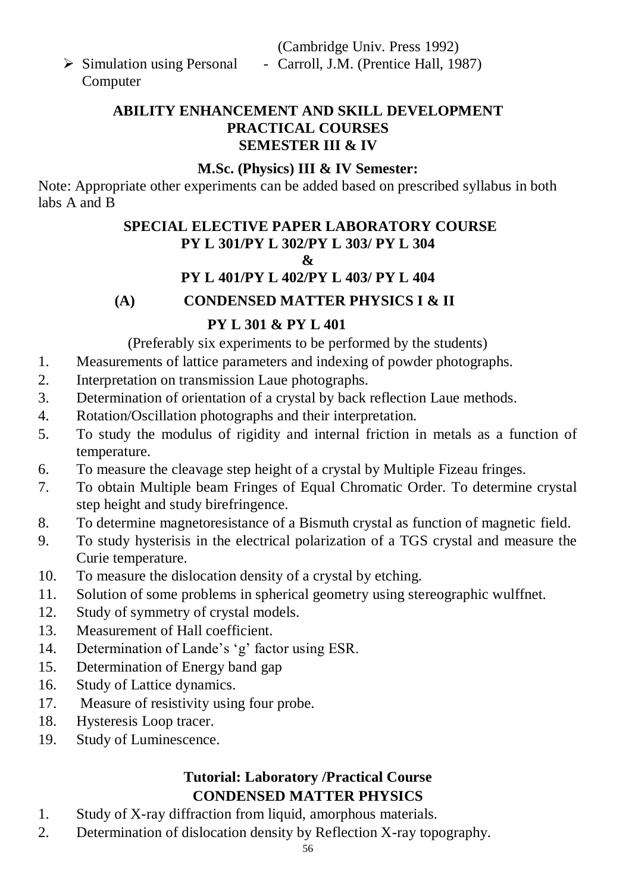(Cambridge Univ. Press 1992) - Carroll, J.M. (Prentice Hall, 1987)

 $\triangleright$  Simulation using Personal Computer

> **ABILITY ENHANCEMENT AND SKILL DEVELOPMENT PRACTICAL COURSES SEMESTER III & IV**

# **M.Sc. (Physics) III & IV Semester:**

Note: Appropriate other experiments can be added based on prescribed syllabus in both labs A and B

# **SPECIAL ELECTIVE PAPER LABORATORY COURSE PY L 301/PY L 302/PY L 303/ PY L 304**

# **&**

# **PY L 401/PY L 402/PY L 403/ PY L 404**

**(A) CONDENSED MATTER PHYSICS I & II**

# **PY L 301 & PY L 401**

(Preferably six experiments to be performed by the students)

- 1. Measurements of lattice parameters and indexing of powder photographs.
- 2. Interpretation on transmission Laue photographs.
- 3. Determination of orientation of a crystal by back reflection Laue methods.
- 4. Rotation/Oscillation photographs and their interpretation.
- 5. To study the modulus of rigidity and internal friction in metals as a function of temperature.
- 6. To measure the cleavage step height of a crystal by Multiple Fizeau fringes.
- 7. To obtain Multiple beam Fringes of Equal Chromatic Order. To determine crystal step height and study birefringence.
- 8. To determine magnetoresistance of a Bismuth crystal as function of magnetic field.
- 9. To study hysterisis in the electrical polarization of a TGS crystal and measure the Curie temperature.
- 10. To measure the dislocation density of a crystal by etching.
- 11. Solution of some problems in spherical geometry using stereographic wulffnet.
- 12. Study of symmetry of crystal models.
- 13. Measurement of Hall coefficient.
- 14. Determination of Lande's 'g' factor using ESR.
- 15. Determination of Energy band gap
- 16. Study of Lattice dynamics.
- 17. Measure of resistivity using four probe.
- 18. Hysteresis Loop tracer.
- 19. Study of Luminescence.

# **Tutorial: Laboratory /Practical Course CONDENSED MATTER PHYSICS**

- 1. Study of X-ray diffraction from liquid, amorphous materials.
- 2. Determination of dislocation density by Reflection X-ray topography.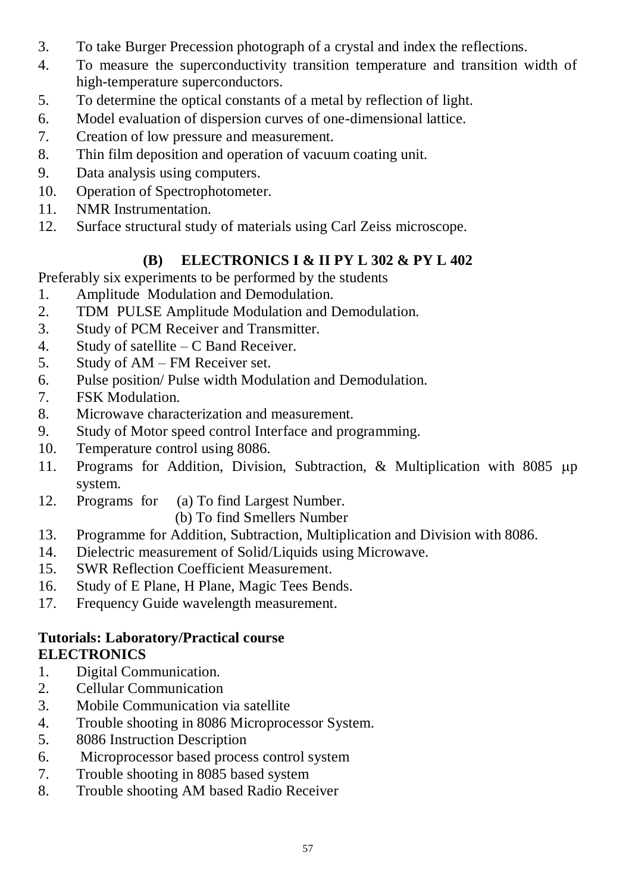- 3. To take Burger Precession photograph of a crystal and index the reflections.
- 4. To measure the superconductivity transition temperature and transition width of high-temperature superconductors.
- 5. To determine the optical constants of a metal by reflection of light.
- 6. Model evaluation of dispersion curves of one-dimensional lattice.
- 7. Creation of low pressure and measurement.
- 8. Thin film deposition and operation of vacuum coating unit.
- 9. Data analysis using computers.
- 10. Operation of Spectrophotometer.
- 11. NMR Instrumentation.
- 12. Surface structural study of materials using Carl Zeiss microscope.

# **(B) ELECTRONICS I & II PY L 302 & PY L 402**

Preferably six experiments to be performed by the students

- 1. Amplitude Modulation and Demodulation.
- 2. TDM PULSE Amplitude Modulation and Demodulation.
- 3. Study of PCM Receiver and Transmitter.
- 4. Study of satellite C Band Receiver.
- 5. Study of AM FM Receiver set.
- 6. Pulse position/ Pulse width Modulation and Demodulation.
- 7. FSK Modulation.
- 8. Microwave characterization and measurement.
- 9. Study of Motor speed control Interface and programming.
- 10. Temperature control using 8086.
- 11. Programs for Addition, Division, Subtraction, & Multiplication with  $8085 \mu p$ system.
- 12. Programs for (a) To find Largest Number.

(b) To find Smellers Number

- 13. Programme for Addition, Subtraction, Multiplication and Division with 8086.
- 14. Dielectric measurement of Solid/Liquids using Microwave.
- 15. SWR Reflection Coefficient Measurement.
- 16. Study of E Plane, H Plane, Magic Tees Bends.
- 17. Frequency Guide wavelength measurement.

# **Tutorials: Laboratory/Practical course ELECTRONICS**

- 1. Digital Communication.
- 2. Cellular Communication
- 3. Mobile Communication via satellite
- 4. Trouble shooting in 8086 Microprocessor System.
- 5. 8086 Instruction Description
- 6. Microprocessor based process control system
- 7. Trouble shooting in 8085 based system
- 8. Trouble shooting AM based Radio Receiver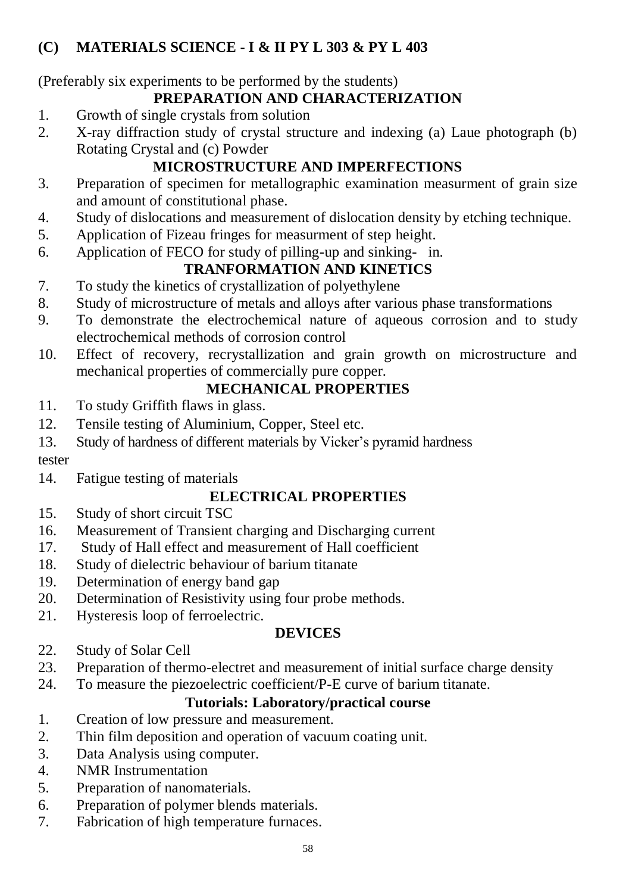# **(C) MATERIALS SCIENCE - I & II PY L 303 & PY L 403**

(Preferably six experiments to be performed by the students)

# **PREPARATION AND CHARACTERIZATION**

- 1. Growth of single crystals from solution
- 2. X-ray diffraction study of crystal structure and indexing (a) Laue photograph (b) Rotating Crystal and (c) Powder

# **MICROSTRUCTURE AND IMPERFECTIONS**

- 3. Preparation of specimen for metallographic examination measurment of grain size and amount of constitutional phase.
- 4. Study of dislocations and measurement of dislocation density by etching technique.
- 5. Application of Fizeau fringes for measurment of step height.
- 6. Application of FECO for study of pilling-up and sinking- in.

# **TRANFORMATION AND KINETICS**

- 7. To study the kinetics of crystallization of polyethylene
- 8. Study of microstructure of metals and alloys after various phase transformations
- 9. To demonstrate the electrochemical nature of aqueous corrosion and to study electrochemical methods of corrosion control
- 10. Effect of recovery, recrystallization and grain growth on microstructure and mechanical properties of commercially pure copper.

# **MECHANICAL PROPERTIES**

- 11. To study Griffith flaws in glass.
- 12. Tensile testing of Aluminium, Copper, Steel etc.
- 13. Study of hardness of different materials by Vicker's pyramid hardness

tester

14. Fatigue testing of materials

# **ELECTRICAL PROPERTIES**

- 15. Study of short circuit TSC
- 16. Measurement of Transient charging and Discharging current
- 17. Study of Hall effect and measurement of Hall coefficient
- 18. Study of dielectric behaviour of barium titanate
- 19. Determination of energy band gap
- 20. Determination of Resistivity using four probe methods.
- 21. Hysteresis loop of ferroelectric.

# **DEVICES**

- 22. Study of Solar Cell
- 23. Preparation of thermo-electret and measurement of initial surface charge density
- 24. To measure the piezoelectric coefficient/P-E curve of barium titanate.

# **Tutorials: Laboratory/practical course**

- 1. Creation of low pressure and measurement.
- 2. Thin film deposition and operation of vacuum coating unit.
- 3. Data Analysis using computer.
- 4. NMR Instrumentation
- 5. Preparation of nanomaterials.
- 6. Preparation of polymer blends materials.
- 7. Fabrication of high temperature furnaces.